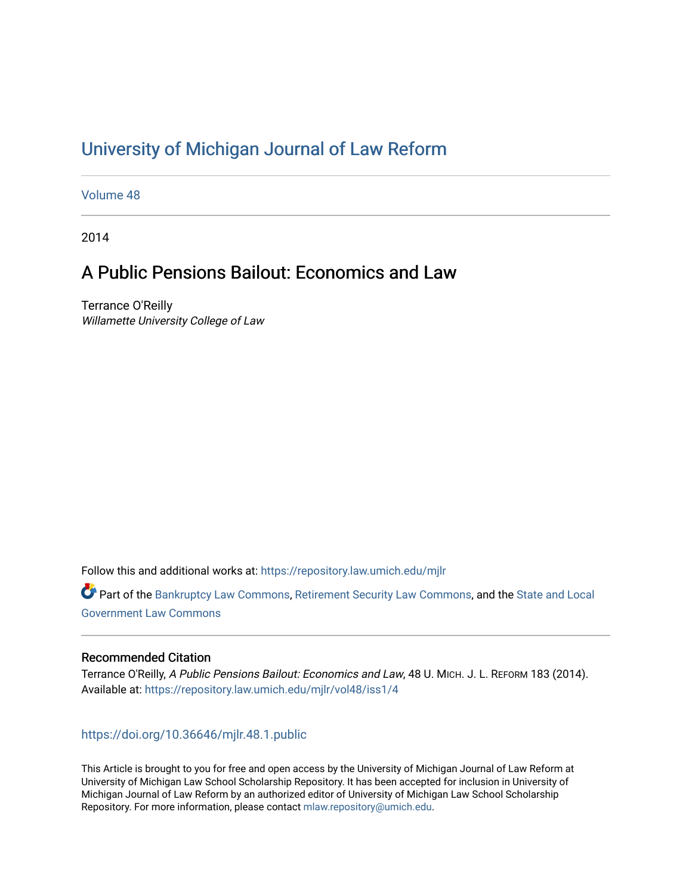# [University of Michigan Journal of Law Reform](https://repository.law.umich.edu/mjlr)

[Volume 48](https://repository.law.umich.edu/mjlr/vol48)

2014

# A Public Pensions Bailout: Economics and Law

Terrance O'Reilly Willamette University College of Law

Follow this and additional works at: [https://repository.law.umich.edu/mjlr](https://repository.law.umich.edu/mjlr?utm_source=repository.law.umich.edu%2Fmjlr%2Fvol48%2Fiss1%2F4&utm_medium=PDF&utm_campaign=PDFCoverPages) 

Part of the [Bankruptcy Law Commons,](https://network.bepress.com/hgg/discipline/583?utm_source=repository.law.umich.edu%2Fmjlr%2Fvol48%2Fiss1%2F4&utm_medium=PDF&utm_campaign=PDFCoverPages) [Retirement Security Law Commons](https://network.bepress.com/hgg/discipline/873?utm_source=repository.law.umich.edu%2Fmjlr%2Fvol48%2Fiss1%2F4&utm_medium=PDF&utm_campaign=PDFCoverPages), and the [State and Local](https://network.bepress.com/hgg/discipline/879?utm_source=repository.law.umich.edu%2Fmjlr%2Fvol48%2Fiss1%2F4&utm_medium=PDF&utm_campaign=PDFCoverPages) [Government Law Commons](https://network.bepress.com/hgg/discipline/879?utm_source=repository.law.umich.edu%2Fmjlr%2Fvol48%2Fiss1%2F4&utm_medium=PDF&utm_campaign=PDFCoverPages) 

# Recommended Citation

Terrance O'Reilly, A Public Pensions Bailout: Economics and Law, 48 U. MICH. J. L. REFORM 183 (2014). Available at: [https://repository.law.umich.edu/mjlr/vol48/iss1/4](https://repository.law.umich.edu/mjlr/vol48/iss1/4?utm_source=repository.law.umich.edu%2Fmjlr%2Fvol48%2Fiss1%2F4&utm_medium=PDF&utm_campaign=PDFCoverPages) 

# <https://doi.org/10.36646/mjlr.48.1.public>

This Article is brought to you for free and open access by the University of Michigan Journal of Law Reform at University of Michigan Law School Scholarship Repository. It has been accepted for inclusion in University of Michigan Journal of Law Reform by an authorized editor of University of Michigan Law School Scholarship Repository. For more information, please contact [mlaw.repository@umich.edu](mailto:mlaw.repository@umich.edu).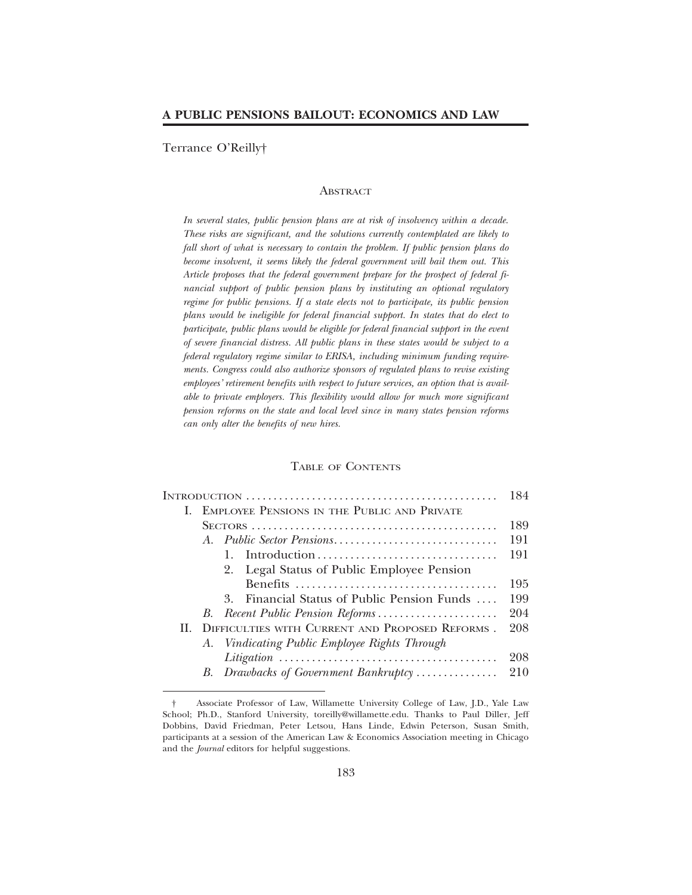Terrance O'Reilly†

#### **ABSTRACT**

*In several states, public pension plans are at risk of insolvency within a decade. These risks are significant, and the solutions currently contemplated are likely to fall short of what is necessary to contain the problem. If public pension plans do become insolvent, it seems likely the federal government will bail them out. This Article proposes that the federal government prepare for the prospect of federal financial support of public pension plans by instituting an optional regulatory regime for public pensions. If a state elects not to participate, its public pension plans would be ineligible for federal financial support. In states that do elect to participate, public plans would be eligible for federal financial support in the event of severe financial distress. All public plans in these states would be subject to a federal regulatory regime similar to ERISA, including minimum funding requirements. Congress could also authorize sponsors of regulated plans to revise existing employees' retirement benefits with respect to future services, an option that is available to private employers. This flexibility would allow for much more significant pension reforms on the state and local level since in many states pension reforms can only alter the benefits of new hires.*

#### TABLE OF CONTENTS

|              |                                                 |                                                | 184 |
|--------------|-------------------------------------------------|------------------------------------------------|-----|
|              | EMPLOYEE PENSIONS IN THE PUBLIC AND PRIVATE     |                                                |     |
|              |                                                 |                                                | 189 |
|              |                                                 |                                                | 191 |
|              |                                                 | Introduction                                   | 191 |
|              |                                                 | 2. Legal Status of Public Employee Pension     |     |
|              |                                                 |                                                | 195 |
|              |                                                 | Financial Status of Public Pension Funds<br>3. | 199 |
|              |                                                 |                                                | 204 |
| $\mathbf{H}$ | DIFFICULTIES WITH CURRENT AND PROPOSED REFORMS. |                                                | 208 |
|              |                                                 | A. Vindicating Public Employee Rights Through  |     |
|              |                                                 |                                                | 208 |
|              |                                                 | B. Drawbacks of Government Bankruptcy          | 210 |
|              |                                                 |                                                |     |

<sup>†</sup> Associate Professor of Law, Willamette University College of Law, J.D., Yale Law School; Ph.D., Stanford University, toreilly@willamette.edu. Thanks to Paul Diller, Jeff Dobbins, David Friedman, Peter Letsou, Hans Linde, Edwin Peterson, Susan Smith, participants at a session of the American Law & Economics Association meeting in Chicago and the *Journal* editors for helpful suggestions.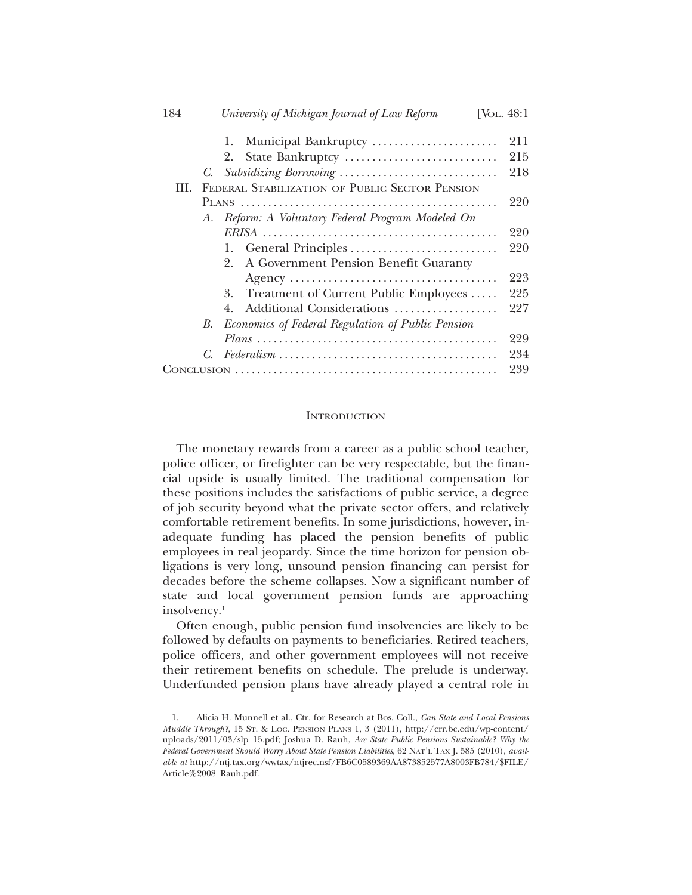| 184<br>University of Michigan Journal of Law Reform<br>[Vol. 48:1]                                                      |
|-------------------------------------------------------------------------------------------------------------------------|
|                                                                                                                         |
| 211<br>Municipal Bankruptcy<br>1.                                                                                       |
| 215<br>State Bankruptcy<br>2.                                                                                           |
| 218<br>C.                                                                                                               |
| FEDERAL STABILIZATION OF PUBLIC SECTOR PENSION<br>HL.                                                                   |
| 220                                                                                                                     |
| Reform: A Voluntary Federal Program Modeled On<br>A.                                                                    |
| 220                                                                                                                     |
| 220<br>General Principles<br>Ι.                                                                                         |
| A Government Pension Benefit Guaranty<br>2.                                                                             |
| 223                                                                                                                     |
| 225<br>3. Treatment of Current Public Employees                                                                         |
| 227<br>Additional Considerations<br>4.                                                                                  |
| Economics of Federal Regulation of Public Pension<br>В.                                                                 |
| 229                                                                                                                     |
| 234<br>$Federalism \ldots \ldots \ldots \ldots \ldots \ldots \ldots \ldots \ldots \ldots \ldots \ldots \ldots$<br>$C$ . |
| 239                                                                                                                     |

# **INTRODUCTION**

The monetary rewards from a career as a public school teacher, police officer, or firefighter can be very respectable, but the financial upside is usually limited. The traditional compensation for these positions includes the satisfactions of public service, a degree of job security beyond what the private sector offers, and relatively comfortable retirement benefits. In some jurisdictions, however, inadequate funding has placed the pension benefits of public employees in real jeopardy. Since the time horizon for pension obligations is very long, unsound pension financing can persist for decades before the scheme collapses. Now a significant number of state and local government pension funds are approaching insolvency.1

Often enough, public pension fund insolvencies are likely to be followed by defaults on payments to beneficiaries. Retired teachers, police officers, and other government employees will not receive their retirement benefits on schedule. The prelude is underway. Underfunded pension plans have already played a central role in

<sup>1.</sup> Alicia H. Munnell et al., Ctr. for Research at Bos. Coll., *Can State and Local Pensions Muddle Through?*, 15 ST. & LOC. PENSION PLANS 1, 3 (2011), http://crr.bc.edu/wp-content/ uploads/2011/03/slp\_15.pdf; Joshua D. Rauh, *Are State Public Pensions Sustainable? Why the Federal Government Should Worry About State Pension Liabilities*, 62 NAT'L TAX J. 585 (2010), *available at* http://ntj.tax.org/wwtax/ntjrec.nsf/FB6C0589369AA873852577A8003FB784/\$FILE/ Article%2008\_Rauh.pdf.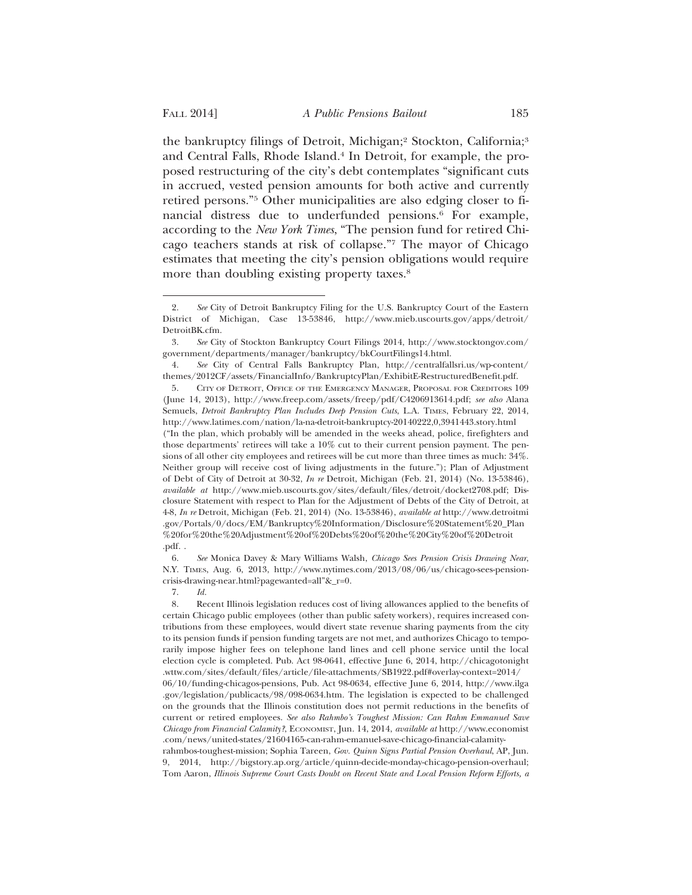the bankruptcy filings of Detroit, Michigan;<sup>2</sup> Stockton, California;<sup>3</sup> and Central Falls, Rhode Island.4 In Detroit, for example, the proposed restructuring of the city's debt contemplates "significant cuts in accrued, vested pension amounts for both active and currently retired persons."5 Other municipalities are also edging closer to financial distress due to underfunded pensions.6 For example, according to the *New York Times*, "The pension fund for retired Chicago teachers stands at risk of collapse."7 The mayor of Chicago estimates that meeting the city's pension obligations would require more than doubling existing property taxes.<sup>8</sup>

7. *Id.*

*Chicago from Financial Calamity?*, ECONOMIST, Jun. 14, 2014, *available at* http://www.economist

<sup>2.</sup> *See* City of Detroit Bankruptcy Filing for the U.S. Bankruptcy Court of the Eastern District of Michigan, Case 13-53846, http://www.mieb.uscourts.gov/apps/detroit/ DetroitBK.cfm.

<sup>3.</sup> *See* City of Stockton Bankruptcy Court Filings 2014, http://www.stocktongov.com/ government/departments/manager/bankruptcy/bkCourtFilings14.html.

<sup>4.</sup> *See* City of Central Falls Bankruptcy Plan, http://centralfallsri.us/wp-content/ themes/2012CF/assets/FinancialInfo/BankruptcyPlan/ExhibitE-RestructuredBenefit.pdf.

<sup>5.</sup> CITY OF DETROIT, OFFICE OF THE EMERGENCY MANAGER, PROPOSAL FOR CREDITORS 109 (June 14, 2013), http://www.freep.com/assets/freep/pdf/C4206913614.pdf; *see also* Alana Semuels, *Detroit Bankruptcy Plan Includes Deep Pension Cuts*, L.A. TIMES, February 22, 2014, http://www.latimes.com/nation/la-na-detroit-bankruptcy-20140222,0,3941443.story.html ("In the plan, which probably will be amended in the weeks ahead, police, firefighters and those departments' retirees will take a 10% cut to their current pension payment. The pensions of all other city employees and retirees will be cut more than three times as much: 34%. Neither group will receive cost of living adjustments in the future."); Plan of Adjustment of Debt of City of Detroit at 30-32, *In re* Detroit, Michigan (Feb. 21, 2014) (No. 13-53846), *available at* http://www.mieb.uscourts.gov/sites/default/files/detroit/docket2708.pdf; Disclosure Statement with respect to Plan for the Adjustment of Debts of the City of Detroit, at 4-8, *In re* Detroit, Michigan (Feb. 21, 2014) (No. 13-53846), *available at* http://www.detroitmi .gov/Portals/0/docs/EM/Bankruptcy%20Information/Disclosure%20Statement%20\_Plan %20for%20the%20Adjustment%20of%20Debts%20of%20the%20City%20of%20Detroit .pdf. .

<sup>6.</sup> *See* Monica Davey & Mary Williams Walsh, *Chicago Sees Pension Crisis Drawing Near*, N.Y. TIMES, Aug. 6, 2013, http://www.nytimes.com/2013/08/06/us/chicago-sees-pensioncrisis-drawing-near.html?pagewanted=all"&\_r=0.

<sup>8.</sup> Recent Illinois legislation reduces cost of living allowances applied to the benefits of certain Chicago public employees (other than public safety workers), requires increased contributions from these employees, would divert state revenue sharing payments from the city to its pension funds if pension funding targets are not met, and authorizes Chicago to temporarily impose higher fees on telephone land lines and cell phone service until the local election cycle is completed. Pub. Act 98-0641, effective June 6, 2014, http://chicagotonight .wttw.com/sites/default/files/article/file-attachments/SB1922.pdf#overlay-context=2014/ 06/10/funding-chicagos-pensions, Pub. Act 98-0634, effective June 6, 2014, http://www.ilga .gov/legislation/publicacts/98/098-0634.htm. The legislation is expected to be challenged on the grounds that the Illinois constitution does not permit reductions in the benefits of current or retired employees. *See also Rahmbo's Toughest Mission: Can Rahm Emmanuel Save*

<sup>.</sup>com/news/united-states/21604165-can-rahm-emanuel-save-chicago-financial-calamityrahmbos-toughest-mission; Sophia Tareen, *Gov. Quinn Signs Partial Pension Overhaul*, AP, Jun. 9, 2014, http://bigstory.ap.org/article/quinn-decide-monday-chicago-pension-overhaul; Tom Aaron, *Illinois Supreme Court Casts Doubt on Recent State and Local Pension Reform Efforts, a*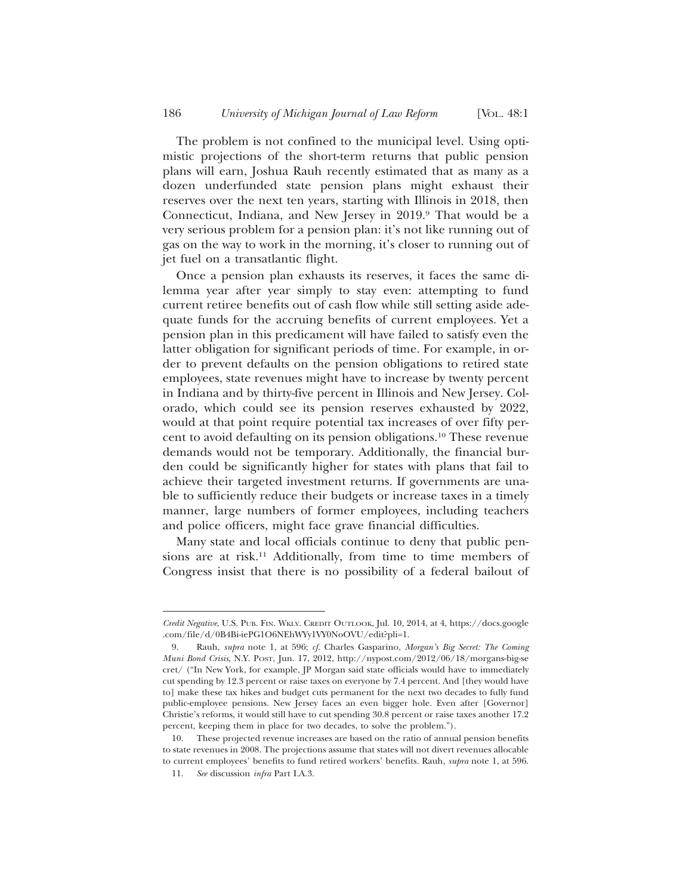The problem is not confined to the municipal level. Using optimistic projections of the short-term returns that public pension plans will earn, Joshua Rauh recently estimated that as many as a dozen underfunded state pension plans might exhaust their reserves over the next ten years, starting with Illinois in 2018, then Connecticut, Indiana, and New Jersey in 2019.9 That would be a very serious problem for a pension plan: it's not like running out of gas on the way to work in the morning, it's closer to running out of jet fuel on a transatlantic flight.

Once a pension plan exhausts its reserves, it faces the same dilemma year after year simply to stay even: attempting to fund current retiree benefits out of cash flow while still setting aside adequate funds for the accruing benefits of current employees. Yet a pension plan in this predicament will have failed to satisfy even the latter obligation for significant periods of time. For example, in order to prevent defaults on the pension obligations to retired state employees, state revenues might have to increase by twenty percent in Indiana and by thirty-five percent in Illinois and New Jersey. Colorado, which could see its pension reserves exhausted by 2022, would at that point require potential tax increases of over fifty percent to avoid defaulting on its pension obligations.10 These revenue demands would not be temporary. Additionally, the financial burden could be significantly higher for states with plans that fail to achieve their targeted investment returns. If governments are unable to sufficiently reduce their budgets or increase taxes in a timely manner, large numbers of former employees, including teachers and police officers, might face grave financial difficulties.

Many state and local officials continue to deny that public pensions are at risk.<sup>11</sup> Additionally, from time to time members of Congress insist that there is no possibility of a federal bailout of

*Credit Negative*, U.S. PUB. FIN. WKLY. CREDIT OUTLOOK, Jul. 10, 2014, at 4, https://docs.google .com/file/d/0B4Bi-iePG1O6NEhWYy1VY0NoOVU/edit?pli=1.

<sup>9.</sup> Rauh, *supra* note 1, at 596; *cf.* Charles Gasparino, *Morgan's Big Secret: The Coming Muni Bond Crisis*, N.Y. POST, Jun. 17, 2012, http://nypost.com/2012/06/18/morgans-big-se cret/ ("In New York, for example, JP Morgan said state officials would have to immediately cut spending by 12.3 percent or raise taxes on everyone by 7.4 percent. And [they would have to] make these tax hikes and budget cuts permanent for the next two decades to fully fund public-employee pensions. New Jersey faces an even bigger hole. Even after [Governor] Christie's reforms, it would still have to cut spending 30.8 percent or raise taxes another 17.2 percent, keeping them in place for two decades, to solve the problem.").

<sup>10.</sup> These projected revenue increases are based on the ratio of annual pension benefits to state revenues in 2008. The projections assume that states will not divert revenues allocable to current employees' benefits to fund retired workers' benefits. Rauh, *supra* note 1, at 596.

<sup>11.</sup> *See* discussion *infra* Part I.A.3.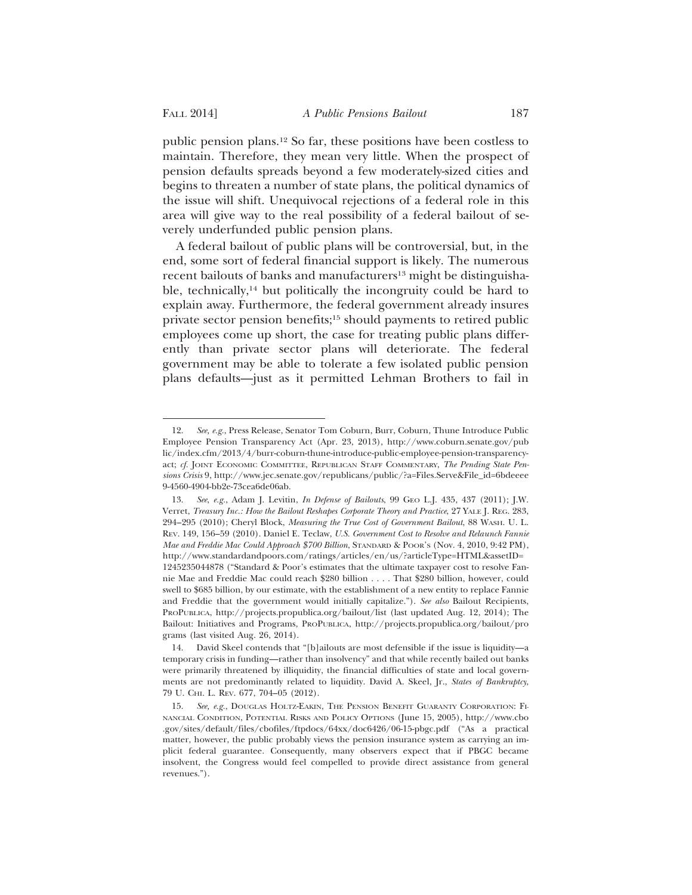public pension plans.12 So far, these positions have been costless to maintain. Therefore, they mean very little. When the prospect of pension defaults spreads beyond a few moderately-sized cities and begins to threaten a number of state plans, the political dynamics of the issue will shift. Unequivocal rejections of a federal role in this area will give way to the real possibility of a federal bailout of severely underfunded public pension plans.

A federal bailout of public plans will be controversial, but, in the end, some sort of federal financial support is likely. The numerous recent bailouts of banks and manufacturers<sup>13</sup> might be distinguishable, technically,<sup>14</sup> but politically the incongruity could be hard to explain away. Furthermore, the federal government already insures private sector pension benefits;15 should payments to retired public employees come up short, the case for treating public plans differently than private sector plans will deteriorate. The federal government may be able to tolerate a few isolated public pension plans defaults—just as it permitted Lehman Brothers to fail in

<sup>12.</sup> *See, e.g.*, Press Release, Senator Tom Coburn, Burr, Coburn, Thune Introduce Public Employee Pension Transparency Act (Apr. 23, 2013), http://www.coburn.senate.gov/pub lic/index.cfm/2013/4/burr-coburn-thune-introduce-public-employee-pension-transparencyact; *cf.* JOINT ECONOMIC COMMITTEE, REPUBLICAN STAFF COMMENTARY, *The Pending State Pensions Crisis* 9, http://www.jec.senate.gov/republicans/public/?a=Files.Serve&File\_id=6bdeeee 9-4560-4904-bb2e-73cea6de06ab.

<sup>13.</sup> *See*, *e.g.*, Adam J. Levitin, *In Defense of Bailouts*, 99 GEO L.J. 435, 437 (2011); J.W. Verret, *Treasury Inc.: How the Bailout Reshapes Corporate Theory and Practice*, 27 YALE J. REG. 283, 294–295 (2010); Cheryl Block, *Measuring the True Cost of Government Bailout*, 88 WASH. U. L. REV. 149, 156–59 (2010). Daniel E. Teclaw, *U.S. Government Cost to Resolve and Relaunch Fannie Mae and Freddie Mac Could Approach \$700 Billion*, STANDARD & POOR'S (Nov. 4, 2010, 9:42 PM), http://www.standardandpoors.com/ratings/articles/en/us/?articleType=HTML&assetID= 1245235044878 ("Standard & Poor's estimates that the ultimate taxpayer cost to resolve Fannie Mae and Freddie Mac could reach \$280 billion . . . . That \$280 billion, however, could swell to \$685 billion, by our estimate, with the establishment of a new entity to replace Fannie and Freddie that the government would initially capitalize."). *See also* Bailout Recipients, PROPUBLICA, http://projects.propublica.org/bailout/list (last updated Aug. 12, 2014); The Bailout: Initiatives and Programs, PROPUBLICA, http://projects.propublica.org/bailout/pro grams (last visited Aug. 26, 2014).

<sup>14.</sup> David Skeel contends that "[b]ailouts are most defensible if the issue is liquidity—a temporary crisis in funding—rather than insolvency" and that while recently bailed out banks were primarily threatened by illiquidity, the financial difficulties of state and local governments are not predominantly related to liquidity. David A. Skeel, Jr., *States of Bankruptcy*, 79 U. CHI. L. REV. 677, 704–05 (2012).

<sup>15.</sup> *See, e.g.*, DOUGLAS HOLTZ-EAKIN, THE PENSION BENEFIT GUARANTY CORPORATION: FI-NANCIAL CONDITION, POTENTIAL RISKS AND POLICY OPTIONS (June 15, 2005), http://www.cbo .gov/sites/default/files/cbofiles/ftpdocs/64xx/doc6426/06-15-pbgc.pdf ("As a practical matter, however, the public probably views the pension insurance system as carrying an implicit federal guarantee. Consequently, many observers expect that if PBGC became insolvent, the Congress would feel compelled to provide direct assistance from general revenues.").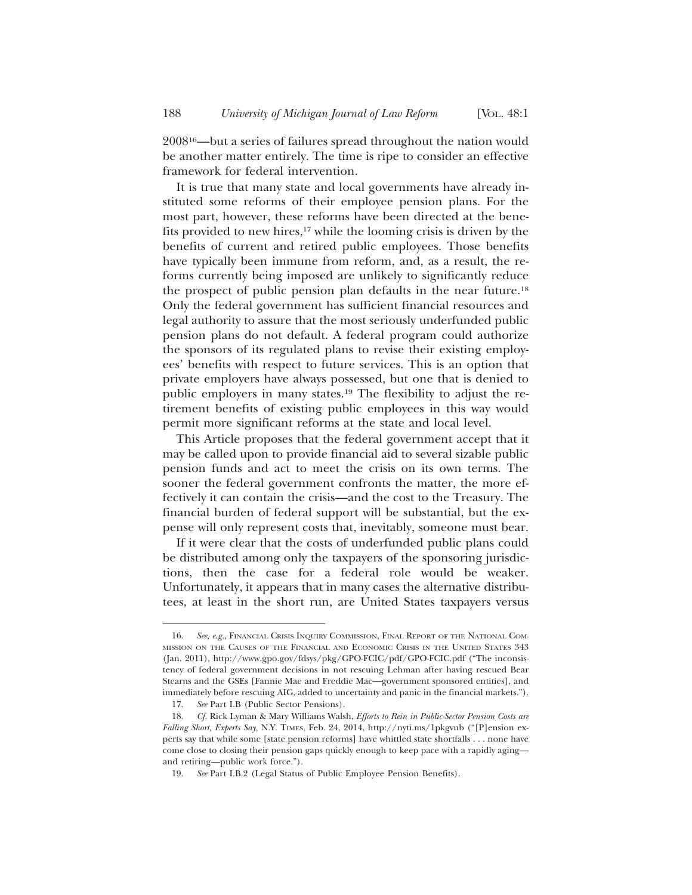200816—but a series of failures spread throughout the nation would be another matter entirely. The time is ripe to consider an effective framework for federal intervention.

It is true that many state and local governments have already instituted some reforms of their employee pension plans. For the most part, however, these reforms have been directed at the benefits provided to new hires, $17$  while the looming crisis is driven by the benefits of current and retired public employees. Those benefits have typically been immune from reform, and, as a result, the reforms currently being imposed are unlikely to significantly reduce the prospect of public pension plan defaults in the near future.18 Only the federal government has sufficient financial resources and legal authority to assure that the most seriously underfunded public pension plans do not default. A federal program could authorize the sponsors of its regulated plans to revise their existing employees' benefits with respect to future services. This is an option that private employers have always possessed, but one that is denied to public employers in many states.19 The flexibility to adjust the retirement benefits of existing public employees in this way would permit more significant reforms at the state and local level.

This Article proposes that the federal government accept that it may be called upon to provide financial aid to several sizable public pension funds and act to meet the crisis on its own terms. The sooner the federal government confronts the matter, the more effectively it can contain the crisis—and the cost to the Treasury. The financial burden of federal support will be substantial, but the expense will only represent costs that, inevitably, someone must bear.

If it were clear that the costs of underfunded public plans could be distributed among only the taxpayers of the sponsoring jurisdictions, then the case for a federal role would be weaker. Unfortunately, it appears that in many cases the alternative distributees, at least in the short run, are United States taxpayers versus

<sup>16.</sup> *See, e.g.*, FINANCIAL CRISIS INQUIRY COMMISSION, FINAL REPORT OF THE NATIONAL COM-MISSION ON THE CAUSES OF THE FINANCIAL AND ECONOMIC CRISIS IN THE UNITED STATES 343 (Jan. 2011), http://www.gpo.gov/fdsys/pkg/GPO-FCIC/pdf/GPO-FCIC.pdf ("The inconsistency of federal government decisions in not rescuing Lehman after having rescued Bear Stearns and the GSEs [Fannie Mae and Freddie Mac—government sponsored entities], and immediately before rescuing AIG, added to uncertainty and panic in the financial markets.").

<sup>17.</sup> *See* Part I.B (Public Sector Pensions).

<sup>18.</sup> *Cf.* Rick Lyman & Mary Williams Walsh, *Efforts to Rein in Public-Sector Pension Costs are Falling Short, Experts Say*, N.Y. TIMES, Feb. 24, 2014, http://nyti.ms/1pkgvnb ("[P]ension experts say that while some [state pension reforms] have whittled state shortfalls . . . none have come close to closing their pension gaps quickly enough to keep pace with a rapidly aging and retiring—public work force.").

<sup>19.</sup> *See* Part I.B.2 (Legal Status of Public Employee Pension Benefits).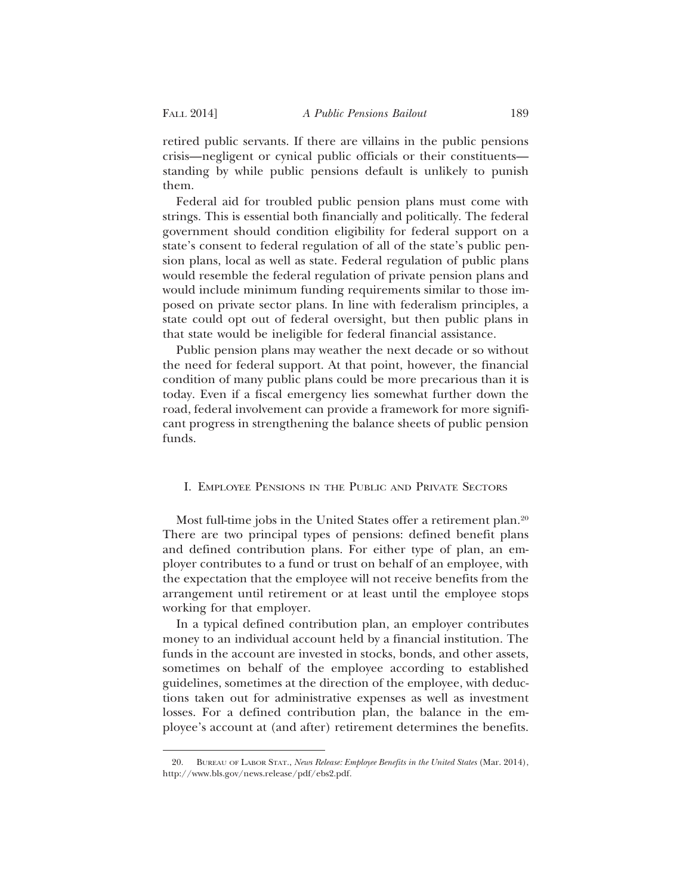retired public servants. If there are villains in the public pensions crisis—negligent or cynical public officials or their constituents standing by while public pensions default is unlikely to punish them.

Federal aid for troubled public pension plans must come with strings. This is essential both financially and politically. The federal government should condition eligibility for federal support on a state's consent to federal regulation of all of the state's public pension plans, local as well as state. Federal regulation of public plans would resemble the federal regulation of private pension plans and would include minimum funding requirements similar to those imposed on private sector plans. In line with federalism principles, a state could opt out of federal oversight, but then public plans in that state would be ineligible for federal financial assistance.

Public pension plans may weather the next decade or so without the need for federal support. At that point, however, the financial condition of many public plans could be more precarious than it is today. Even if a fiscal emergency lies somewhat further down the road, federal involvement can provide a framework for more significant progress in strengthening the balance sheets of public pension funds.

# I. EMPLOYEE PENSIONS IN THE PUBLIC AND PRIVATE SECTORS

Most full-time jobs in the United States offer a retirement plan.<sup>20</sup> There are two principal types of pensions: defined benefit plans and defined contribution plans. For either type of plan, an employer contributes to a fund or trust on behalf of an employee, with the expectation that the employee will not receive benefits from the arrangement until retirement or at least until the employee stops working for that employer.

In a typical defined contribution plan, an employer contributes money to an individual account held by a financial institution. The funds in the account are invested in stocks, bonds, and other assets, sometimes on behalf of the employee according to established guidelines, sometimes at the direction of the employee, with deductions taken out for administrative expenses as well as investment losses. For a defined contribution plan, the balance in the employee's account at (and after) retirement determines the benefits.

<sup>20.</sup> BUREAU OF LABOR STAT., *News Release: Employee Benefits in the United States* (Mar. 2014), http://www.bls.gov/news.release/pdf/ebs2.pdf.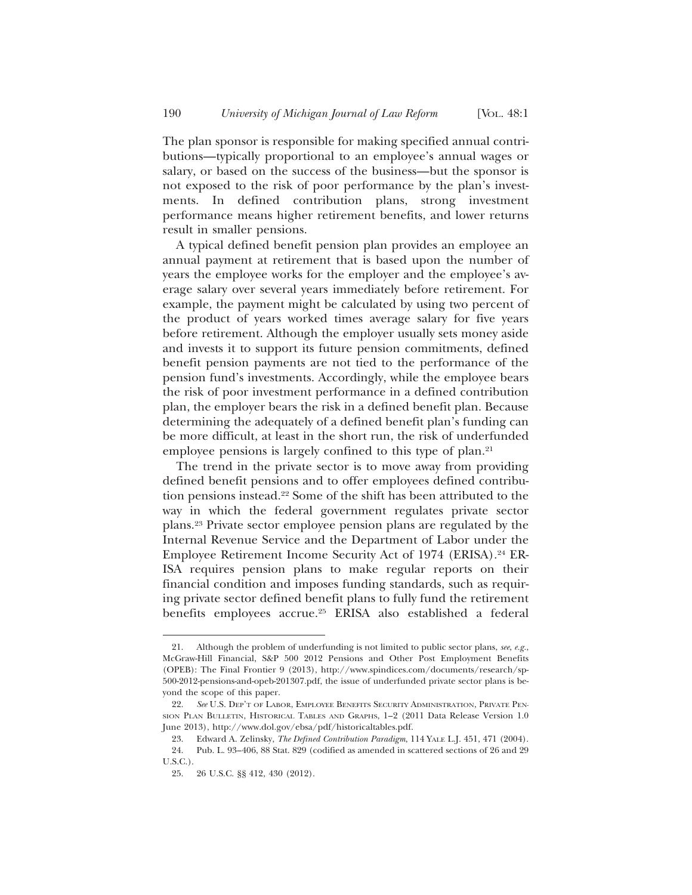The plan sponsor is responsible for making specified annual contributions—typically proportional to an employee's annual wages or salary, or based on the success of the business—but the sponsor is not exposed to the risk of poor performance by the plan's investments. In defined contribution plans, strong investment performance means higher retirement benefits, and lower returns result in smaller pensions.

A typical defined benefit pension plan provides an employee an annual payment at retirement that is based upon the number of years the employee works for the employer and the employee's average salary over several years immediately before retirement. For example, the payment might be calculated by using two percent of the product of years worked times average salary for five years before retirement. Although the employer usually sets money aside and invests it to support its future pension commitments, defined benefit pension payments are not tied to the performance of the pension fund's investments. Accordingly, while the employee bears the risk of poor investment performance in a defined contribution plan, the employer bears the risk in a defined benefit plan. Because determining the adequately of a defined benefit plan's funding can be more difficult, at least in the short run, the risk of underfunded employee pensions is largely confined to this type of plan.<sup>21</sup>

The trend in the private sector is to move away from providing defined benefit pensions and to offer employees defined contribution pensions instead.22 Some of the shift has been attributed to the way in which the federal government regulates private sector plans.23 Private sector employee pension plans are regulated by the Internal Revenue Service and the Department of Labor under the Employee Retirement Income Security Act of 1974 (ERISA).24 ER-ISA requires pension plans to make regular reports on their financial condition and imposes funding standards, such as requiring private sector defined benefit plans to fully fund the retirement benefits employees accrue.25 ERISA also established a federal

<sup>21.</sup> Although the problem of underfunding is not limited to public sector plans, *see*, *e.g.*, McGraw-Hill Financial, S&P 500 2012 Pensions and Other Post Employment Benefits (OPEB): The Final Frontier 9 (2013), http://www.spindices.com/documents/research/sp-500-2012-pensions-and-opeb-201307.pdf, the issue of underfunded private sector plans is beyond the scope of this paper.

<sup>22.</sup> *See* U.S. DEP'T OF LABOR, EMPLOYEE BENEFITS SECURITY ADMINISTRATION, PRIVATE PEN-SION PLAN BULLETIN, HISTORICAL TABLES AND GRAPHS, 1–2 (2011 Data Release Version 1.0 June 2013), http://www.dol.gov/ebsa/pdf/historicaltables.pdf.

<sup>23.</sup> Edward A. Zelinsky, *The Defined Contribution Paradigm*, 114 YALE L.J. 451, 471 (2004). 24. Pub. L. 93–406, 88 Stat. 829 (codified as amended in scattered sections of 26 and 29 U.S.C.).

<sup>25. 26</sup> U.S.C. §§ 412, 430 (2012).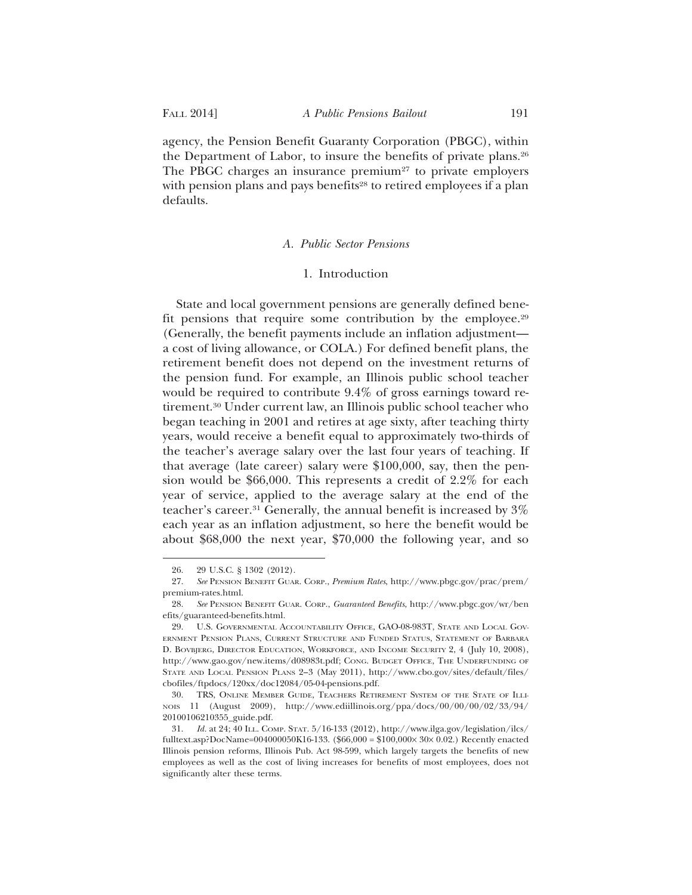agency, the Pension Benefit Guaranty Corporation (PBGC), within the Department of Labor, to insure the benefits of private plans.26 The PBGC charges an insurance premium<sup>27</sup> to private employers with pension plans and pays benefits<sup>28</sup> to retired employees if a plan defaults.

#### *A. Public Sector Pensions*

#### 1. Introduction

State and local government pensions are generally defined benefit pensions that require some contribution by the employee.29 (Generally, the benefit payments include an inflation adjustment a cost of living allowance, or COLA.) For defined benefit plans, the retirement benefit does not depend on the investment returns of the pension fund. For example, an Illinois public school teacher would be required to contribute 9.4% of gross earnings toward retirement.30 Under current law, an Illinois public school teacher who began teaching in 2001 and retires at age sixty, after teaching thirty years, would receive a benefit equal to approximately two-thirds of the teacher's average salary over the last four years of teaching. If that average (late career) salary were \$100,000, say, then the pension would be \$66,000. This represents a credit of 2.2% for each year of service, applied to the average salary at the end of the teacher's career.31 Generally, the annual benefit is increased by 3% each year as an inflation adjustment, so here the benefit would be about \$68,000 the next year, \$70,000 the following year, and so

<sup>26. 29</sup> U.S.C. § 1302 (2012).

<sup>27.</sup> *See* PENSION BENEFIT GUAR. CORP., *Premium Rates*, http://www.pbgc.gov/prac/prem/ premium-rates.html.

<sup>28.</sup> *See* PENSION BENEFIT GUAR. CORP., *Guaranteed Benefits*, http://www.pbgc.gov/wr/ben efits/guaranteed-benefits.html.

<sup>29.</sup> U.S. GOVERNMENTAL ACCOUNTABILITY OFFICE, GAO-08-983T, STATE AND LOCAL GOV-ERNMENT PENSION PLANS, CURRENT STRUCTURE AND FUNDED STATUS, STATEMENT OF BARBARA D. BOVBJERG, DIRECTOR EDUCATION, WORKFORCE, AND INCOME SECURITY 2, 4 (July 10, 2008), http://www.gao.gov/new.items/d08983t.pdf; CONG. BUDGET OFFICE, THE UNDERFUNDING OF STATE AND LOCAL PENSION PLANS 2–3 (May 2011), http://www.cbo.gov/sites/default/files/ cbofiles/ftpdocs/120xx/doc12084/05-04-pensions.pdf.

<sup>30.</sup> TRS, ONLINE MEMBER GUIDE, TEACHERS RETIREMENT SYSTEM OF THE STATE OF ILLI-NOIS 11 (August 2009), http://www.ediillinois.org/ppa/docs/00/00/00/02/33/94/ 20100106210355\_guide.pdf.

<sup>31.</sup> *Id.* at 24; 40 ILL. COMP. STAT. 5/16-133 (2012), http://www.ilga.gov/legislation/ilcs/ fulltext.asp?DocName=004000050K16-133. (\$66,000 = \$100,000× 30× 0.02.) Recently enacted Illinois pension reforms, Illinois Pub. Act 98-599, which largely targets the benefits of new employees as well as the cost of living increases for benefits of most employees, does not significantly alter these terms.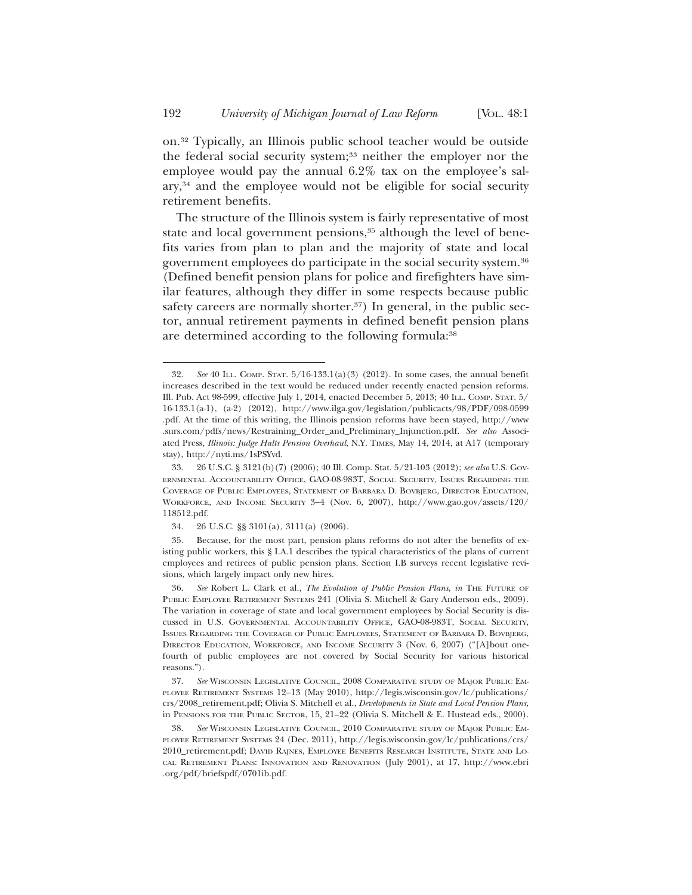on.32 Typically, an Illinois public school teacher would be outside the federal social security system;33 neither the employer nor the employee would pay the annual 6.2% tax on the employee's salary,34 and the employee would not be eligible for social security retirement benefits.

The structure of the Illinois system is fairly representative of most state and local government pensions,<sup>35</sup> although the level of benefits varies from plan to plan and the majority of state and local government employees do participate in the social security system.36 (Defined benefit pension plans for police and firefighters have similar features, although they differ in some respects because public safety careers are normally shorter.<sup>37</sup>) In general, in the public sector, annual retirement payments in defined benefit pension plans are determined according to the following formula:<sup>38</sup>

<sup>32.</sup> *See* 40 ILL. COMP. STAT. 5/16-133.1(a)(3) (2012). In some cases, the annual benefit increases described in the text would be reduced under recently enacted pension reforms. Ill. Pub. Act 98-599, effective July 1, 2014, enacted December 5, 2013; 40 ILL. COMP. STAT. 5/ 16-133.1(a-1), (a-2) (2012), http://www.ilga.gov/legislation/publicacts/98/PDF/098-0599 .pdf. At the time of this writing, the Illinois pension reforms have been stayed, http://www .surs.com/pdfs/news/Restraining\_Order\_and\_Preliminary\_Injunction.pdf. *See also* Associated Press, *Illinois: Judge Halts Pension Overhaul*, N.Y. TIMES, May 14, 2014, at A17 (temporary stay), http://nyti.ms/1sPSYvd.

<sup>33. 26</sup> U.S.C. § 3121(b)(7) (2006); 40 Ill. Comp. Stat. 5/21-103 (2012); *see also* U.S. GOV-ERNMENTAL ACCOUNTABILITY OFFICE, GAO-08-983T, SOCIAL SECURITY, ISSUES REGARDING THE COVERAGE OF PUBLIC EMPLOYEES, STATEMENT OF BARBARA D. BOVBJERG, DIRECTOR EDUCATION, WORKFORCE, AND INCOME SECURITY 3–4 (Nov. 6, 2007), http://www.gao.gov/assets/120/ 118512.pdf.

<sup>34. 26</sup> U.S.C. §§ 3101(a), 3111(a) (2006).

<sup>35.</sup> Because, for the most part, pension plans reforms do not alter the benefits of existing public workers, this § I.A.1 describes the typical characteristics of the plans of current employees and retirees of public pension plans. Section I.B surveys recent legislative revisions, which largely impact only new hires.

<sup>36.</sup> *See* Robert L. Clark et al., *The Evolution of Public Pension Plans*, *in* THE FUTURE OF PUBLIC EMPLOYEE RETIREMENT SYSTEMS 241 (Olivia S. Mitchell & Gary Anderson eds., 2009). The variation in coverage of state and local government employees by Social Security is discussed in U.S. GOVERNMENTAL ACCOUNTABILITY OFFICE, GAO-08-983T, SOCIAL SECURITY, ISSUES REGARDING THE COVERAGE OF PUBLIC EMPLOYEES, STATEMENT OF BARBARA D. BOVBJERG, DIRECTOR EDUCATION, WORKFORCE, AND INCOME SECURITY 3 (Nov. 6, 2007) ("[A]bout onefourth of public employees are not covered by Social Security for various historical reasons.").

<sup>37.</sup> *See* WISCONSIN LEGISLATIVE COUNCIL, 2008 COMPARATIVE STUDY OF MAJOR PUBLIC EM-PLOYEE RETIREMENT SYSTEMS 12–13 (May 2010), http://legis.wisconsin.gov/lc/publications/ crs/2008\_retirement.pdf; Olivia S. Mitchell et al., *Developments in State and Local Pension Plans*, in PENSIONS FOR THE PUBLIC SECTOR, 15, 21–22 (Olivia S. Mitchell & E. Hustead eds., 2000).

<sup>38.</sup> *See* WISCONSIN LEGISLATIVE COUNCIL, 2010 COMPARATIVE STUDY OF MAJOR PUBLIC EM-PLOYEE RETIREMENT SYSTEMS 24 (Dec. 2011), http://legis.wisconsin.gov/lc/publications/crs/ 2010\_retirement.pdf; DAVID RAJNES, EMPLOYEE BENEFITS RESEARCH INSTITUTE, STATE AND LO-CAL RETIREMENT PLANS: INNOVATION AND RENOVATION (July 2001), at 17, http://www.ebri .org/pdf/briefspdf/0701ib.pdf.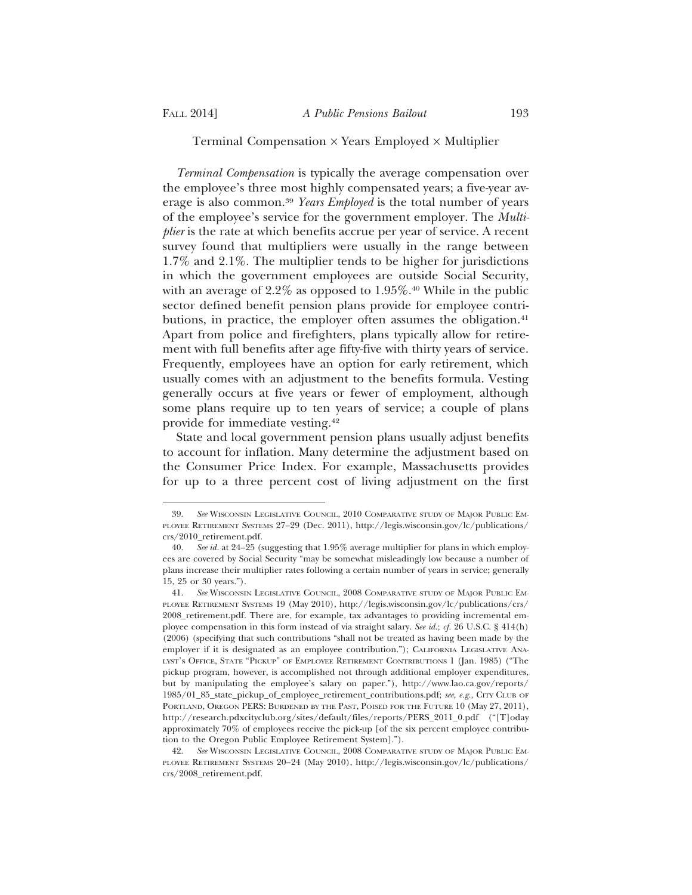#### Terminal Compensation  $\times$  Years Employed  $\times$  Multiplier

*Terminal Compensation* is typically the average compensation over the employee's three most highly compensated years; a five-year average is also common.39 *Years Employed* is the total number of years of the employee's service for the government employer. The *Multiplier* is the rate at which benefits accrue per year of service. A recent survey found that multipliers were usually in the range between 1.7% and 2.1%. The multiplier tends to be higher for jurisdictions in which the government employees are outside Social Security, with an average of 2.2% as opposed to 1.95%.<sup>40</sup> While in the public sector defined benefit pension plans provide for employee contributions, in practice, the employer often assumes the obligation.<sup>41</sup> Apart from police and firefighters, plans typically allow for retirement with full benefits after age fifty-five with thirty years of service. Frequently, employees have an option for early retirement, which usually comes with an adjustment to the benefits formula. Vesting generally occurs at five years or fewer of employment, although some plans require up to ten years of service; a couple of plans provide for immediate vesting.42

State and local government pension plans usually adjust benefits to account for inflation. Many determine the adjustment based on the Consumer Price Index. For example, Massachusetts provides for up to a three percent cost of living adjustment on the first

<sup>39.</sup> *See* WISCONSIN LEGISLATIVE COUNCIL, 2010 COMPARATIVE STUDY OF MAJOR PUBLIC EM-PLOYEE RETIREMENT SYSTEMS 27–29 (Dec. 2011), http://legis.wisconsin.gov/lc/publications/ crs/2010\_retirement.pdf.

<sup>40.</sup> *See id.* at 24–25 (suggesting that 1.95% average multiplier for plans in which employees are covered by Social Security "may be somewhat misleadingly low because a number of plans increase their multiplier rates following a certain number of years in service; generally 15, 25 or 30 years.").

<sup>41.</sup> *See* WISCONSIN LEGISLATIVE COUNCIL, 2008 COMPARATIVE STUDY OF MAJOR PUBLIC EM-PLOYEE RETIREMENT SYSTEMS 19 (May 2010), http://legis.wisconsin.gov/lc/publications/crs/ 2008\_retirement.pdf. There are, for example, tax advantages to providing incremental employee compensation in this form instead of via straight salary. *See id.*; *cf.* 26 U.S.C. § 414(h) (2006) (specifying that such contributions "shall not be treated as having been made by the employer if it is designated as an employee contribution."); CALIFORNIA LEGISLATIVE ANA-LYST'S OFFICE, STATE "PICKUP" OF EMPLOYEE RETIREMENT CONTRIBUTIONS 1 (Jan. 1985) ("The pickup program, however, is accomplished not through additional employer expenditures, but by manipulating the employee's salary on paper."), http://www.lao.ca.gov/reports/ 1985/01\_85\_state\_pickup\_of\_employee\_retirement\_contributions.pdf; *see, e.g.*, CITY CLUB OF PORTLAND, OREGON PERS: BURDENED BY THE PAST, POISED FOR THE FUTURE 10 (May 27, 2011), http://research.pdxcityclub.org/sites/default/files/reports/PERS\_2011\_0.pdf ("[T]oday approximately 70% of employees receive the pick-up [of the six percent employee contribution to the Oregon Public Employee Retirement System].").

<sup>42.</sup> *See* WISCONSIN LEGISLATIVE COUNCIL, 2008 COMPARATIVE STUDY OF MAJOR PUBLIC EM-PLOYEE RETIREMENT SYSTEMS 20–24 (May 2010), http://legis.wisconsin.gov/lc/publications/ crs/2008\_retirement.pdf.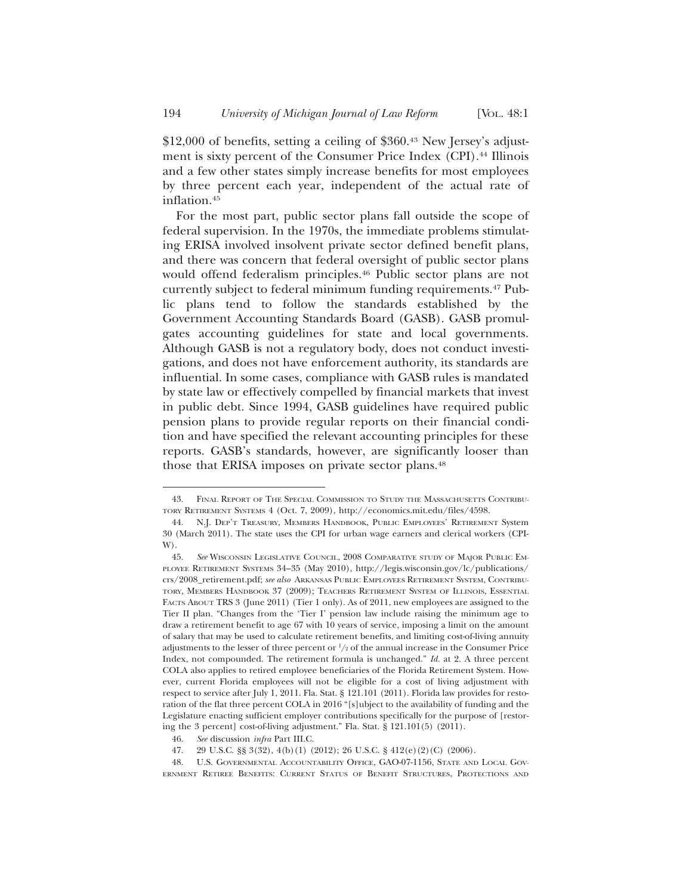\$12,000 of benefits, setting a ceiling of \$360.43 New Jersey's adjustment is sixty percent of the Consumer Price Index (CPI).<sup>44</sup> Illinois and a few other states simply increase benefits for most employees by three percent each year, independent of the actual rate of inflation.45

For the most part, public sector plans fall outside the scope of federal supervision. In the 1970s, the immediate problems stimulating ERISA involved insolvent private sector defined benefit plans, and there was concern that federal oversight of public sector plans would offend federalism principles.<sup>46</sup> Public sector plans are not currently subject to federal minimum funding requirements.47 Public plans tend to follow the standards established by the Government Accounting Standards Board (GASB). GASB promulgates accounting guidelines for state and local governments. Although GASB is not a regulatory body, does not conduct investigations, and does not have enforcement authority, its standards are influential. In some cases, compliance with GASB rules is mandated by state law or effectively compelled by financial markets that invest in public debt. Since 1994, GASB guidelines have required public pension plans to provide regular reports on their financial condition and have specified the relevant accounting principles for these reports. GASB's standards, however, are significantly looser than those that ERISA imposes on private sector plans.<sup>48</sup>

<sup>43.</sup> FINAL REPORT OF THE SPECIAL COMMISSION TO STUDY THE MASSACHUSETTS CONTRIBU-TORY RETIREMENT SYSTEMS 4 (Oct. 7, 2009), http://economics.mit.edu/files/4598.

<sup>44.</sup> N.J. DEP'T TREASURY, MEMBERS HANDBOOK, PUBLIC EMPLOYEES' RETIREMENT System 30 (March 2011). The state uses the CPI for urban wage earners and clerical workers (CPI-W).

<sup>45.</sup> *See* WISCONSIN LEGISLATIVE COUNCIL, 2008 COMPARATIVE STUDY OF MAJOR PUBLIC EM-PLOYEE RETIREMENT SYSTEMS 34–35 (May 2010), http://legis.wisconsin.gov/lc/publications/ crs/2008\_retirement.pdf; *see also* ARKANSAS PUBLIC EMPLOYEES RETIREMENT SYSTEM, CONTRIBU-TORY, MEMBERS HANDBOOK 37 (2009); TEACHERS RETIREMENT SYSTEM OF ILLINOIS, ESSENTIAL FACTS ABOUT TRS 3 (June 2011) (Tier 1 only). As of 2011, new employees are assigned to the Tier II plan. "Changes from the 'Tier I' pension law include raising the minimum age to draw a retirement benefit to age 67 with 10 years of service, imposing a limit on the amount of salary that may be used to calculate retirement benefits, and limiting cost-of-living annuity adjustments to the lesser of three percent or  $1\!/_2$  of the annual increase in the Consumer Price Index, not compounded. The retirement formula is unchanged." *Id.* at 2. A three percent COLA also applies to retired employee beneficiaries of the Florida Retirement System. However, current Florida employees will not be eligible for a cost of living adjustment with respect to service after July 1, 2011. Fla. Stat. § 121.101 (2011). Florida law provides for restoration of the flat three percent COLA in 2016 "[s]ubject to the availability of funding and the Legislature enacting sufficient employer contributions specifically for the purpose of [restoring the 3 percent] cost-of-living adjustment." Fla. Stat. § 121.101(5) (2011).

<sup>46.</sup> *See* discussion *infra* Part III.C.

<sup>47. 29</sup> U.S.C.  $\S$  3(32), 4(b)(1) (2012); 26 U.S.C.  $\S$  412(e)(2)(C) (2006).

<sup>48.</sup> U.S. GOVERNMENTAL ACCOUNTABILITY OFFICE, GAO-07-1156, STATE AND LOCAL GOV-ERNMENT RETIREE BENEFITS: CURRENT STATUS OF BENEFIT STRUCTURES, PROTECTIONS AND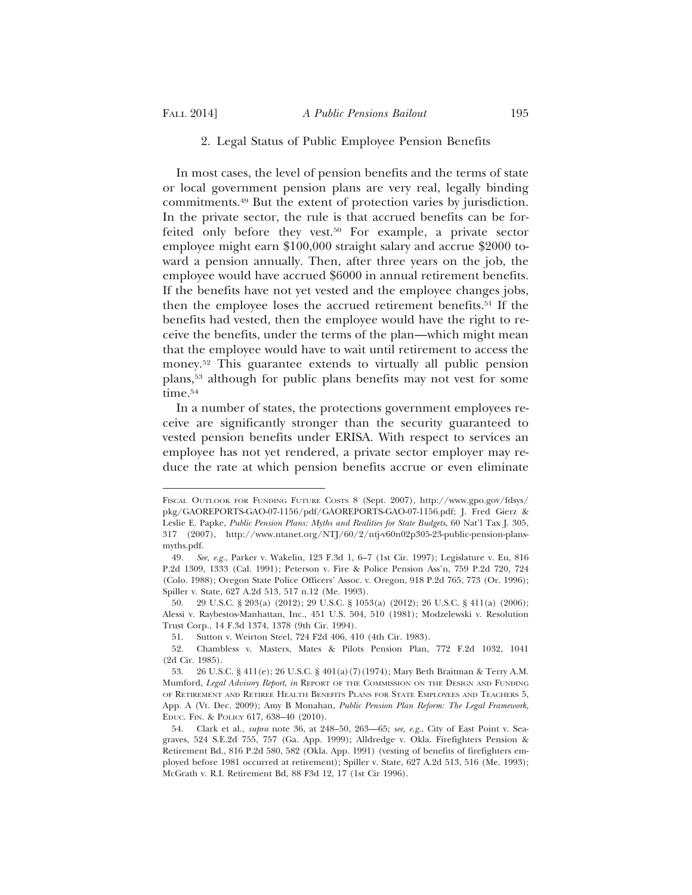# 2. Legal Status of Public Employee Pension Benefits

In most cases, the level of pension benefits and the terms of state or local government pension plans are very real, legally binding commitments.49 But the extent of protection varies by jurisdiction. In the private sector, the rule is that accrued benefits can be forfeited only before they vest.50 For example, a private sector employee might earn \$100,000 straight salary and accrue \$2000 toward a pension annually. Then, after three years on the job, the employee would have accrued \$6000 in annual retirement benefits. If the benefits have not yet vested and the employee changes jobs, then the employee loses the accrued retirement benefits.51 If the benefits had vested, then the employee would have the right to receive the benefits, under the terms of the plan—which might mean that the employee would have to wait until retirement to access the money.52 This guarantee extends to virtually all public pension plans,53 although for public plans benefits may not vest for some time.<sup>54</sup>

In a number of states, the protections government employees receive are significantly stronger than the security guaranteed to vested pension benefits under ERISA. With respect to services an employee has not yet rendered, a private sector employer may reduce the rate at which pension benefits accrue or even eliminate

FISCAL OUTLOOK FOR FUNDING FUTURE COSTS 8 (Sept. 2007), http://www.gpo.gov/fdsys/ pkg/GAOREPORTS-GAO-07-1156/pdf/GAOREPORTS-GAO-07-1156.pdf; J. Fred Gierz & Leslie E. Papke, *Public Pension Plans: Myths and Realities for State Budgets*, 60 Nat'l Tax J. 305, 317 (2007), http://www.ntanet.org/NTJ/60/2/ntj-v60n02p305-23-public-pension-plansmyths.pdf.

<sup>49.</sup> *See, e.g.*, Parker v. Wakelin, 123 F.3d 1, 6–7 (1st Cir. 1997); Legislature v. Eu, 816 P.2d 1309, 1333 (Cal. 1991); Peterson v. Fire & Police Pension Ass'n, 759 P.2d 720, 724 (Colo. 1988); Oregon State Police Officers' Assoc. v. Oregon, 918 P.2d 765, 773 (Or. 1996); Spiller v. State, 627 A.2d 513, 517 n.12 (Me. 1993).

<sup>50. 29</sup> U.S.C. § 203(a) (2012); 29 U.S.C. § 1053(a) (2012); 26 U.S.C. § 411(a) (2006); Alessi v. Raybestos-Manhattan, Inc., 451 U.S. 504, 510 (1981); Modzelewski v. Resolution Trust Corp., 14 F.3d 1374, 1378 (9th Cir. 1994).

<sup>51.</sup> Sutton v. Weirton Steel, 724 F2d 406, 410 (4th Cir. 1983).

<sup>52.</sup> Chambless v. Masters, Mates & Pilots Pension Plan, 772 F.2d 1032, 1041 (2d Cir. 1985).

<sup>53. 26</sup> U.S.C. § 411(e); 26 U.S.C. § 401(a)(7)(1974); Mary Beth Braitman & Terry A.M. Mumford, *Legal Advisory Report*, *in* REPORT OF THE COMMISSION ON THE DESIGN AND FUNDING OF RETIREMENT AND RETIREE HEALTH BENEFITS PLANS FOR STATE EMPLOYEES AND TEACHERS 5, App. A (Vt. Dec. 2009); Amy B Monahan, *Public Pension Plan Reform: The Legal Framework*, EDUC. FIN. & POLICY 617, 638–40 (2010).

<sup>54.</sup> Clark et al., *supra* note 36, at 248–50, 263—65; *see, e.g.*, City of East Point v. Seagraves, 524 S.E.2d 755, 757 (Ga. App. 1999); Alldredge v. Okla. Firefighters Pension & Retirement Bd., 816 P.2d 580, 582 (Okla. App. 1991) (vesting of benefits of firefighters employed before 1981 occurred at retirement); Spiller v. State, 627 A.2d 513, 516 (Me. 1993); McGrath v. R.I. Retirement Bd, 88 F3d 12, 17 (1st Cir 1996).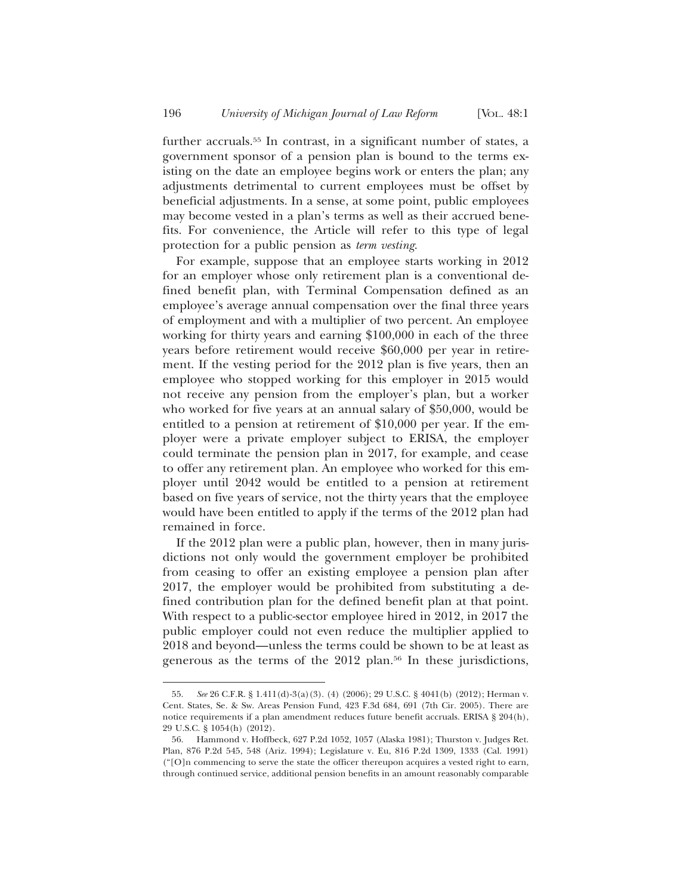further accruals.<sup>55</sup> In contrast, in a significant number of states, a government sponsor of a pension plan is bound to the terms existing on the date an employee begins work or enters the plan; any adjustments detrimental to current employees must be offset by beneficial adjustments. In a sense, at some point, public employees may become vested in a plan's terms as well as their accrued benefits. For convenience, the Article will refer to this type of legal protection for a public pension as *term vesting*.

For example, suppose that an employee starts working in 2012 for an employer whose only retirement plan is a conventional defined benefit plan, with Terminal Compensation defined as an employee's average annual compensation over the final three years of employment and with a multiplier of two percent. An employee working for thirty years and earning \$100,000 in each of the three years before retirement would receive \$60,000 per year in retirement. If the vesting period for the 2012 plan is five years, then an employee who stopped working for this employer in 2015 would not receive any pension from the employer's plan, but a worker who worked for five years at an annual salary of \$50,000, would be entitled to a pension at retirement of \$10,000 per year. If the employer were a private employer subject to ERISA, the employer could terminate the pension plan in 2017, for example, and cease to offer any retirement plan. An employee who worked for this employer until 2042 would be entitled to a pension at retirement based on five years of service, not the thirty years that the employee would have been entitled to apply if the terms of the 2012 plan had remained in force.

If the 2012 plan were a public plan, however, then in many jurisdictions not only would the government employer be prohibited from ceasing to offer an existing employee a pension plan after 2017, the employer would be prohibited from substituting a defined contribution plan for the defined benefit plan at that point. With respect to a public-sector employee hired in 2012, in 2017 the public employer could not even reduce the multiplier applied to 2018 and beyond—unless the terms could be shown to be at least as generous as the terms of the 2012 plan.56 In these jurisdictions,

<sup>55.</sup> *See* 26 C.F.R. § 1.411(d)-3(a)(3). (4) (2006); 29 U.S.C. § 4041(b) (2012); Herman v. Cent. States, Se. & Sw. Areas Pension Fund, 423 F.3d 684, 691 (7th Cir. 2005). There are notice requirements if a plan amendment reduces future benefit accruals. ERISA § 204(h), 29 U.S.C. § 1054(h) (2012).

<sup>56.</sup> Hammond v. Hoffbeck, 627 P.2d 1052, 1057 (Alaska 1981); Thurston v. Judges Ret. Plan, 876 P.2d 545, 548 (Ariz. 1994); Legislature v. Eu, 816 P.2d 1309, 1333 (Cal. 1991) ("[O]n commencing to serve the state the officer thereupon acquires a vested right to earn, through continued service, additional pension benefits in an amount reasonably comparable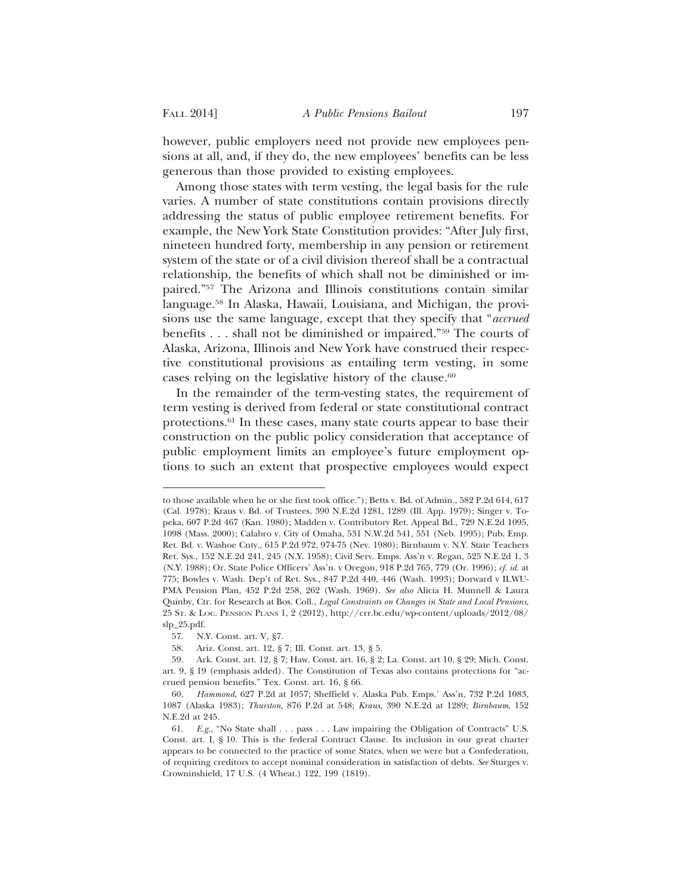however, public employers need not provide new employees pensions at all, and, if they do, the new employees' benefits can be less generous than those provided to existing employees.

Among those states with term vesting, the legal basis for the rule varies. A number of state constitutions contain provisions directly addressing the status of public employee retirement benefits. For example, the New York State Constitution provides: "After July first, nineteen hundred forty, membership in any pension or retirement system of the state or of a civil division thereof shall be a contractual relationship, the benefits of which shall not be diminished or impaired."57 The Arizona and Illinois constitutions contain similar language.58 In Alaska, Hawaii, Louisiana, and Michigan, the provisions use the same language, except that they specify that "*accrued* benefits . . . shall not be diminished or impaired."59 The courts of Alaska, Arizona, Illinois and New York have construed their respective constitutional provisions as entailing term vesting, in some cases relying on the legislative history of the clause.60

In the remainder of the term-vesting states, the requirement of term vesting is derived from federal or state constitutional contract protections.61 In these cases, many state courts appear to base their construction on the public policy consideration that acceptance of public employment limits an employee's future employment options to such an extent that prospective employees would expect

to those available when he or she first took office."); Betts v. Bd. of Admin., 582 P.2d 614, 617 (Cal. 1978); Kraus v. Bd. of Trustees, 390 N.E.2d 1281, 1289 (Ill. App. 1979); Singer v. Topeka, 607 P.2d 467 (Kan. 1980); Madden v. Contributory Ret. Appeal Bd., 729 N.E.2d 1095, 1098 (Mass. 2000); Calabro v. City of Omaha, 531 N.W.2d 541, 551 (Neb. 1995); Pub. Emp. Ret. Bd. v. Washoe Cnty., 615 P.2d 972, 974-75 (Nev. 1980); Birnbaum v. N.Y. State Teachers Ret. Sys., 152 N.E.2d 241, 245 (N.Y. 1958); Civil Serv. Emps. Ass'n v. Regan, 525 N.E.2d 1, 3 (N.Y. 1988); Or. State Police Officers' Ass'n. v Oregon, 918 P.2d 765, 779 (Or. 1996); *cf. id.* at 775; Bowles v. Wash. Dep't of Ret. Sys., 847 P.2d 440, 446 (Wash. 1993); Dorward v ILWU-PMA Pension Plan, 452 P.2d 258, 262 (Wash. 1969). *See also* Alicia H. Munnell & Laura Quinby, Ctr. for Research at Bos. Coll., *Legal Constraints on Changes in State and Local Pensions*, 25 ST. & LOC. PENSION PLANS 1, 2 (2012), http://crr.bc.edu/wp-content/uploads/2012/08/ slp\_25.pdf.

<sup>57.</sup> N.Y. Const. art. V, §7.

<sup>58.</sup> Ariz. Const. art. 12, § 7; Ill. Const. art. 13, § 5.

<sup>59.</sup> Ark. Const. art. 12, § 7; Haw. Const. art. 16, § 2; La. Const. art 10, § 29; Mich. Const. art. 9, § 19 (emphasis added). The Constitution of Texas also contains protections for "accrued pension benefits." Tex. Const. art. 16, § 66.

<sup>60.</sup> *Hammond*, 627 P.2d at 1057; Sheffield v. Alaska Pub. Emps.' Ass'n, 732 P.2d 1083, 1087 (Alaska 1983); *Thurston*, 876 P.2d at 548; *Kraus*, 390 N.E.2d at 1289; *Birnbaum*, 152 N.E.2d at 245.

<sup>61.</sup> *E.g.*, "No State shall . . . pass . . . Law impairing the Obligation of Contracts" U.S. Const. art. I, § 10. This is the federal Contract Clause. Its inclusion in our great charter appears to be connected to the practice of some States, when we were but a Confederation, of requiring creditors to accept nominal consideration in satisfaction of debts. *See* Sturges v. Crowninshield, 17 U.S. (4 Wheat.) 122, 199 (1819).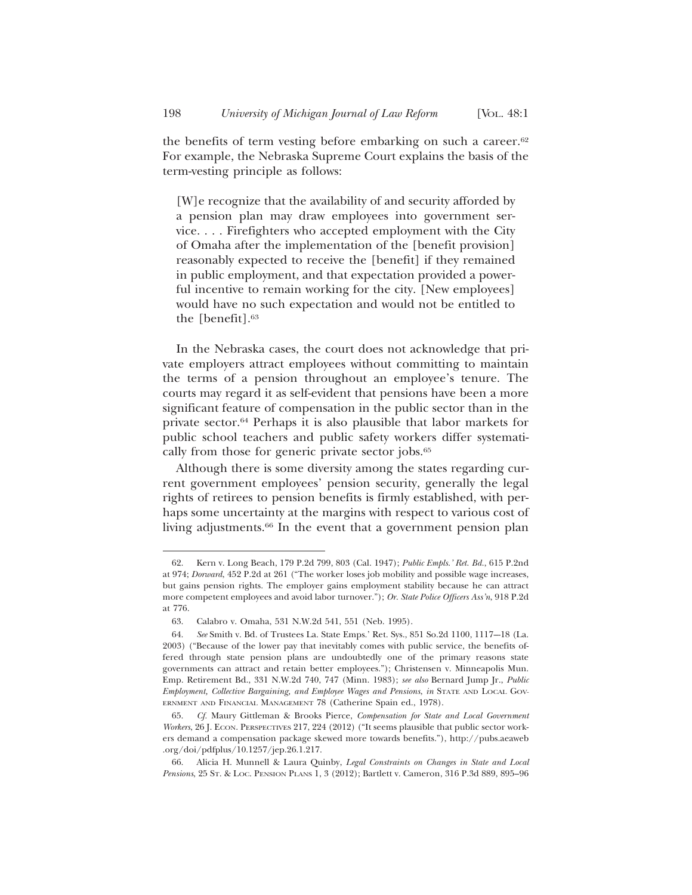the benefits of term vesting before embarking on such a career.<sup>62</sup> For example, the Nebraska Supreme Court explains the basis of the term-vesting principle as follows:

[W]e recognize that the availability of and security afforded by a pension plan may draw employees into government service. . . . Firefighters who accepted employment with the City of Omaha after the implementation of the [benefit provision] reasonably expected to receive the [benefit] if they remained in public employment, and that expectation provided a powerful incentive to remain working for the city. [New employees] would have no such expectation and would not be entitled to the [benefit].63

In the Nebraska cases, the court does not acknowledge that private employers attract employees without committing to maintain the terms of a pension throughout an employee's tenure. The courts may regard it as self-evident that pensions have been a more significant feature of compensation in the public sector than in the private sector.64 Perhaps it is also plausible that labor markets for public school teachers and public safety workers differ systematically from those for generic private sector jobs.<sup>65</sup>

Although there is some diversity among the states regarding current government employees' pension security, generally the legal rights of retirees to pension benefits is firmly established, with perhaps some uncertainty at the margins with respect to various cost of living adjustments.<sup>66</sup> In the event that a government pension plan

<sup>62.</sup> Kern v. Long Beach, 179 P.2d 799, 803 (Cal. 1947); *Public Empls.' Ret. Bd.*, 615 P.2nd at 974; *Dorward*, 452 P.2d at 261 ("The worker loses job mobility and possible wage increases, but gains pension rights. The employer gains employment stability because he can attract more competent employees and avoid labor turnover."); *Or. State Police Officers Ass'n*, 918 P.2d at 776.

<sup>63.</sup> Calabro v. Omaha, 531 N.W.2d 541, 551 (Neb. 1995).

<sup>64.</sup> *See* Smith v. Bd. of Trustees La. State Emps.' Ret. Sys., 851 So.2d 1100, 1117–-18 (La. 2003) ("Because of the lower pay that inevitably comes with public service, the benefits offered through state pension plans are undoubtedly one of the primary reasons state governments can attract and retain better employees."); Christensen v. Minneapolis Mun. Emp. Retirement Bd., 331 N.W.2d 740, 747 (Minn. 1983); *see also* Bernard Jump Jr., *Public Employment, Collective Bargaining, and Employee Wages and Pensions*, *in* STATE AND LOCAL GOV-ERNMENT AND FINANCIAL MANAGEMENT 78 (Catherine Spain ed., 1978).

<sup>65.</sup> *Cf.* Maury Gittleman & Brooks Pierce, *Compensation for State and Local Government Workers*, 26 J. ECON. PERSPECTIVES 217, 224 (2012) ("It seems plausible that public sector workers demand a compensation package skewed more towards benefits."), http://pubs.aeaweb .org/doi/pdfplus/10.1257/jep.26.1.217.

<sup>66.</sup> Alicia H. Munnell & Laura Quinby, *Legal Constraints on Changes in State and Local Pensions*, 25 ST. & LOC. PENSION PLANS 1, 3 (2012); Bartlett v. Cameron, 316 P.3d 889, 895–96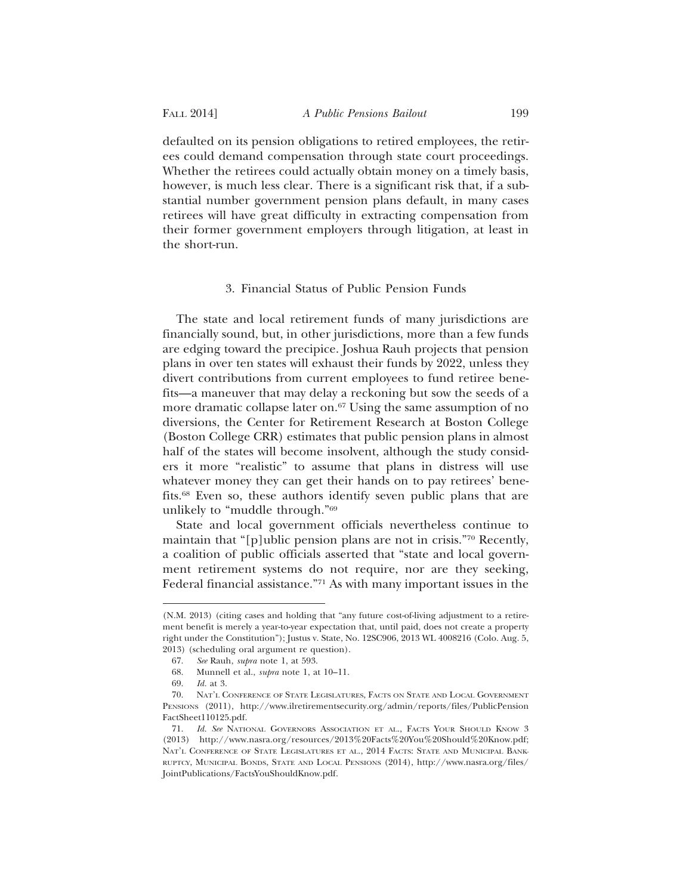defaulted on its pension obligations to retired employees, the retirees could demand compensation through state court proceedings. Whether the retirees could actually obtain money on a timely basis, however, is much less clear. There is a significant risk that, if a substantial number government pension plans default, in many cases retirees will have great difficulty in extracting compensation from their former government employers through litigation, at least in the short-run.

### 3. Financial Status of Public Pension Funds

The state and local retirement funds of many jurisdictions are financially sound, but, in other jurisdictions, more than a few funds are edging toward the precipice. Joshua Rauh projects that pension plans in over ten states will exhaust their funds by 2022, unless they divert contributions from current employees to fund retiree benefits—a maneuver that may delay a reckoning but sow the seeds of a more dramatic collapse later on.<sup>67</sup> Using the same assumption of no diversions, the Center for Retirement Research at Boston College (Boston College CRR) estimates that public pension plans in almost half of the states will become insolvent, although the study considers it more "realistic" to assume that plans in distress will use whatever money they can get their hands on to pay retirees' benefits.68 Even so, these authors identify seven public plans that are unlikely to "muddle through."69

State and local government officials nevertheless continue to maintain that "[p]ublic pension plans are not in crisis."70 Recently, a coalition of public officials asserted that "state and local government retirement systems do not require, nor are they seeking, Federal financial assistance."71 As with many important issues in the

<sup>(</sup>N.M. 2013) (citing cases and holding that "any future cost-of-living adjustment to a retirement benefit is merely a year-to-year expectation that, until paid, does not create a property right under the Constitution"); Justus v. State, No. 12SC906, 2013 WL 4008216 (Colo. Aug. 5, 2013) (scheduling oral argument re question).

<sup>67.</sup> *See* Rauh, *supra* note 1, at 593.

<sup>68.</sup> Munnell et al., *supra* note 1, at 10–11.

<sup>69.</sup> *Id.* at 3.

<sup>70.</sup> NAT'L CONFERENCE OF STATE LEGISLATURES, FACTS ON STATE AND LOCAL GOVERNMENT PENSIONS (2011), http://www.ilretirementsecurity.org/admin/reports/files/PublicPension FactSheet110125.pdf.

<sup>71.</sup> *Id. See* NATIONAL GOVERNORS ASSOCIATION ET AL., FACTS YOUR SHOULD KNOW 3 (2013) http://www.nasra.org/resources/2013%20Facts%20You%20Should%20Know.pdf; NAT'L CONFERENCE OF STATE LEGISLATURES ET AL., 2014 FACTS: STATE AND MUNICIPAL BANK-RUPTCY, MUNICIPAL BONDS, STATE AND LOCAL PENSIONS (2014), http://www.nasra.org/files/ JointPublications/FactsYouShouldKnow.pdf.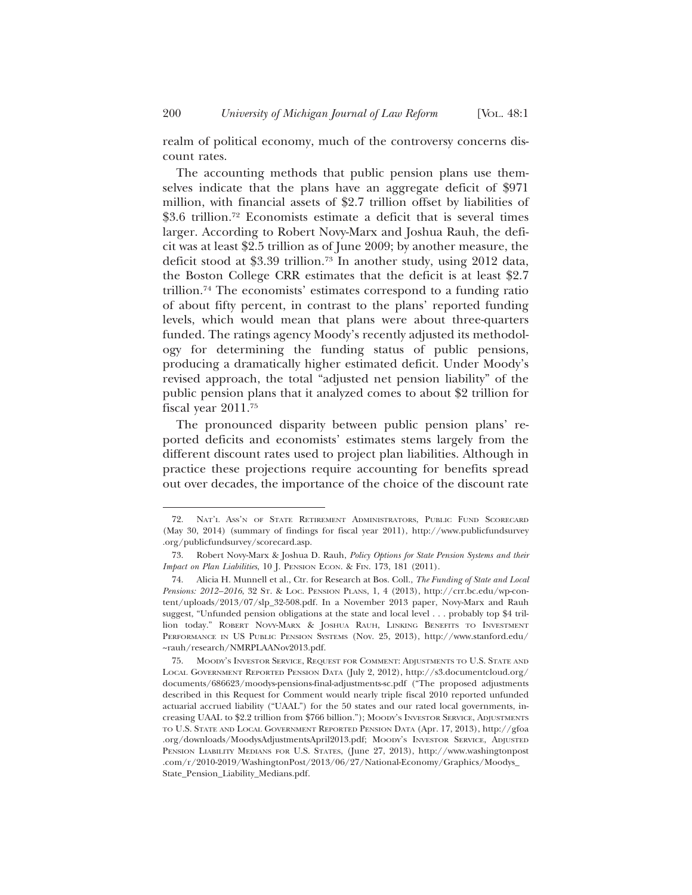realm of political economy, much of the controversy concerns discount rates.

The accounting methods that public pension plans use themselves indicate that the plans have an aggregate deficit of \$971 million, with financial assets of \$2.7 trillion offset by liabilities of \$3.6 trillion.<sup>72</sup> Economists estimate a deficit that is several times larger. According to Robert Novy-Marx and Joshua Rauh, the deficit was at least \$2.5 trillion as of June 2009; by another measure, the deficit stood at \$3.39 trillion.73 In another study, using 2012 data, the Boston College CRR estimates that the deficit is at least \$2.7 trillion.74 The economists' estimates correspond to a funding ratio of about fifty percent, in contrast to the plans' reported funding levels, which would mean that plans were about three-quarters funded. The ratings agency Moody's recently adjusted its methodology for determining the funding status of public pensions, producing a dramatically higher estimated deficit. Under Moody's revised approach, the total "adjusted net pension liability" of the public pension plans that it analyzed comes to about \$2 trillion for fiscal year 2011.75

The pronounced disparity between public pension plans' reported deficits and economists' estimates stems largely from the different discount rates used to project plan liabilities. Although in practice these projections require accounting for benefits spread out over decades, the importance of the choice of the discount rate

<sup>72.</sup> NAT'L ASS'N OF STATE RETIREMENT ADMINISTRATORS, PUBLIC FUND SCORECARD (May 30, 2014) (summary of findings for fiscal year 2011), http://www.publicfundsurvey .org/publicfundsurvey/scorecard.asp.

<sup>73.</sup> Robert Novy-Marx & Joshua D. Rauh, *Policy Options for State Pension Systems and their Impact on Plan Liabilities*, 10 J. PENSION ECON. & FIN. 173, 181 (2011).

<sup>74.</sup> Alicia H. Munnell et al., Ctr. for Research at Bos. Coll., *The Funding of State and Local Pensions: 2012–2016*, 32 ST. & LOC. PENSION PLANS, 1, 4 (2013), http://crr.bc.edu/wp-content/uploads/2013/07/slp\_32-508.pdf. In a November 2013 paper, Novy-Marx and Rauh suggest, "Unfunded pension obligations at the state and local level . . . probably top \$4 trillion today." ROBERT NOVY-MARX & JOSHUA RAUH, LINKING BENEFITS TO INVESTMENT PERFORMANCE IN US PUBLIC PENSION SYSTEMS (Nov. 25, 2013), http://www.stanford.edu/ ~rauh/research/NMRPLAANov2013.pdf.

<sup>75.</sup> MOODY'S INVESTOR SERVICE, REQUEST FOR COMMENT: ADJUSTMENTS TO U.S. STATE AND LOCAL GOVERNMENT REPORTED PENSION DATA (July 2, 2012), http://s3.documentcloud.org/ documents/686623/moodys-pensions-final-adjustments-sc.pdf ("The proposed adjustments described in this Request for Comment would nearly triple fiscal 2010 reported unfunded actuarial accrued liability ("UAAL") for the 50 states and our rated local governments, increasing UAAL to \$2.2 trillion from \$766 billion."); MOODY'S INVESTOR SERVICE, ADJUSTMENTS TO U.S. STATE AND LOCAL GOVERNMENT REPORTED PENSION DATA (Apr. 17, 2013), http://gfoa .org/downloads/MoodysAdjustmentsApril2013.pdf; MOODY'S INVESTOR SERVICE, ADJUSTED PENSION LIABILITY MEDIANS FOR U.S. STATES, (June 27, 2013), http://www.washingtonpost .com/r/2010-2019/WashingtonPost/2013/06/27/National-Economy/Graphics/Moodys\_ State\_Pension\_Liability\_Medians.pdf.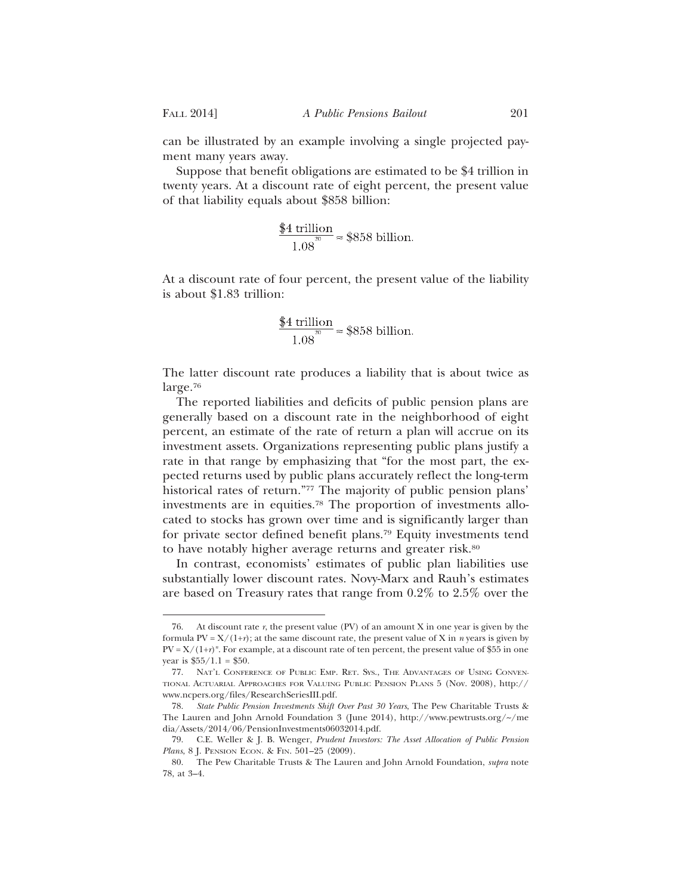can be illustrated by an example involving a single projected payment many years away.

Suppose that benefit obligations are estimated to be \$4 trillion in twenty years. At a discount rate of eight percent, the present value of that liability equals about \$858 billion:

$$
\frac{$4 \text{ trillion}}{1.08} \approx $858 \text{ billion.}
$$

At a discount rate of four percent, the present value of the liability is about \$1.83 trillion:

$$
\frac{$4 \text{ trillion}}{1.08} \approx $858 \text{ billion.}
$$

The latter discount rate produces a liability that is about twice as large.76

The reported liabilities and deficits of public pension plans are generally based on a discount rate in the neighborhood of eight percent, an estimate of the rate of return a plan will accrue on its investment assets. Organizations representing public plans justify a rate in that range by emphasizing that "for the most part, the expected returns used by public plans accurately reflect the long-term historical rates of return."77 The majority of public pension plans' investments are in equities.78 The proportion of investments allocated to stocks has grown over time and is significantly larger than for private sector defined benefit plans.79 Equity investments tend to have notably higher average returns and greater risk.<sup>80</sup>

In contrast, economists' estimates of public plan liabilities use substantially lower discount rates. Novy-Marx and Rauh's estimates are based on Treasury rates that range from 0.2% to 2.5% over the

<sup>76.</sup> At discount rate  $r$ , the present value (PV) of an amount X in one year is given by the formula PV =  $X/(1+r)$ ; at the same discount rate, the present value of X in *n* years is given by  $PV = X/(1+r)^n$ . For example, at a discount rate of ten percent, the present value of \$55 in one year is  $$55/1.1 = $50$ .

<sup>77.</sup> NAT'L CONFERENCE OF PUBLIC EMP. RET. SYS., THE ADVANTAGES OF USING CONVEN-TIONAL ACTUARIAL APPROACHES FOR VALUING PUBLIC PENSION PLANS 5 (Nov. 2008), http:// www.ncpers.org/files/ResearchSeriesIII.pdf.

<sup>78.</sup> *State Public Pension Investments Shift Over Past 30 Years*, The Pew Charitable Trusts & The Lauren and John Arnold Foundation 3 (June 2014), http://www.pewtrusts.org/~/me dia/Assets/2014/06/PensionInvestments06032014.pdf.

<sup>79.</sup> C.E. Weller & J. B. Wenger, *Prudent Investors: The Asset Allocation of Public Pension Plans*, 8 J. PENSION ECON. & FIN. 501-25 (2009).

<sup>80.</sup> The Pew Charitable Trusts & The Lauren and John Arnold Foundation, *supra* note 78, at 3–4.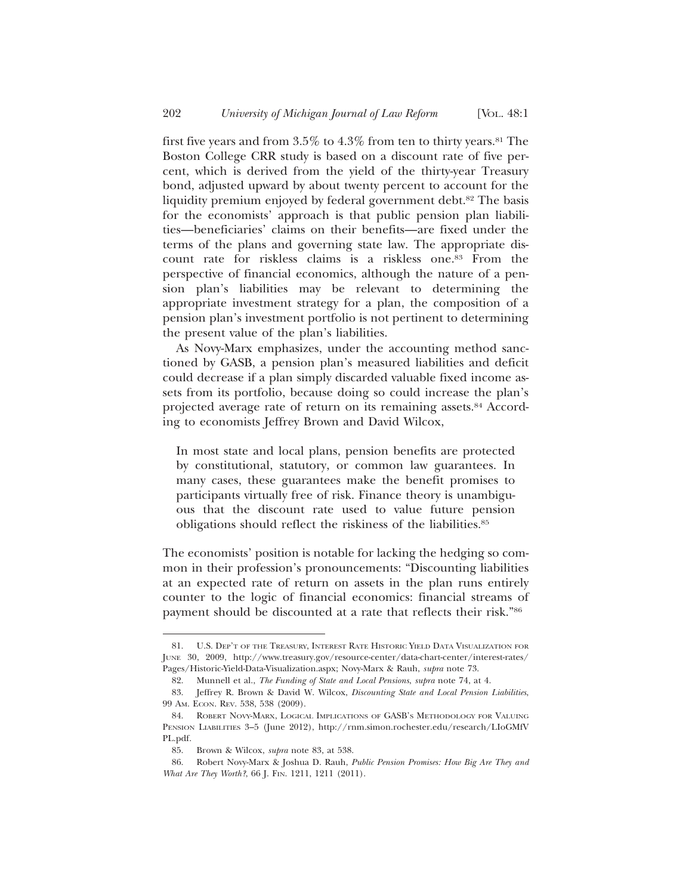first five years and from  $3.5\%$  to  $4.3\%$  from ten to thirty years.<sup>81</sup> The Boston College CRR study is based on a discount rate of five percent, which is derived from the yield of the thirty-year Treasury bond, adjusted upward by about twenty percent to account for the liquidity premium enjoyed by federal government debt.82 The basis for the economists' approach is that public pension plan liabilities—beneficiaries' claims on their benefits—are fixed under the terms of the plans and governing state law. The appropriate discount rate for riskless claims is a riskless one.<sup>83</sup> From the perspective of financial economics, although the nature of a pension plan's liabilities may be relevant to determining the appropriate investment strategy for a plan, the composition of a pension plan's investment portfolio is not pertinent to determining the present value of the plan's liabilities.

As Novy-Marx emphasizes, under the accounting method sanctioned by GASB, a pension plan's measured liabilities and deficit could decrease if a plan simply discarded valuable fixed income assets from its portfolio, because doing so could increase the plan's projected average rate of return on its remaining assets.84 According to economists Jeffrey Brown and David Wilcox,

In most state and local plans, pension benefits are protected by constitutional, statutory, or common law guarantees. In many cases, these guarantees make the benefit promises to participants virtually free of risk. Finance theory is unambiguous that the discount rate used to value future pension obligations should reflect the riskiness of the liabilities.85

The economists' position is notable for lacking the hedging so common in their profession's pronouncements: "Discounting liabilities at an expected rate of return on assets in the plan runs entirely counter to the logic of financial economics: financial streams of payment should be discounted at a rate that reflects their risk."86

<sup>81.</sup> U.S. DEP'T OF THE TREASURY, INTEREST RATE HISTORIC YIELD DATA VISUALIZATION FOR JUNE 30, 2009, http://www.treasury.gov/resource-center/data-chart-center/interest-rates/ Pages/Historic-Yield-Data-Visualization.aspx; Novy-Marx & Rauh, *supra* note 73.

<sup>82.</sup> Munnell et al., *The Funding of State and Local Pensions*, *supra* note 74, at 4.

<sup>83.</sup> Jeffrey R. Brown & David W. Wilcox, *Discounting State and Local Pension Liabilities*, 99 AM. ECON. REV. 538, 538 (2009).

<sup>84.</sup> ROBERT NOVY-MARX, LOGICAL IMPLICATIONS OF GASB'S METHODOLOGY FOR VALUING PENSION LIABILITIES 3–5 (June 2012), http://rnm.simon.rochester.edu/research/LIoGMfV PL.pdf.

<sup>85.</sup> Brown & Wilcox, *supra* note 83, at 538.

<sup>86.</sup> Robert Novy-Marx & Joshua D. Rauh, *Public Pension Promises: How Big Are They and What Are They Worth?*, 66 J. FIN. 1211, 1211 (2011).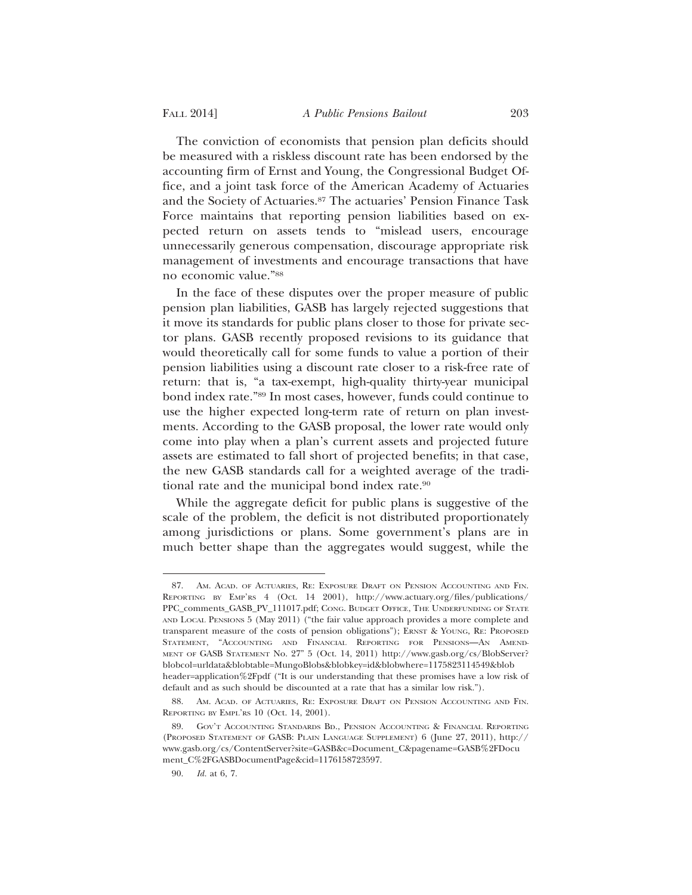The conviction of economists that pension plan deficits should be measured with a riskless discount rate has been endorsed by the accounting firm of Ernst and Young, the Congressional Budget Office, and a joint task force of the American Academy of Actuaries and the Society of Actuaries.87 The actuaries' Pension Finance Task Force maintains that reporting pension liabilities based on expected return on assets tends to "mislead users, encourage unnecessarily generous compensation, discourage appropriate risk management of investments and encourage transactions that have no economic value."88

In the face of these disputes over the proper measure of public pension plan liabilities, GASB has largely rejected suggestions that it move its standards for public plans closer to those for private sector plans. GASB recently proposed revisions to its guidance that would theoretically call for some funds to value a portion of their pension liabilities using a discount rate closer to a risk-free rate of return: that is, "a tax-exempt, high-quality thirty-year municipal bond index rate."89 In most cases, however, funds could continue to use the higher expected long-term rate of return on plan investments. According to the GASB proposal, the lower rate would only come into play when a plan's current assets and projected future assets are estimated to fall short of projected benefits; in that case, the new GASB standards call for a weighted average of the traditional rate and the municipal bond index rate.90

While the aggregate deficit for public plans is suggestive of the scale of the problem, the deficit is not distributed proportionately among jurisdictions or plans. Some government's plans are in much better shape than the aggregates would suggest, while the

<sup>87.</sup> AM. ACAD. OF ACTUARIES, RE: EXPOSURE DRAFT ON PENSION ACCOUNTING AND FIN. REPORTING BY EMP'RS 4 (Oct. 14 2001), http://www.actuary.org/files/publications/ PPC\_comments\_GASB\_PV\_111017.pdf; CONG. BUDGET OFFICE, THE UNDERFUNDING OF STATE AND LOCAL PENSIONS 5 (May 2011) ("the fair value approach provides a more complete and transparent measure of the costs of pension obligations"); ERNST & YOUNG, RE: PROPOSED STATEMENT, "ACCOUNTING AND FINANCIAL REPORTING FOR PENSIONS—AN AMEND-MENT OF GASB STATEMENT No. 27" 5 (Oct. 14, 2011) http://www.gasb.org/cs/BlobServer? blobcol=urldata&blobtable=MungoBlobs&blobkey=id&blobwhere=1175823114549&blob header=application%2Fpdf ("It is our understanding that these promises have a low risk of default and as such should be discounted at a rate that has a similar low risk.").

<sup>88.</sup> AM. ACAD. OF ACTUARIES, RE: EXPOSURE DRAFT ON PENSION ACCOUNTING AND FIN. REPORTING BY EMPL'RS 10 (Oct. 14, 2001).

<sup>89.</sup> GOV'T ACCOUNTING STANDARDS BD., PENSION ACCOUNTING & FINANCIAL REPORTING (PROPOSED STATEMENT OF GASB: PLAIN LANGUAGE SUPPLEMENT) 6 (June 27, 2011), http:// www.gasb.org/cs/ContentServer?site=GASB&c=Document\_C&pagename=GASB%2FDocu ment\_C%2FGASBDocumentPage&cid=1176158723597.

<sup>90.</sup> *Id.* at 6, 7.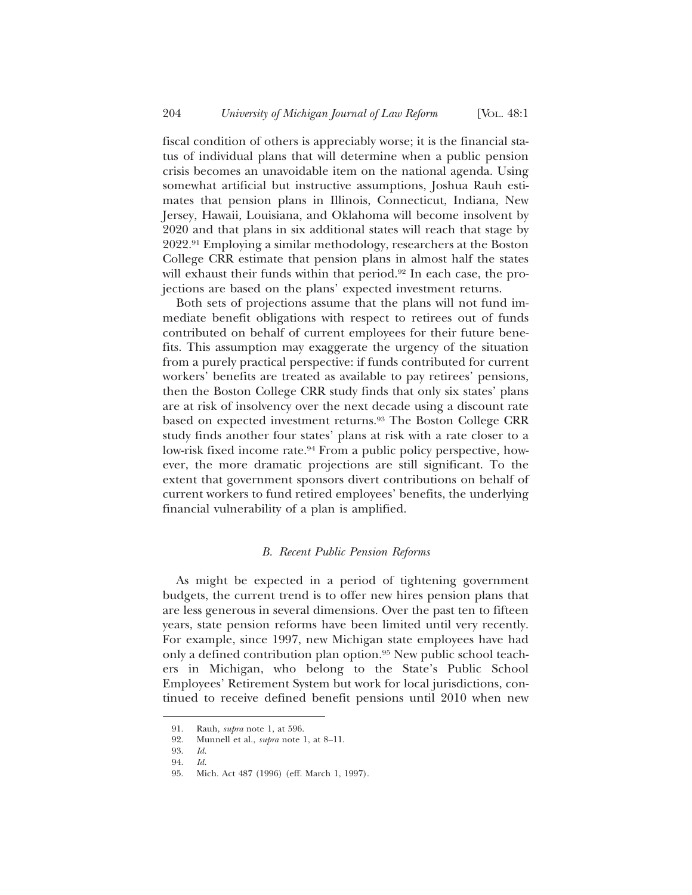fiscal condition of others is appreciably worse; it is the financial status of individual plans that will determine when a public pension crisis becomes an unavoidable item on the national agenda. Using somewhat artificial but instructive assumptions, Joshua Rauh estimates that pension plans in Illinois, Connecticut, Indiana, New Jersey, Hawaii, Louisiana, and Oklahoma will become insolvent by 2020 and that plans in six additional states will reach that stage by 2022.91 Employing a similar methodology, researchers at the Boston College CRR estimate that pension plans in almost half the states will exhaust their funds within that period.<sup>92</sup> In each case, the projections are based on the plans' expected investment returns.

Both sets of projections assume that the plans will not fund immediate benefit obligations with respect to retirees out of funds contributed on behalf of current employees for their future benefits. This assumption may exaggerate the urgency of the situation from a purely practical perspective: if funds contributed for current workers' benefits are treated as available to pay retirees' pensions, then the Boston College CRR study finds that only six states' plans are at risk of insolvency over the next decade using a discount rate based on expected investment returns.93 The Boston College CRR study finds another four states' plans at risk with a rate closer to a low-risk fixed income rate.<sup>94</sup> From a public policy perspective, however, the more dramatic projections are still significant. To the extent that government sponsors divert contributions on behalf of current workers to fund retired employees' benefits, the underlying financial vulnerability of a plan is amplified.

#### *B. Recent Public Pension Reforms*

As might be expected in a period of tightening government budgets, the current trend is to offer new hires pension plans that are less generous in several dimensions. Over the past ten to fifteen years, state pension reforms have been limited until very recently. For example, since 1997, new Michigan state employees have had only a defined contribution plan option.95 New public school teachers in Michigan, who belong to the State's Public School Employees' Retirement System but work for local jurisdictions, continued to receive defined benefit pensions until 2010 when new

<sup>91.</sup> Rauh, *supra* note 1, at 596.

<sup>92.</sup> Munnell et al., *supra* note 1, at 8–11.

<sup>93.</sup> *Id.*

<sup>94.</sup> *Id.*

<sup>95.</sup> Mich. Act 487 (1996) (eff. March 1, 1997).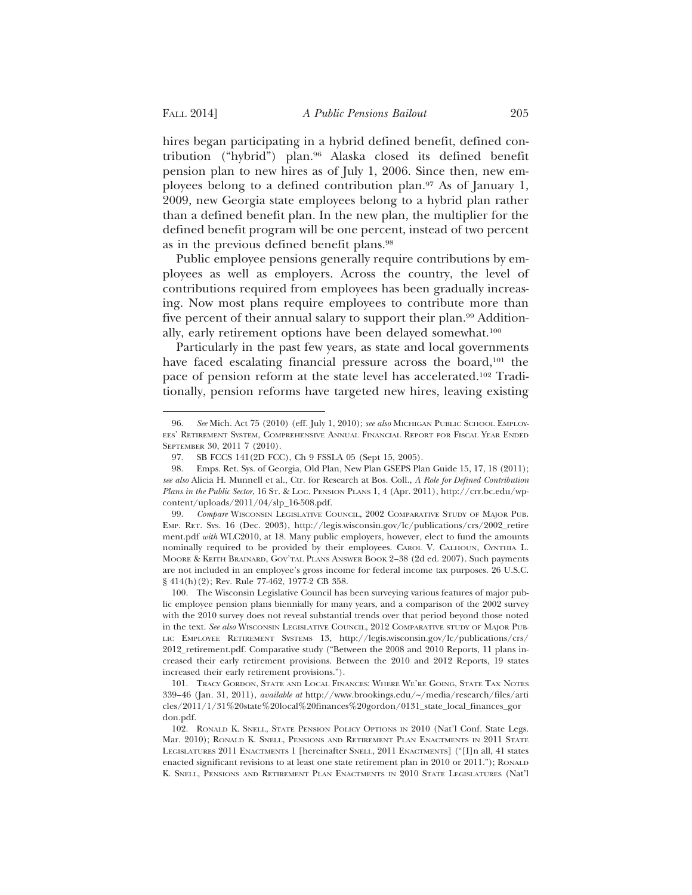hires began participating in a hybrid defined benefit, defined contribution ("hybrid") plan.96 Alaska closed its defined benefit pension plan to new hires as of July 1, 2006. Since then, new employees belong to a defined contribution plan.97 As of January 1, 2009, new Georgia state employees belong to a hybrid plan rather than a defined benefit plan. In the new plan, the multiplier for the defined benefit program will be one percent, instead of two percent as in the previous defined benefit plans.98

Public employee pensions generally require contributions by employees as well as employers. Across the country, the level of contributions required from employees has been gradually increasing. Now most plans require employees to contribute more than five percent of their annual salary to support their plan.99 Additionally, early retirement options have been delayed somewhat.100

Particularly in the past few years, as state and local governments have faced escalating financial pressure across the board,<sup>101</sup> the pace of pension reform at the state level has accelerated.102 Traditionally, pension reforms have targeted new hires, leaving existing

<sup>96.</sup> See Mich. Act 75 (2010) (eff. July 1, 2010); *see also* MICHIGAN PUBLIC SCHOOL EMPLOY-EES' RETIREMENT SYSTEM, COMPREHENSIVE ANNUAL FINANCIAL REPORT FOR FISCAL YEAR ENDED SEPTEMBER 30, 2011 7 (2010).

<sup>97.</sup> SB FCCS 141(2D FCC), Ch 9 FSSLA 05 (Sept 15, 2005).

<sup>98.</sup> Emps. Ret. Sys. of Georgia, Old Plan, New Plan GSEPS Plan Guide 15, 17, 18 (2011); *see also* Alicia H. Munnell et al., Ctr. for Research at Bos. Coll., *A Role for Defined Contribution Plans in the Public Sector*, 16 ST. & LOC. PENSION PLANS 1, 4 (Apr. 2011), http://crr.bc.edu/wpcontent/uploads/2011/04/slp\_16-508.pdf.

<sup>99.</sup> *Compare* WISCONSIN LEGISLATIVE COUNCIL, 2002 COMPARATIVE STUDY OF MAJOR PUB. EMP. RET. SYS. 16 (Dec. 2003), http://legis.wisconsin.gov/lc/publications/crs/2002\_retire ment.pdf *with* WLC2010, at 18. Many public employers, however, elect to fund the amounts nominally required to be provided by their employees. CAROL V. CALHOUN, CYNTHIA L. MOORE & KEITH BRAINARD, GOV'TAL PLANS ANSWER BOOK 2–38 (2d ed. 2007). Such payments are not included in an employee's gross income for federal income tax purposes. 26 U.S.C. § 414(h)(2); Rev. Rule 77-462, 1977-2 CB 358.

<sup>100.</sup> The Wisconsin Legislative Council has been surveying various features of major public employee pension plans biennially for many years, and a comparison of the 2002 survey with the 2010 survey does not reveal substantial trends over that period beyond those noted in the text. *See also* WISCONSIN LEGISLATIVE COUNCIL, 2012 COMPARATIVE STUDY OF MAJOR PUB-LIC EMPLOYEE RETIREMENT SYSTEMS 13, http://legis.wisconsin.gov/lc/publications/crs/ 2012\_retirement.pdf. Comparative study ("Between the 2008 and 2010 Reports, 11 plans increased their early retirement provisions. Between the 2010 and 2012 Reports, 19 states increased their early retirement provisions.").

<sup>101.</sup> TRACY GORDON, STATE AND LOCAL FINANCES: WHERE WE'RE GOING, STATE TAX NOTES 339–46 (Jan. 31, 2011), *available at* http://www.brookings.edu/~/media/research/files/arti cles/2011/1/31%20state%20local%20finances%20gordon/0131\_state\_local\_finances\_gor don.pdf.

<sup>102.</sup> RONALD K. SNELL, STATE PENSION POLICY OPTIONS IN 2010 (Nat'l Conf. State Legs. Mar. 2010); RONALD K. SNELL, PENSIONS AND RETIREMENT PLAN ENACTMENTS IN 2011 STATE LEGISLATURES 2011 ENACTMENTS 1 [hereinafter SNELL, 2011 ENACTMENTS] ("[I]n all, 41 states enacted significant revisions to at least one state retirement plan in 2010 or 2011."); RONALD K. SNELL, PENSIONS AND RETIREMENT PLAN ENACTMENTS IN 2010 STATE LEGISLATURES (Nat'l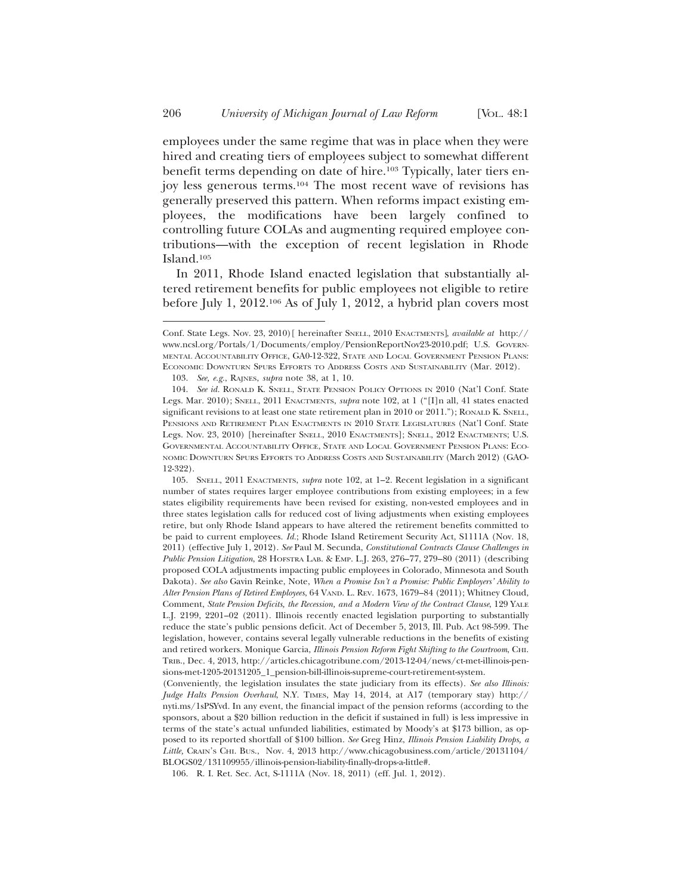employees under the same regime that was in place when they were hired and creating tiers of employees subject to somewhat different benefit terms depending on date of hire.<sup>103</sup> Typically, later tiers enjoy less generous terms.104 The most recent wave of revisions has generally preserved this pattern. When reforms impact existing employees, the modifications have been largely confined to controlling future COLAs and augmenting required employee contributions—with the exception of recent legislation in Rhode Island.105

In 2011, Rhode Island enacted legislation that substantially altered retirement benefits for public employees not eligible to retire before July 1, 2012.106 As of July 1, 2012, a hybrid plan covers most

Conf. State Legs. Nov. 23, 2010)[ hereinafter SNELL, 2010 ENACTMENTS], *available at* http:// www.ncsl.org/Portals/1/Documents/employ/PensionReportNov23-2010.pdf; U.S. GOVERN-MENTAL ACCOUNTABILITY OFFICE, GA0-12-322, STATE AND LOCAL GOVERNMENT PENSION PLANS: ECONOMIC DOWNTURN SPURS EFFORTS TO ADDRESS COSTS AND SUSTAINABILITY (Mar. 2012).

<sup>103.</sup> *See, e.g.*, RAJNES, *supra* note 38, at 1, 10.

<sup>104.</sup> *See id.* RONALD K. SNELL, STATE PENSION POLICY OPTIONS IN 2010 (Nat'l Conf. State Legs. Mar. 2010); SNELL, 2011 ENACTMENTS, *supra* note 102, at 1 ("[I]n all, 41 states enacted significant revisions to at least one state retirement plan in 2010 or 2011."); RONALD K. SNELL, PENSIONS AND RETIREMENT PLAN ENACTMENTS IN 2010 STATE LEGISLATURES (Nat'l Conf. State Legs. Nov. 23, 2010) [hereinafter SNELL, 2010 ENACTMENTS]; SNELL, 2012 ENACTMENTS; U.S. GOVERNMENTAL ACCOUNTABILITY OFFICE, STATE AND LOCAL GOVERNMENT PENSION PLANS: ECO-NOMIC DOWNTURN SPURS EFFORTS TO ADDRESS COSTS AND SUSTAINABILITY (March 2012) (GAO-12-322).

<sup>105.</sup> SNELL, 2011 ENACTMENTS, *supra* note 102, at 1–2. Recent legislation in a significant number of states requires larger employee contributions from existing employees; in a few states eligibility requirements have been revised for existing, non-vested employees and in three states legislation calls for reduced cost of living adjustments when existing employees retire, but only Rhode Island appears to have altered the retirement benefits committed to be paid to current employees. *Id.*; Rhode Island Retirement Security Act, S1111A (Nov. 18, 2011) (effective July 1, 2012). *See* Paul M. Secunda, *Constitutional Contracts Clause Challenges in Public Pension Litigation*, 28 HOFSTRA LAB. & EMP. L.J. 263, 276–77, 279–80 (2011) (describing proposed COLA adjustments impacting public employees in Colorado, Minnesota and South Dakota). *See also* Gavin Reinke, Note, *When a Promise Isn't a Promise: Public Employers' Ability to Alter Pension Plans of Retired Employees*, 64 VAND. L. REV. 1673, 1679–84 (2011); Whitney Cloud, Comment, *State Pension Deficits, the Recession, and a Modern View of the Contract Clause*, 129 YALE L.J. 2199, 2201–02 (2011). Illinois recently enacted legislation purporting to substantially reduce the state's public pensions deficit. Act of December 5, 2013, Ill. Pub. Act 98-599. The legislation, however, contains several legally vulnerable reductions in the benefits of existing and retired workers. Monique Garcia, *Illinois Pension Reform Fight Shifting to the Courtroom*, CHI. TRIB., Dec. 4, 2013, http://articles.chicagotribune.com/2013-12-04/news/ct-met-illinois-pensions-met-1205-20131205\_1\_pension-bill-illinois-supreme-court-retirement-system.

<sup>(</sup>Conveniently, the legislation insulates the state judiciary from its effects). *See also Illinois: Judge Halts Pension Overhaul*, N.Y. TIMES, May 14, 2014, at A17 (temporary stay) http:// nyti.ms/1sPSYvd. In any event, the financial impact of the pension reforms (according to the sponsors, about a \$20 billion reduction in the deficit if sustained in full) is less impressive in terms of the state's actual unfunded liabilities, estimated by Moody's at \$173 billion, as opposed to its reported shortfall of \$100 billion. *See* Greg Hinz, *Illinois Pension Liability Drops, a Little,* CRAIN'S CHI. BUS., Nov. 4, 2013 http://www.chicagobusiness.com/article/20131104/ BLOGS02/131109955/illinois-pension-liability-finally-drops-a-little#.

<sup>106.</sup> R. I. Ret. Sec. Act, S-1111A (Nov. 18, 2011) (eff. Jul. 1, 2012).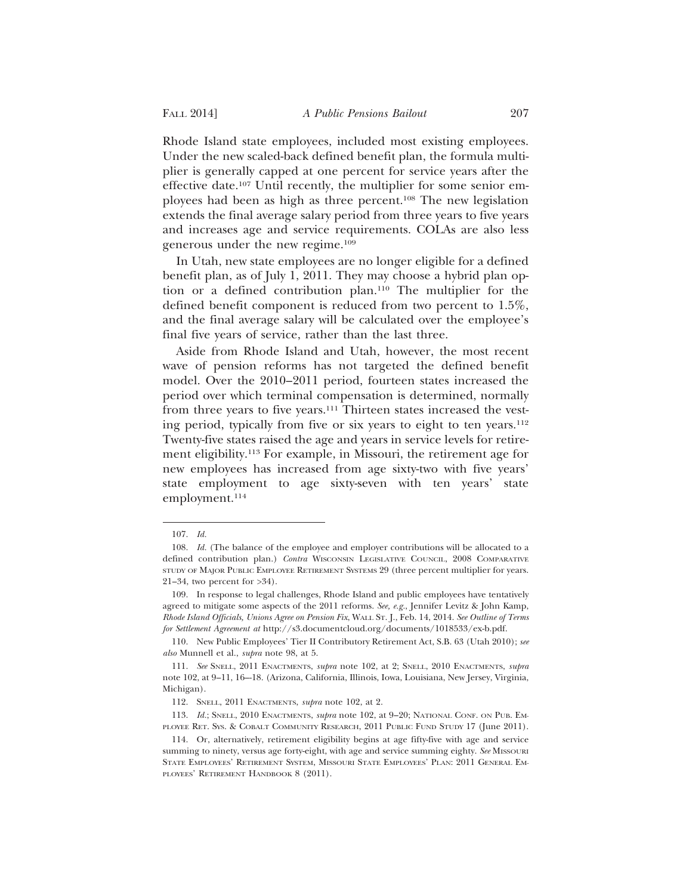Rhode Island state employees, included most existing employees. Under the new scaled-back defined benefit plan, the formula multiplier is generally capped at one percent for service years after the effective date.107 Until recently, the multiplier for some senior employees had been as high as three percent.108 The new legislation extends the final average salary period from three years to five years and increases age and service requirements. COLAs are also less generous under the new regime.109

In Utah, new state employees are no longer eligible for a defined benefit plan, as of July 1, 2011. They may choose a hybrid plan option or a defined contribution plan.110 The multiplier for the defined benefit component is reduced from two percent to 1.5%, and the final average salary will be calculated over the employee's final five years of service, rather than the last three.

Aside from Rhode Island and Utah, however, the most recent wave of pension reforms has not targeted the defined benefit model. Over the 2010–2011 period, fourteen states increased the period over which terminal compensation is determined, normally from three years to five years.111 Thirteen states increased the vesting period, typically from five or six years to eight to ten years.112 Twenty-five states raised the age and years in service levels for retirement eligibility.113 For example, in Missouri, the retirement age for new employees has increased from age sixty-two with five years' state employment to age sixty-seven with ten years' state employment.<sup>114</sup>

<sup>107.</sup> *Id.*

<sup>108.</sup> *Id.* (The balance of the employee and employer contributions will be allocated to a defined contribution plan.) *Contra* WISCONSIN LEGISLATIVE COUNCIL, 2008 COMPARATIVE STUDY OF MAJOR PUBLIC EMPLOYEE RETIREMENT SYSTEMS 29 (three percent multiplier for years. 21–34, two percent for >34).

<sup>109.</sup> In response to legal challenges, Rhode Island and public employees have tentatively agreed to mitigate some aspects of the 2011 reforms. *See, e.g.*, Jennifer Levitz & John Kamp, *Rhode Island Officials, Unions Agree on Pension Fix*, WALL ST. J., Feb. 14, 2014. *See Outline of Terms for Settlement Agreement at* http://s3.documentcloud.org/documents/1018533/ex-b.pdf.

<sup>110.</sup> New Public Employees' Tier II Contributory Retirement Act, S.B. 63 (Utah 2010); *see also* Munnell et al., *supra* note 98, at 5.

<sup>111.</sup> *See* SNELL, 2011 ENACTMENTS, *supra* note 102, at 2; SNELL, 2010 ENACTMENTS, *supra* note 102, at 9–11, 16–-18. (Arizona, California, Illinois, Iowa, Louisiana, New Jersey, Virginia, Michigan).

<sup>112.</sup> SNELL, 2011 ENACTMENTS, *supra* note 102, at 2.

<sup>113.</sup> *Id.*; SNELL, 2010 ENACTMENTS, *supra* note 102, at 9–20; NATIONAL CONF. ON PUB. EM-PLOYEE RET. SYS. & COBALT COMMUNITY RESEARCH, 2011 PUBLIC FUND STUDY 17 (June 2011).

<sup>114.</sup> Or, alternatively, retirement eligibility begins at age fifty-five with age and service summing to ninety, versus age forty-eight, with age and service summing eighty. *See* MISSOURI STATE EMPLOYEES' RETIREMENT SYSTEM, MISSOURI STATE EMPLOYEES' PLAN: 2011 GENERAL EM-PLOYEES' RETIREMENT HANDBOOK 8 (2011).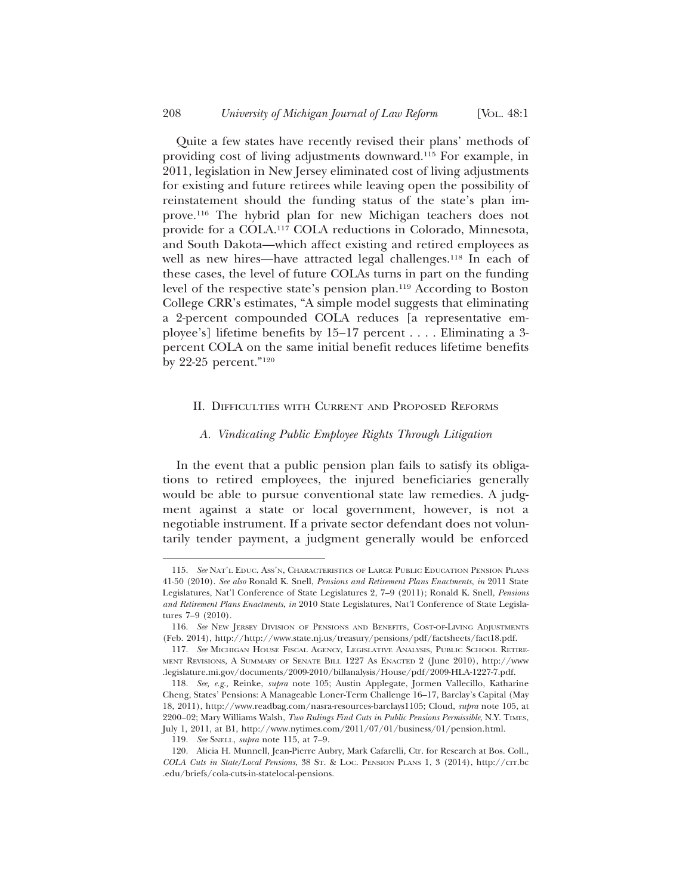Quite a few states have recently revised their plans' methods of providing cost of living adjustments downward.115 For example, in 2011, legislation in New Jersey eliminated cost of living adjustments for existing and future retirees while leaving open the possibility of reinstatement should the funding status of the state's plan improve.116 The hybrid plan for new Michigan teachers does not provide for a COLA.117 COLA reductions in Colorado, Minnesota, and South Dakota—which affect existing and retired employees as well as new hires—have attracted legal challenges.<sup>118</sup> In each of these cases, the level of future COLAs turns in part on the funding level of the respective state's pension plan.119 According to Boston College CRR's estimates, "A simple model suggests that eliminating a 2-percent compounded COLA reduces [a representative employee's] lifetime benefits by 15–17 percent . . . . Eliminating a 3 percent COLA on the same initial benefit reduces lifetime benefits by 22-25 percent."120

#### II. DIFFICULTIES WITH CURRENT AND PROPOSED REFORMS

#### *A. Vindicating Public Employee Rights Through Litigation*

In the event that a public pension plan fails to satisfy its obligations to retired employees, the injured beneficiaries generally would be able to pursue conventional state law remedies. A judgment against a state or local government, however, is not a negotiable instrument. If a private sector defendant does not voluntarily tender payment, a judgment generally would be enforced

<sup>115.</sup> *See* NAT'L EDUC. ASS'N, CHARACTERISTICS OF LARGE PUBLIC EDUCATION PENSION PLANS 41-50 (2010). *See also* Ronald K. Snell, *Pensions and Retirement Plans Enactments*, *in* 2011 State Legislatures, Nat'l Conference of State Legislatures 2, 7–9 (2011); Ronald K. Snell, *Pensions and Retirement Plans Enactments*, *in* 2010 State Legislatures, Nat'l Conference of State Legislatures 7–9 (2010).

<sup>116.</sup> *See* NEW JERSEY DIVISION OF PENSIONS AND BENEFITS, COST-OF-LIVING ADJUSTMENTS (Feb. 2014), http://http://www.state.nj.us/treasury/pensions/pdf/factsheets/fact18.pdf.

<sup>117.</sup> *See* MICHIGAN HOUSE FISCAL AGENCY, LEGISLATIVE ANALYSIS, PUBLIC SCHOOL RETIRE-MENT REVISIONS, A SUMMARY OF SENATE BILL 1227 AS ENACTED 2 (June 2010), http://www .legislature.mi.gov/documents/2009-2010/billanalysis/House/pdf/2009-HLA-1227-7.pdf.

<sup>118.</sup> *See, e.g.,* Reinke, *supra* note 105; Austin Applegate, Jormen Vallecillo, Katharine Cheng, States' Pensions: A Manageable Loner-Term Challenge 16–17, Barclay's Capital (May 18, 2011), http://www.readbag.com/nasra-resources-barclays1105; Cloud, *supra* note 105, at 2200–02; Mary Williams Walsh, *Two Rulings Find Cuts in Public Pensions Permissible*, N.Y. TIMES, July 1, 2011, at B1, http://www.nytimes.com/2011/07/01/business/01/pension.html.

<sup>119.</sup> *See* SNELL, *supra* note 115, at 7–9.

<sup>120.</sup> Alicia H. Munnell, Jean-Pierre Aubry, Mark Cafarelli, Ctr. for Research at Bos. Coll., *COLA Cuts in State/Local Pensions*, 38 ST. & LOC. PENSION PLANS 1, 3 (2014), http://crr.bc .edu/briefs/cola-cuts-in-statelocal-pensions.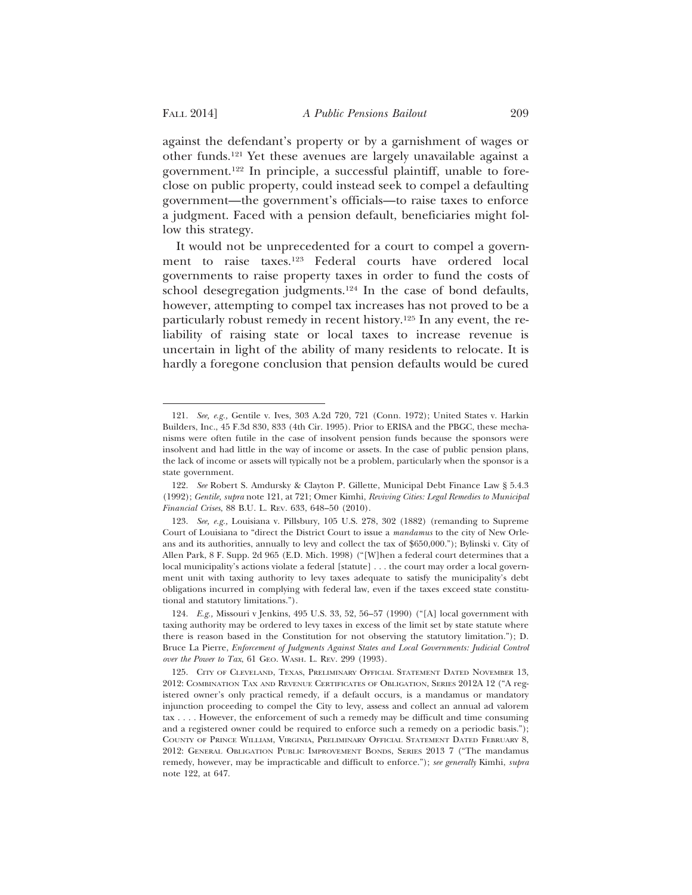against the defendant's property or by a garnishment of wages or other funds.121 Yet these avenues are largely unavailable against a government.122 In principle, a successful plaintiff, unable to foreclose on public property, could instead seek to compel a defaulting government—the government's officials—to raise taxes to enforce a judgment. Faced with a pension default, beneficiaries might follow this strategy.

It would not be unprecedented for a court to compel a government to raise taxes.123 Federal courts have ordered local governments to raise property taxes in order to fund the costs of school desegregation judgments.124 In the case of bond defaults, however, attempting to compel tax increases has not proved to be a particularly robust remedy in recent history.125 In any event, the reliability of raising state or local taxes to increase revenue is uncertain in light of the ability of many residents to relocate. It is hardly a foregone conclusion that pension defaults would be cured

<sup>121.</sup> *See, e.g.,* Gentile v. Ives, 303 A.2d 720, 721 (Conn. 1972); United States v. Harkin Builders, Inc., 45 F.3d 830, 833 (4th Cir. 1995). Prior to ERISA and the PBGC, these mechanisms were often futile in the case of insolvent pension funds because the sponsors were insolvent and had little in the way of income or assets. In the case of public pension plans, the lack of income or assets will typically not be a problem, particularly when the sponsor is a state government.

<sup>122.</sup> *See* Robert S. Amdursky & Clayton P. Gillette, Municipal Debt Finance Law § 5.4.3 (1992); *Gentile, supra* note 121, at 721; Omer Kimhi, *Reviving Cities: Legal Remedies to Municipal Financial Crises*, 88 B.U. L. REV. 633, 648–50 (2010).

<sup>123.</sup> *See, e.g.,* Louisiana v. Pillsbury, 105 U.S. 278, 302 (1882) (remanding to Supreme Court of Louisiana to "direct the District Court to issue a *mandamus* to the city of New Orleans and its authorities, annually to levy and collect the tax of \$650,000."); Bylinski v. City of Allen Park, 8 F. Supp. 2d 965 (E.D. Mich. 1998) ("[W]hen a federal court determines that a local municipality's actions violate a federal [statute] . . . the court may order a local government unit with taxing authority to levy taxes adequate to satisfy the municipality's debt obligations incurred in complying with federal law, even if the taxes exceed state constitutional and statutory limitations.").

<sup>124.</sup> *E.g.,* Missouri v Jenkins, 495 U.S. 33, 52, 56–57 (1990) ("[A] local government with taxing authority may be ordered to levy taxes in excess of the limit set by state statute where there is reason based in the Constitution for not observing the statutory limitation."); D. Bruce La Pierre, *Enforcement of Judgments Against States and Local Governments: Judicial Control over the Power to Tax*, 61 GEO. WASH. L. REV. 299 (1993).

<sup>125.</sup> CITY OF CLEVELAND, TEXAS, PRELIMINARY OFFICIAL STATEMENT DATED NOVEMBER 13, 2012: COMBINATION TAX AND REVENUE CERTIFICATES OF OBLIGATION, SERIES 2012A 12 ("A registered owner's only practical remedy, if a default occurs, is a mandamus or mandatory injunction proceeding to compel the City to levy, assess and collect an annual ad valorem tax . . . . However, the enforcement of such a remedy may be difficult and time consuming and a registered owner could be required to enforce such a remedy on a periodic basis."); COUNTY OF PRINCE WILLIAM, VIRGINIA, PRELIMINARY OFFICIAL STATEMENT DATED FEBRUARY 8, 2012: GENERAL OBLIGATION PUBLIC IMPROVEMENT BONDS, SERIES 2013 7 ("The mandamus remedy, however, may be impracticable and difficult to enforce."); *see generally* Kimhi, *supra* note 122, at 647.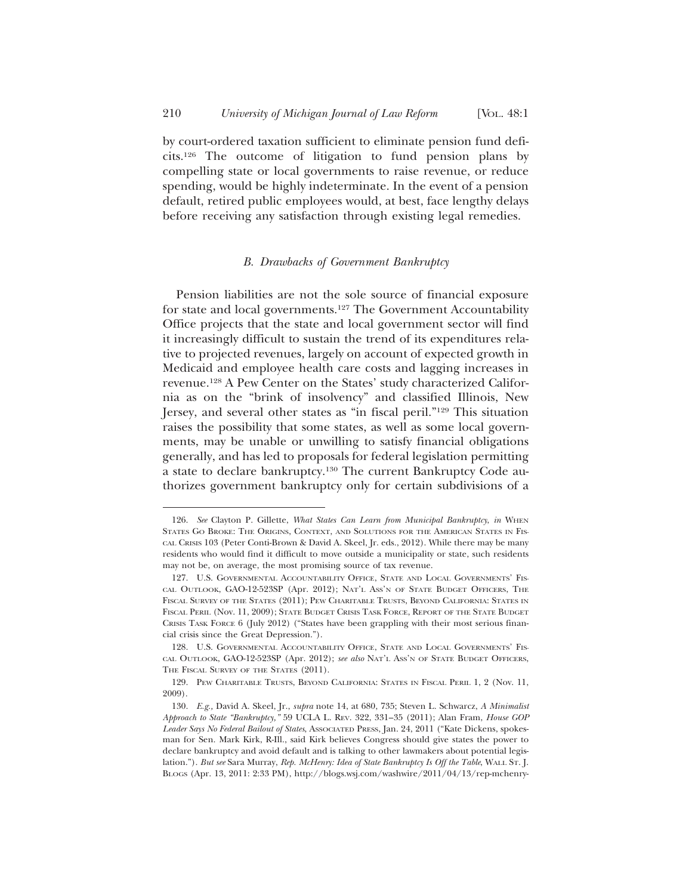by court-ordered taxation sufficient to eliminate pension fund deficits.126 The outcome of litigation to fund pension plans by compelling state or local governments to raise revenue, or reduce spending, would be highly indeterminate. In the event of a pension default, retired public employees would, at best, face lengthy delays before receiving any satisfaction through existing legal remedies.

#### *B. Drawbacks of Government Bankruptcy*

Pension liabilities are not the sole source of financial exposure for state and local governments.127 The Government Accountability Office projects that the state and local government sector will find it increasingly difficult to sustain the trend of its expenditures relative to projected revenues, largely on account of expected growth in Medicaid and employee health care costs and lagging increases in revenue.128 A Pew Center on the States' study characterized California as on the "brink of insolvency" and classified Illinois, New Jersey, and several other states as "in fiscal peril."129 This situation raises the possibility that some states, as well as some local governments, may be unable or unwilling to satisfy financial obligations generally, and has led to proposals for federal legislation permitting a state to declare bankruptcy.130 The current Bankruptcy Code authorizes government bankruptcy only for certain subdivisions of a

<sup>126.</sup> *See* Clayton P. Gillette, *What States Can Learn from Municipal Bankruptcy*, *in* WHEN STATES GO BROKE: THE ORIGINS, CONTEXT, AND SOLUTIONS FOR THE AMERICAN STATES IN FIS-CAL CRISIS 103 (Peter Conti-Brown & David A. Skeel, Jr. eds., 2012). While there may be many residents who would find it difficult to move outside a municipality or state, such residents may not be, on average, the most promising source of tax revenue.

<sup>127.</sup> U.S. GOVERNMENTAL ACCOUNTABILITY OFFICE, STATE AND LOCAL GOVERNMENTS' FIS-CAL OUTLOOK, GAO-12-523SP (Apr. 2012); NAT'L ASS'N OF STATE BUDGET OFFICERS, THE FISCAL SURVEY OF THE STATES (2011); PEW CHARITABLE TRUSTS, BEYOND CALIFORNIA: STATES IN FISCAL PERIL (Nov. 11, 2009); STATE BUDGET CRISIS TASK FORCE, REPORT OF THE STATE BUDGET CRISIS TASK FORCE 6 (July 2012) ("States have been grappling with their most serious financial crisis since the Great Depression.").

<sup>128.</sup> U.S. GOVERNMENTAL ACCOUNTABILITY OFFICE, STATE AND LOCAL GOVERNMENTS' FIS-CAL OUTLOOK, GAO-12-523SP (Apr. 2012); *see also* NAT'L ASS'N OF STATE BUDGET OFFICERS, THE FISCAL SURVEY OF THE STATES  $(2011)$ .

<sup>129.</sup> PEW CHARITABLE TRUSTS, BEYOND CALIFORNIA: STATES IN FISCAL PERIL 1, 2 (Nov. 11, 2009).

<sup>130.</sup> *E.g.,* David A. Skeel, Jr., *supra* note 14, at 680, 735; Steven L. Schwarcz, *A Minimalist Approach to State "Bankruptcy,"* 59 UCLA L. REV. 322, 331–35 (2011); Alan Fram, *House GOP Leader Says No Federal Bailout of States*, ASSOCIATED PRESS, Jan. 24, 2011 ("Kate Dickens, spokesman for Sen. Mark Kirk, R-Ill., said Kirk believes Congress should give states the power to declare bankruptcy and avoid default and is talking to other lawmakers about potential legislation."). *But see* Sara Murray, *Rep. McHenry: Idea of State Bankruptcy Is Off the Table*, WALL ST. J. BLOGS (Apr. 13, 2011: 2:33 PM), http://blogs.wsj.com/washwire/2011/04/13/rep-mchenry-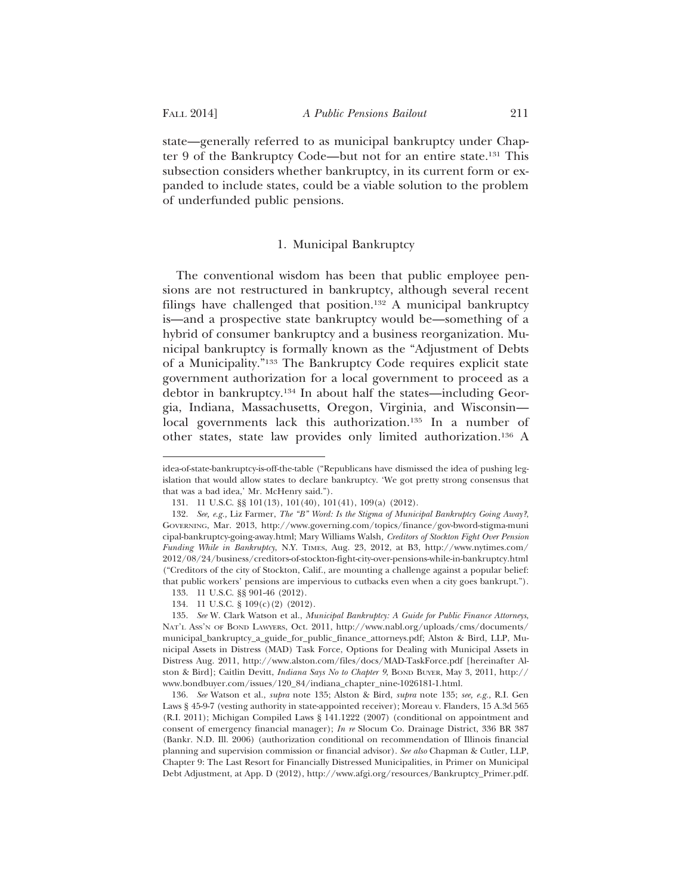state—generally referred to as municipal bankruptcy under Chapter 9 of the Bankruptcy Code—but not for an entire state.131 This subsection considers whether bankruptcy, in its current form or expanded to include states, could be a viable solution to the problem of underfunded public pensions.

#### 1. Municipal Bankruptcy

The conventional wisdom has been that public employee pensions are not restructured in bankruptcy, although several recent filings have challenged that position.<sup>132</sup> A municipal bankruptcy is—and a prospective state bankruptcy would be—something of a hybrid of consumer bankruptcy and a business reorganization. Municipal bankruptcy is formally known as the "Adjustment of Debts of a Municipality."133 The Bankruptcy Code requires explicit state government authorization for a local government to proceed as a debtor in bankruptcy.134 In about half the states—including Georgia, Indiana, Massachusetts, Oregon, Virginia, and Wisconsin local governments lack this authorization.<sup>135</sup> In a number of other states, state law provides only limited authorization.136 A

idea-of-state-bankruptcy-is-off-the-table ("Republicans have dismissed the idea of pushing legislation that would allow states to declare bankruptcy. 'We got pretty strong consensus that that was a bad idea,' Mr. McHenry said.").

<sup>131. 11</sup> U.S.C. §§ 101(13), 101(40), 101(41), 109(a) (2012).

<sup>132.</sup> *See, e.g.,* Liz Farmer, *The "B" Word: Is the Stigma of Municipal Bankruptcy Going Away?*, GOVERNING, Mar. 2013, http://www.governing.com/topics/finance/gov-bword-stigma-muni cipal-bankruptcy-going-away.html; Mary Williams Walsh*, Creditors of Stockton Fight Over Pension Funding While in Bankruptcy*, N.Y. TIMES, Aug. 23, 2012, at B3, http://www.nytimes.com/ 2012/08/24/business/creditors-of-stockton-fight-city-over-pensions-while-in-bankruptcy.html ("Creditors of the city of Stockton, Calif., are mounting a challenge against a popular belief: that public workers' pensions are impervious to cutbacks even when a city goes bankrupt."). 133. 11 U.S.C. §§ 901-46 (2012).

<sup>134. 11</sup> U.S.C. § 109(c)(2) (2012).

<sup>135.</sup> *See* W. Clark Watson et al., *Municipal Bankruptcy: A Guide for Public Finance Attorneys*, NAT'L ASS'N OF BOND LAWYERS, Oct. 2011, http://www.nabl.org/uploads/cms/documents/ municipal\_bankruptcy\_a\_guide\_for\_public\_finance\_attorneys.pdf; Alston & Bird, LLP, Municipal Assets in Distress (MAD) Task Force, Options for Dealing with Municipal Assets in Distress Aug. 2011, http://www.alston.com/files/docs/MAD-TaskForce.pdf [hereinafter Alston & Bird]; Caitlin Devitt, *Indiana Says No to Chapter 9*, BOND BUYER, May 3, 2011, http:// www.bondbuyer.com/issues/120\_84/indiana\_chapter\_nine-1026181-1.html.

<sup>136.</sup> *See* Watson et al., *supra* note 135; Alston & Bird, *supra* note 135; *see, e.g.,* R.I. Gen Laws § 45-9-7 (vesting authority in state-appointed receiver); Moreau v. Flanders, 15 A.3d 565 (R.I. 2011); Michigan Compiled Laws § 141.1222 (2007) (conditional on appointment and consent of emergency financial manager); *In re* Slocum Co. Drainage District, 336 BR 387 (Bankr. N.D. Ill. 2006) (authorization conditional on recommendation of Illinois financial planning and supervision commission or financial advisor). *See also* Chapman & Cutler, LLP, Chapter 9: The Last Resort for Financially Distressed Municipalities, in Primer on Municipal Debt Adjustment, at App. D (2012), http://www.afgi.org/resources/Bankruptcy\_Primer.pdf.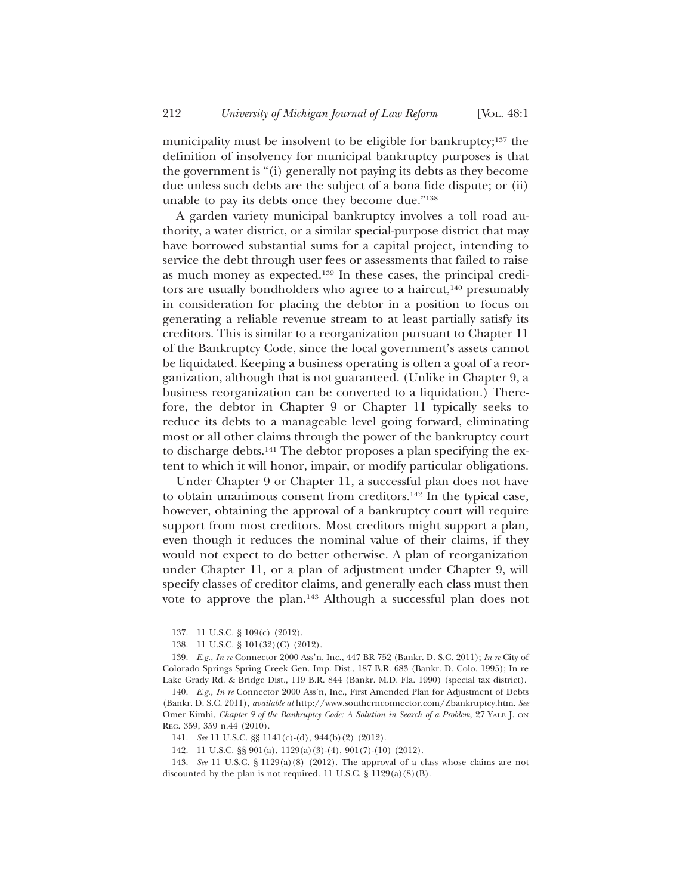municipality must be insolvent to be eligible for bankruptcy;<sup>137</sup> the definition of insolvency for municipal bankruptcy purposes is that the government is "(i) generally not paying its debts as they become due unless such debts are the subject of a bona fide dispute; or (ii) unable to pay its debts once they become due."138

A garden variety municipal bankruptcy involves a toll road authority, a water district, or a similar special-purpose district that may have borrowed substantial sums for a capital project, intending to service the debt through user fees or assessments that failed to raise as much money as expected.139 In these cases, the principal creditors are usually bondholders who agree to a haircut, $140$  presumably in consideration for placing the debtor in a position to focus on generating a reliable revenue stream to at least partially satisfy its creditors. This is similar to a reorganization pursuant to Chapter 11 of the Bankruptcy Code, since the local government's assets cannot be liquidated. Keeping a business operating is often a goal of a reorganization, although that is not guaranteed. (Unlike in Chapter 9, a business reorganization can be converted to a liquidation.) Therefore, the debtor in Chapter 9 or Chapter 11 typically seeks to reduce its debts to a manageable level going forward, eliminating most or all other claims through the power of the bankruptcy court to discharge debts.141 The debtor proposes a plan specifying the extent to which it will honor, impair, or modify particular obligations.

Under Chapter 9 or Chapter 11, a successful plan does not have to obtain unanimous consent from creditors.<sup>142</sup> In the typical case, however, obtaining the approval of a bankruptcy court will require support from most creditors. Most creditors might support a plan, even though it reduces the nominal value of their claims, if they would not expect to do better otherwise. A plan of reorganization under Chapter 11, or a plan of adjustment under Chapter 9, will specify classes of creditor claims, and generally each class must then vote to approve the plan.143 Although a successful plan does not

<sup>137. 11</sup> U.S.C. § 109(c) (2012).

<sup>138. 11</sup> U.S.C. § 101(32)(C) (2012).

<sup>139.</sup> *E.g., In re* Connector 2000 Ass'n, Inc., 447 BR 752 (Bankr. D. S.C. 2011); *In re* City of Colorado Springs Spring Creek Gen. Imp. Dist., 187 B.R. 683 (Bankr. D. Colo. 1995); In re Lake Grady Rd. & Bridge Dist., 119 B.R. 844 (Bankr. M.D. Fla. 1990) (special tax district).

<sup>140.</sup> *E.g., In re* Connector 2000 Ass'n, Inc., First Amended Plan for Adjustment of Debts (Bankr. D. S.C. 2011), *available at* http://www.southernconnector.com/Zbankruptcy.htm. *See* Omer Kimhi, *Chapter 9 of the Bankruptcy Code: A Solution in Search of a Problem*, 27 YALE J. ON REG. 359, 359 n.44 (2010).

<sup>141.</sup> *See* 11 U.S.C. §§ 1141(c)-(d), 944(b)(2) (2012).

<sup>142. 11</sup> U.S.C. §§ 901(a), 1129(a)(3)-(4), 901(7)-(10) (2012).

<sup>143.</sup> *See* 11 U.S.C. § 1129(a)(8) (2012). The approval of a class whose claims are not discounted by the plan is not required. 11 U.S.C.  $\S$  1129(a)(8)(B).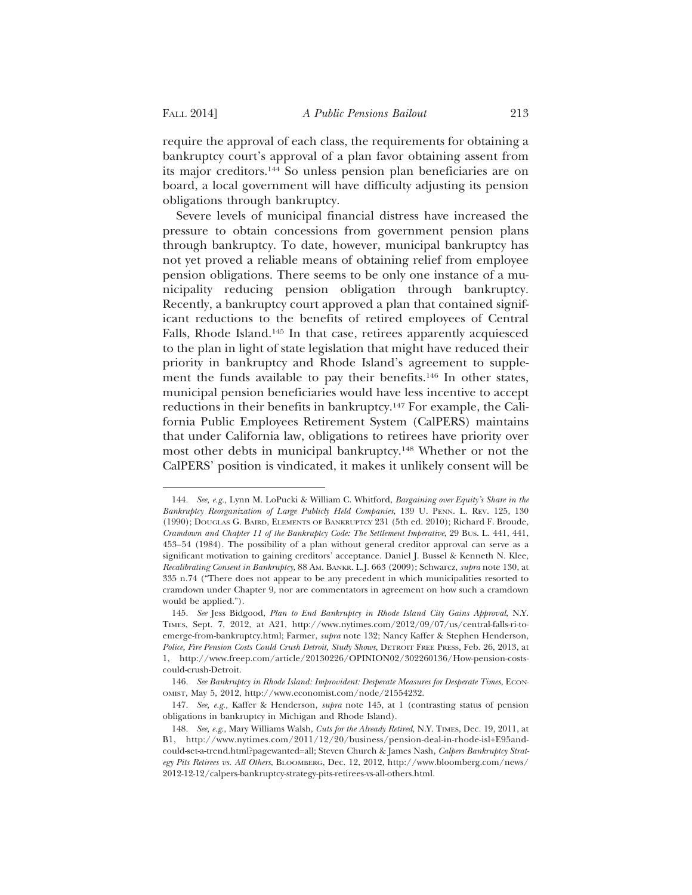require the approval of each class, the requirements for obtaining a bankruptcy court's approval of a plan favor obtaining assent from its major creditors.144 So unless pension plan beneficiaries are on board, a local government will have difficulty adjusting its pension obligations through bankruptcy.

Severe levels of municipal financial distress have increased the pressure to obtain concessions from government pension plans through bankruptcy. To date, however, municipal bankruptcy has not yet proved a reliable means of obtaining relief from employee pension obligations. There seems to be only one instance of a municipality reducing pension obligation through bankruptcy. Recently, a bankruptcy court approved a plan that contained significant reductions to the benefits of retired employees of Central Falls, Rhode Island.145 In that case, retirees apparently acquiesced to the plan in light of state legislation that might have reduced their priority in bankruptcy and Rhode Island's agreement to supplement the funds available to pay their benefits.146 In other states, municipal pension beneficiaries would have less incentive to accept reductions in their benefits in bankruptcy.147 For example, the California Public Employees Retirement System (CalPERS) maintains that under California law, obligations to retirees have priority over most other debts in municipal bankruptcy.148 Whether or not the CalPERS' position is vindicated, it makes it unlikely consent will be

<sup>144.</sup> *See, e.g.,* Lynn M. LoPucki & William C. Whitford, *Bargaining over Equity's Share in the Bankruptcy Reorganization of Large Publicly Held Companies*, 139 U. PENN. L. REV. 125, 130 (1990); DOUGLAS G. BAIRD, ELEMENTS OF BANKRUPTCY 231 (5th ed. 2010); Richard F. Broude, *Cramdown and Chapter 11 of the Bankruptcy Code: The Settlement Imperative*, 29 BUS. L. 441, 441, 453–54 (1984). The possibility of a plan without general creditor approval can serve as a significant motivation to gaining creditors' acceptance. Daniel J. Bussel & Kenneth N. Klee, *Recalibrating Consent in Bankruptcy*, 88 AM. BANKR. L.J. 663 (2009); Schwarcz, *supra* note 130, at 335 n.74 ("There does not appear to be any precedent in which municipalities resorted to cramdown under Chapter 9, nor are commentators in agreement on how such a cramdown would be applied.").

<sup>145.</sup> *See* Jess Bidgood, *Plan to End Bankruptcy in Rhode Island City Gains Approval*, N.Y. TIMES, Sept. 7, 2012, at A21, http://www.nytimes.com/2012/09/07/us/central-falls-ri-toemerge-from-bankruptcy.html; Farmer, *supra* note 132; Nancy Kaffer & Stephen Henderson, *Police, Fire Pension Costs Could Crush Detroit, Study Shows*, DETROIT FREE PRESS, Feb. 26, 2013, at 1, http://www.freep.com/article/20130226/OPINION02/302260136/How-pension-costscould-crush-Detroit.

<sup>146.</sup> See Bankruptcy in Rhode Island: Improvident: Desperate Measures for Desperate Times, ECON-OMIST, May 5, 2012, http://www.economist.com/node/21554232.

<sup>147.</sup> *See, e.g.,* Kaffer & Henderson, *supra* note 145, at 1 (contrasting status of pension obligations in bankruptcy in Michigan and Rhode Island).

<sup>148.</sup> *See, e.g*., Mary Williams Walsh, *Cuts for the Already Retired*, N.Y. TIMES, Dec. 19, 2011, at B1, http://www.nytimes.com/2011/12/20/business/pension-deal-in-rhode-isl+E95andcould-set-a-trend.html?pagewanted=all; Steven Church & James Nash, *Calpers Bankruptcy Strategy Pits Retirees vs. All Others*, BLOOMBERG, Dec. 12, 2012, http://www.bloomberg.com/news/ 2012-12-12/calpers-bankruptcy-strategy-pits-retirees-vs-all-others.html.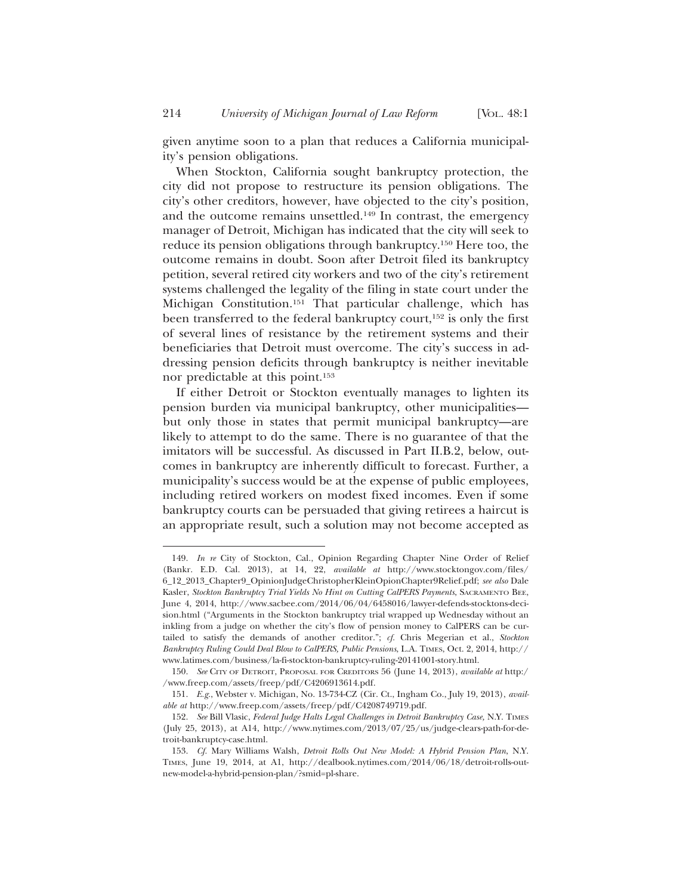given anytime soon to a plan that reduces a California municipality's pension obligations.

When Stockton, California sought bankruptcy protection, the city did not propose to restructure its pension obligations. The city's other creditors, however, have objected to the city's position, and the outcome remains unsettled.149 In contrast, the emergency manager of Detroit, Michigan has indicated that the city will seek to reduce its pension obligations through bankruptcy.150 Here too, the outcome remains in doubt. Soon after Detroit filed its bankruptcy petition, several retired city workers and two of the city's retirement systems challenged the legality of the filing in state court under the Michigan Constitution.151 That particular challenge, which has been transferred to the federal bankruptcy court,<sup>152</sup> is only the first of several lines of resistance by the retirement systems and their beneficiaries that Detroit must overcome. The city's success in addressing pension deficits through bankruptcy is neither inevitable nor predictable at this point.153

If either Detroit or Stockton eventually manages to lighten its pension burden via municipal bankruptcy, other municipalities but only those in states that permit municipal bankruptcy—are likely to attempt to do the same. There is no guarantee of that the imitators will be successful. As discussed in Part II.B.2, below, outcomes in bankruptcy are inherently difficult to forecast. Further, a municipality's success would be at the expense of public employees, including retired workers on modest fixed incomes. Even if some bankruptcy courts can be persuaded that giving retirees a haircut is an appropriate result, such a solution may not become accepted as

<sup>149.</sup> *In re* City of Stockton, Cal., Opinion Regarding Chapter Nine Order of Relief (Bankr. E.D. Cal. 2013), at 14, 22, *available at* http://www.stocktongov.com/files/ 6\_12\_2013\_Chapter9\_OpinionJudgeChristopherKleinOpionChapter9Relief.pdf; *see also* Dale Kasler, *Stockton Bankruptcy Trial Yields No Hint on Cutting CalPERS Payments*, SACRAMENTO BEE, June 4, 2014, http://www.sacbee.com/2014/06/04/6458016/lawyer-defends-stocktons-decision.html ("Arguments in the Stockton bankruptcy trial wrapped up Wednesday without an inkling from a judge on whether the city's flow of pension money to CalPERS can be curtailed to satisfy the demands of another creditor."; *cf.* Chris Megerian et al., *Stockton Bankruptcy Ruling Could Deal Blow to CalPERS, Public Pensions*, L.A. TIMES, Oct. 2, 2014, http:// www.latimes.com/business/la-fi-stockton-bankruptcy-ruling-20141001-story.html.

<sup>150.</sup> *See* CITY OF DETROIT, PROPOSAL FOR CREDITORS 56 (June 14, 2013), *available at* http:/ /www.freep.com/assets/freep/pdf/C4206913614.pdf.

<sup>151.</sup> *E.g.*, Webster v. Michigan, No. 13-734-CZ (Cir. Ct., Ingham Co., July 19, 2013), *available at* http://www.freep.com/assets/freep/pdf/C4208749719.pdf.

<sup>152.</sup> *See* Bill Vlasic, *Federal Judge Halts Legal Challenges in Detroit Bankruptcy Case,* N.Y. TIMES (July 25, 2013), at A14, http://www.nytimes.com/2013/07/25/us/judge-clears-path-for-detroit-bankruptcy-case.html.

<sup>153.</sup> *Cf.* Mary Williams Walsh, *Detroit Rolls Out New Model: A Hybrid Pension Plan*, N.Y. TIMES, June 19, 2014, at A1, http://dealbook.nytimes.com/2014/06/18/detroit-rolls-outnew-model-a-hybrid-pension-plan/?smid=pl-share.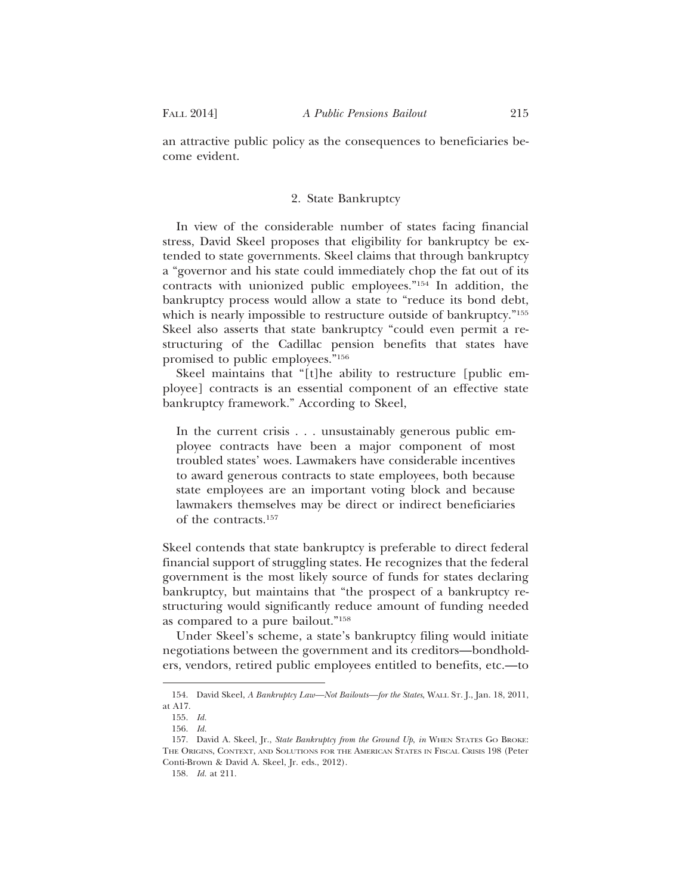an attractive public policy as the consequences to beneficiaries become evident.

# 2. State Bankruptcy

In view of the considerable number of states facing financial stress, David Skeel proposes that eligibility for bankruptcy be extended to state governments. Skeel claims that through bankruptcy a "governor and his state could immediately chop the fat out of its contracts with unionized public employees."154 In addition, the bankruptcy process would allow a state to "reduce its bond debt, which is nearly impossible to restructure outside of bankruptcy."<sup>155</sup> Skeel also asserts that state bankruptcy "could even permit a restructuring of the Cadillac pension benefits that states have promised to public employees."156

Skeel maintains that "[t]he ability to restructure [public employee] contracts is an essential component of an effective state bankruptcy framework." According to Skeel,

In the current crisis . . . unsustainably generous public employee contracts have been a major component of most troubled states' woes. Lawmakers have considerable incentives to award generous contracts to state employees, both because state employees are an important voting block and because lawmakers themselves may be direct or indirect beneficiaries of the contracts.157

Skeel contends that state bankruptcy is preferable to direct federal financial support of struggling states. He recognizes that the federal government is the most likely source of funds for states declaring bankruptcy, but maintains that "the prospect of a bankruptcy restructuring would significantly reduce amount of funding needed as compared to a pure bailout."158

Under Skeel's scheme, a state's bankruptcy filing would initiate negotiations between the government and its creditors—bondholders, vendors, retired public employees entitled to benefits, etc.—to

<sup>154.</sup> David Skeel, *A Bankruptcy Law—Not Bailouts—for the States*, WALL ST. J., Jan. 18, 2011, at A17.

<sup>155.</sup> *Id.*

<sup>156.</sup> *Id.*

<sup>157.</sup> David A. Skeel, Jr., *State Bankruptcy from the Ground Up*, *in* WHEN STATES GO BROKE: THE ORIGINS, CONTEXT, AND SOLUTIONS FOR THE AMERICAN STATES IN FISCAL CRISIS 198 (Peter Conti-Brown & David A. Skeel, Jr. eds., 2012).

<sup>158.</sup> *Id.* at 211.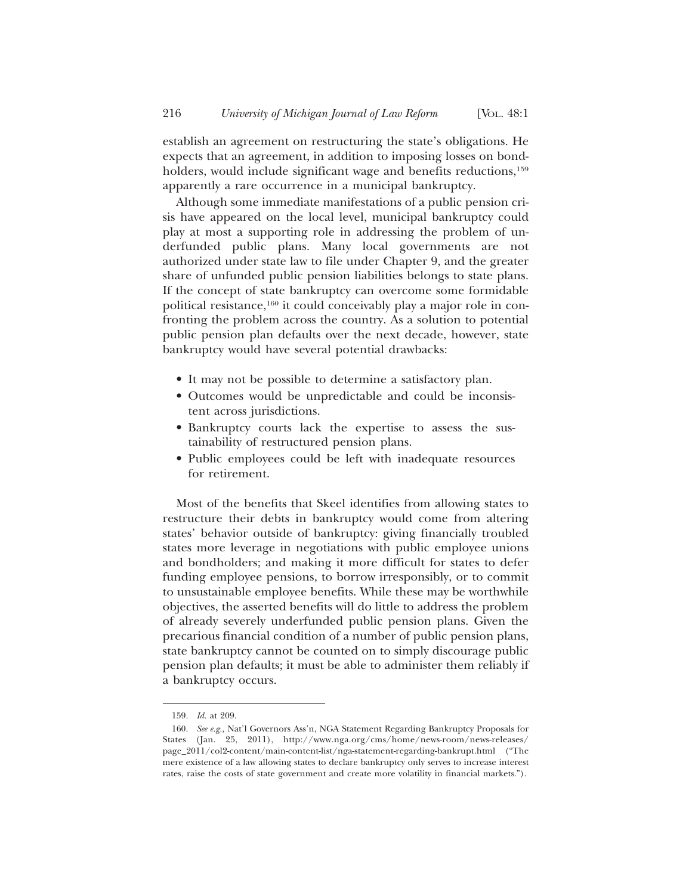establish an agreement on restructuring the state's obligations. He expects that an agreement, in addition to imposing losses on bondholders, would include significant wage and benefits reductions,<sup>159</sup> apparently a rare occurrence in a municipal bankruptcy.

Although some immediate manifestations of a public pension crisis have appeared on the local level, municipal bankruptcy could play at most a supporting role in addressing the problem of underfunded public plans. Many local governments are not authorized under state law to file under Chapter 9, and the greater share of unfunded public pension liabilities belongs to state plans. If the concept of state bankruptcy can overcome some formidable political resistance,160 it could conceivably play a major role in confronting the problem across the country. As a solution to potential public pension plan defaults over the next decade, however, state bankruptcy would have several potential drawbacks:

- It may not be possible to determine a satisfactory plan.
- Outcomes would be unpredictable and could be inconsistent across jurisdictions.
- Bankruptcy courts lack the expertise to assess the sustainability of restructured pension plans.
- Public employees could be left with inadequate resources for retirement.

Most of the benefits that Skeel identifies from allowing states to restructure their debts in bankruptcy would come from altering states' behavior outside of bankruptcy: giving financially troubled states more leverage in negotiations with public employee unions and bondholders; and making it more difficult for states to defer funding employee pensions, to borrow irresponsibly, or to commit to unsustainable employee benefits. While these may be worthwhile objectives, the asserted benefits will do little to address the problem of already severely underfunded public pension plans. Given the precarious financial condition of a number of public pension plans, state bankruptcy cannot be counted on to simply discourage public pension plan defaults; it must be able to administer them reliably if a bankruptcy occurs.

<sup>159.</sup> *Id.* at 209.

<sup>160.</sup> *See e.g.,* Nat'l Governors Ass'n, NGA Statement Regarding Bankruptcy Proposals for States (Jan. 25, 2011), http://www.nga.org/cms/home/news-room/news-releases/ page\_2011/col2-content/main-content-list/nga-statement-regarding-bankrupt.html ("The mere existence of a law allowing states to declare bankruptcy only serves to increase interest rates, raise the costs of state government and create more volatility in financial markets.").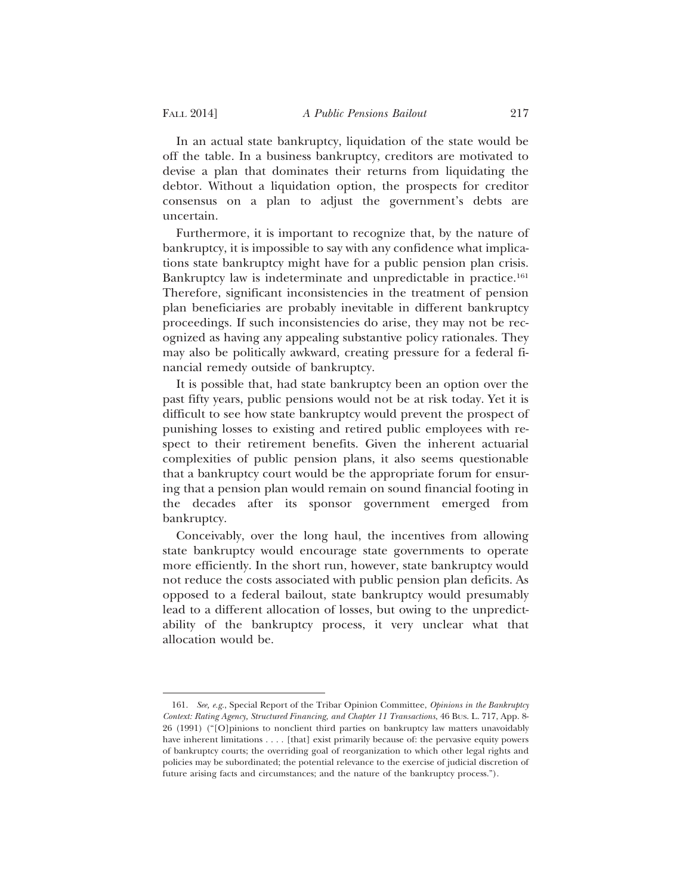In an actual state bankruptcy, liquidation of the state would be off the table. In a business bankruptcy, creditors are motivated to devise a plan that dominates their returns from liquidating the debtor. Without a liquidation option, the prospects for creditor consensus on a plan to adjust the government's debts are uncertain.

Furthermore, it is important to recognize that, by the nature of bankruptcy, it is impossible to say with any confidence what implications state bankruptcy might have for a public pension plan crisis. Bankruptcy law is indeterminate and unpredictable in practice.<sup>161</sup> Therefore, significant inconsistencies in the treatment of pension plan beneficiaries are probably inevitable in different bankruptcy proceedings. If such inconsistencies do arise, they may not be recognized as having any appealing substantive policy rationales. They may also be politically awkward, creating pressure for a federal financial remedy outside of bankruptcy.

It is possible that, had state bankruptcy been an option over the past fifty years, public pensions would not be at risk today. Yet it is difficult to see how state bankruptcy would prevent the prospect of punishing losses to existing and retired public employees with respect to their retirement benefits. Given the inherent actuarial complexities of public pension plans, it also seems questionable that a bankruptcy court would be the appropriate forum for ensuring that a pension plan would remain on sound financial footing in the decades after its sponsor government emerged from bankruptcy.

Conceivably, over the long haul, the incentives from allowing state bankruptcy would encourage state governments to operate more efficiently. In the short run, however, state bankruptcy would not reduce the costs associated with public pension plan deficits. As opposed to a federal bailout, state bankruptcy would presumably lead to a different allocation of losses, but owing to the unpredictability of the bankruptcy process, it very unclear what that allocation would be.

<sup>161.</sup> *See, e.g.*, Special Report of the Tribar Opinion Committee, *Opinions in the Bankruptcy Context: Rating Agency, Structured Financing, and Chapter 11 Transactions*, 46 BUS. L. 717, App. 8- 26 (1991) ("[O]pinions to nonclient third parties on bankruptcy law matters unavoidably have inherent limitations . . . . [that] exist primarily because of: the pervasive equity powers of bankruptcy courts; the overriding goal of reorganization to which other legal rights and policies may be subordinated; the potential relevance to the exercise of judicial discretion of future arising facts and circumstances; and the nature of the bankruptcy process.").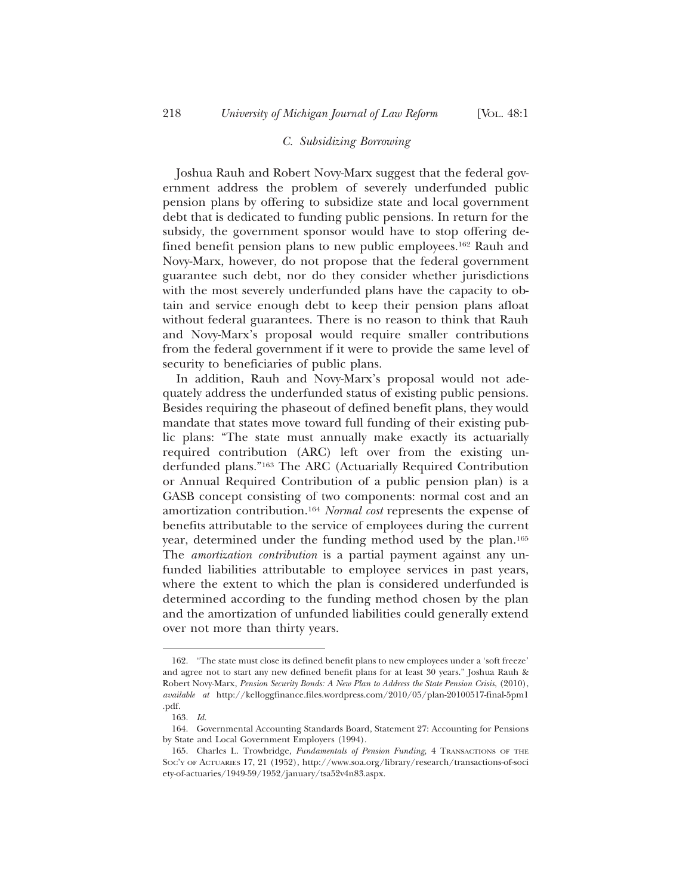# *C. Subsidizing Borrowing*

Joshua Rauh and Robert Novy-Marx suggest that the federal government address the problem of severely underfunded public pension plans by offering to subsidize state and local government debt that is dedicated to funding public pensions. In return for the subsidy, the government sponsor would have to stop offering defined benefit pension plans to new public employees.162 Rauh and Novy-Marx, however, do not propose that the federal government guarantee such debt, nor do they consider whether jurisdictions with the most severely underfunded plans have the capacity to obtain and service enough debt to keep their pension plans afloat without federal guarantees. There is no reason to think that Rauh and Novy-Marx's proposal would require smaller contributions from the federal government if it were to provide the same level of security to beneficiaries of public plans.

In addition, Rauh and Novy-Marx's proposal would not adequately address the underfunded status of existing public pensions. Besides requiring the phaseout of defined benefit plans, they would mandate that states move toward full funding of their existing public plans: "The state must annually make exactly its actuarially required contribution (ARC) left over from the existing underfunded plans."163 The ARC (Actuarially Required Contribution or Annual Required Contribution of a public pension plan) is a GASB concept consisting of two components: normal cost and an amortization contribution.164 *Normal cost* represents the expense of benefits attributable to the service of employees during the current year, determined under the funding method used by the plan.165 The *amortization contribution* is a partial payment against any unfunded liabilities attributable to employee services in past years, where the extent to which the plan is considered underfunded is determined according to the funding method chosen by the plan and the amortization of unfunded liabilities could generally extend over not more than thirty years.

<sup>162. &</sup>quot;The state must close its defined benefit plans to new employees under a 'soft freeze' and agree not to start any new defined benefit plans for at least 30 years." Joshua Rauh & Robert Novy-Marx, *Pension Security Bonds: A New Plan to Address the State Pension Crisis*, (2010), *available at* http://kelloggfinance.files.wordpress.com/2010/05/plan-20100517-final-5pm1 .pdf.

<sup>163.</sup> *Id.*

<sup>164.</sup> Governmental Accounting Standards Board, Statement 27: Accounting for Pensions by State and Local Government Employers (1994).

<sup>165.</sup> Charles L. Trowbridge, *Fundamentals of Pension Funding*, 4 TRANSACTIONS OF THE SOC'Y OF ACTUARIES 17, 21 (1952), http://www.soa.org/library/research/transactions-of-soci ety-of-actuaries/1949-59/1952/january/tsa52v4n83.aspx.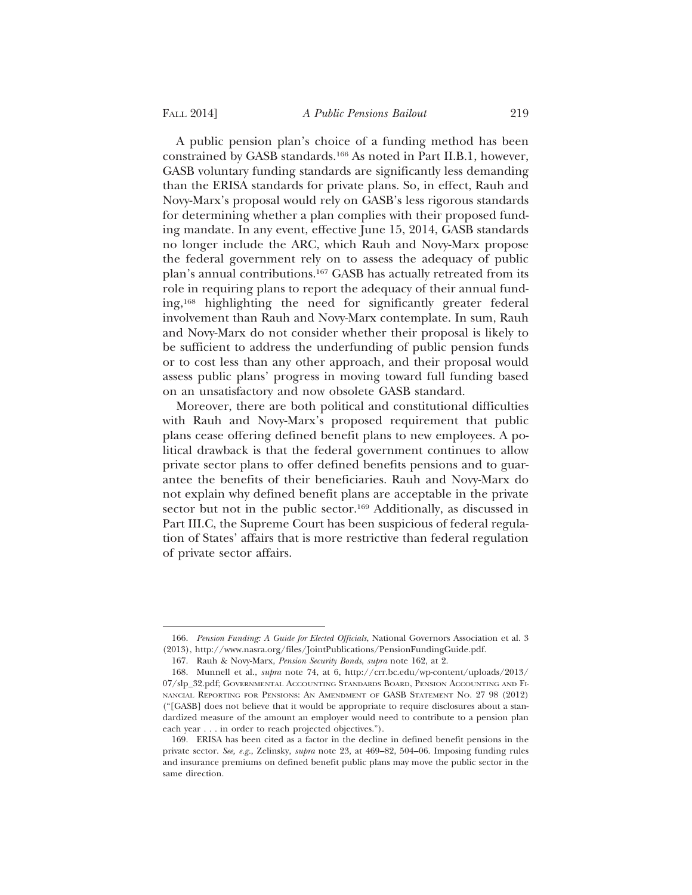A public pension plan's choice of a funding method has been constrained by GASB standards.166 As noted in Part II.B.1, however, GASB voluntary funding standards are significantly less demanding than the ERISA standards for private plans. So, in effect, Rauh and Novy-Marx's proposal would rely on GASB's less rigorous standards for determining whether a plan complies with their proposed funding mandate. In any event, effective June 15, 2014, GASB standards no longer include the ARC, which Rauh and Novy-Marx propose the federal government rely on to assess the adequacy of public plan's annual contributions.167 GASB has actually retreated from its role in requiring plans to report the adequacy of their annual funding,168 highlighting the need for significantly greater federal involvement than Rauh and Novy-Marx contemplate. In sum, Rauh and Novy-Marx do not consider whether their proposal is likely to be sufficient to address the underfunding of public pension funds or to cost less than any other approach, and their proposal would assess public plans' progress in moving toward full funding based on an unsatisfactory and now obsolete GASB standard.

Moreover, there are both political and constitutional difficulties with Rauh and Novy-Marx's proposed requirement that public plans cease offering defined benefit plans to new employees. A political drawback is that the federal government continues to allow private sector plans to offer defined benefits pensions and to guarantee the benefits of their beneficiaries. Rauh and Novy-Marx do not explain why defined benefit plans are acceptable in the private sector but not in the public sector.<sup>169</sup> Additionally, as discussed in Part III.C, the Supreme Court has been suspicious of federal regulation of States' affairs that is more restrictive than federal regulation of private sector affairs.

<sup>166.</sup> *Pension Funding: A Guide for Elected Officials*, National Governors Association et al. 3 (2013), http://www.nasra.org/files/JointPublications/PensionFundingGuide.pdf.

<sup>167.</sup> Rauh & Novy-Marx, *Pension Security Bonds*, *supra* note 162, at 2.

<sup>168.</sup> Munnell et al., *supra* note 74, at 6, http://crr.bc.edu/wp-content/uploads/2013/ 07/slp\_32.pdf; GOVERNMENTAL ACCOUNTING STANDARDS BOARD, PENSION ACCOUNTING AND FI-NANCIAL REPORTING FOR PENSIONS: AN AMENDMENT OF GASB STATEMENT NO. 27 98 (2012) ("[GASB] does not believe that it would be appropriate to require disclosures about a standardized measure of the amount an employer would need to contribute to a pension plan each year . . . in order to reach projected objectives.").

<sup>169.</sup> ERISA has been cited as a factor in the decline in defined benefit pensions in the private sector. *See, e.g.*, Zelinsky, *supra* note 23, at 469–82, 504–06. Imposing funding rules and insurance premiums on defined benefit public plans may move the public sector in the same direction.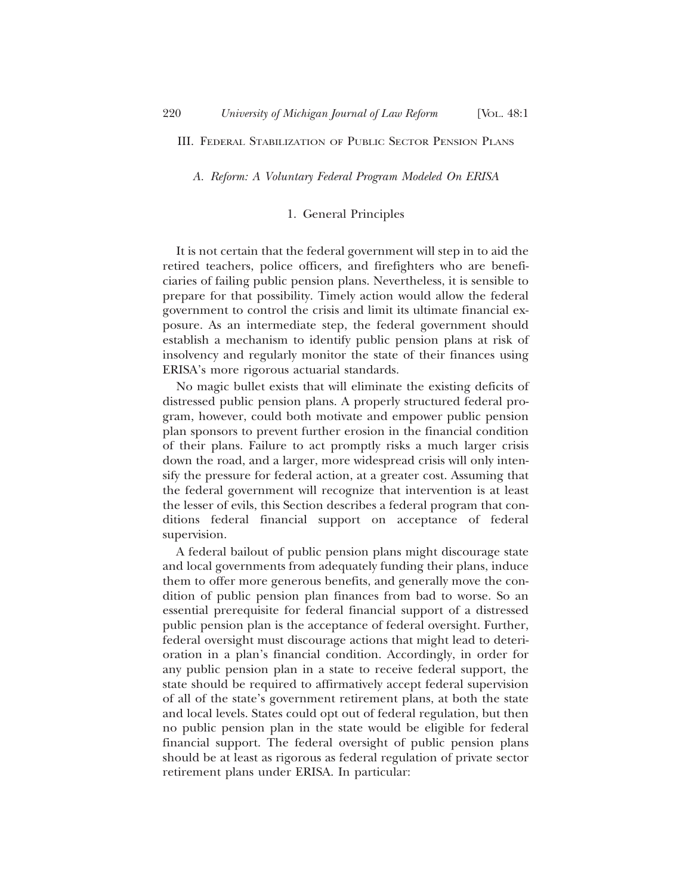*A. Reform: A Voluntary Federal Program Modeled On ERISA*

#### 1. General Principles

It is not certain that the federal government will step in to aid the retired teachers, police officers, and firefighters who are beneficiaries of failing public pension plans. Nevertheless, it is sensible to prepare for that possibility. Timely action would allow the federal government to control the crisis and limit its ultimate financial exposure. As an intermediate step, the federal government should establish a mechanism to identify public pension plans at risk of insolvency and regularly monitor the state of their finances using ERISA's more rigorous actuarial standards.

No magic bullet exists that will eliminate the existing deficits of distressed public pension plans. A properly structured federal program, however, could both motivate and empower public pension plan sponsors to prevent further erosion in the financial condition of their plans. Failure to act promptly risks a much larger crisis down the road, and a larger, more widespread crisis will only intensify the pressure for federal action, at a greater cost. Assuming that the federal government will recognize that intervention is at least the lesser of evils, this Section describes a federal program that conditions federal financial support on acceptance of federal supervision.

A federal bailout of public pension plans might discourage state and local governments from adequately funding their plans, induce them to offer more generous benefits, and generally move the condition of public pension plan finances from bad to worse. So an essential prerequisite for federal financial support of a distressed public pension plan is the acceptance of federal oversight. Further, federal oversight must discourage actions that might lead to deterioration in a plan's financial condition. Accordingly, in order for any public pension plan in a state to receive federal support, the state should be required to affirmatively accept federal supervision of all of the state's government retirement plans, at both the state and local levels. States could opt out of federal regulation, but then no public pension plan in the state would be eligible for federal financial support. The federal oversight of public pension plans should be at least as rigorous as federal regulation of private sector retirement plans under ERISA. In particular: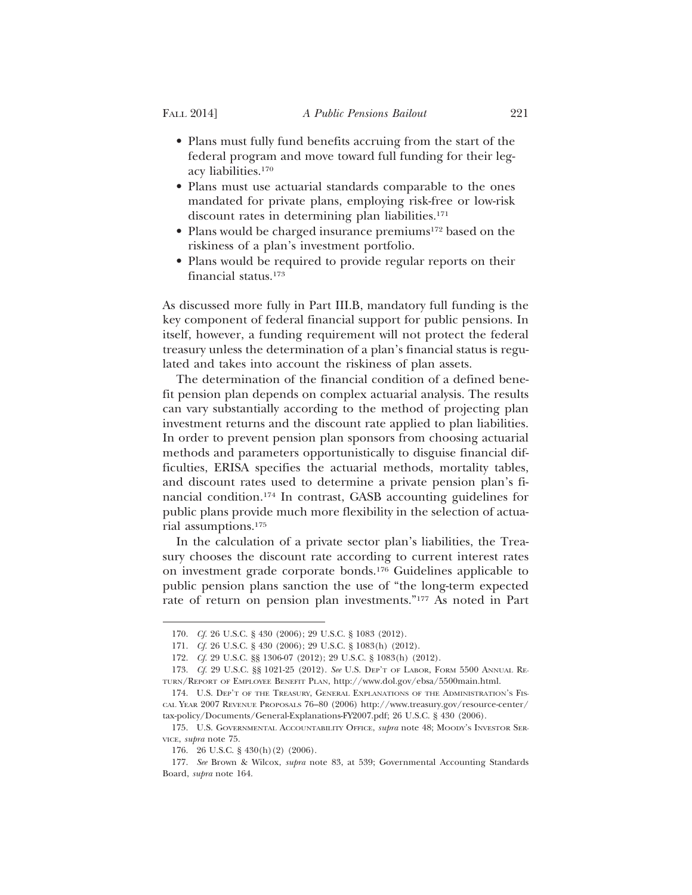- Plans must fully fund benefits accruing from the start of the federal program and move toward full funding for their legacy liabilities.170
- Plans must use actuarial standards comparable to the ones mandated for private plans, employing risk-free or low-risk discount rates in determining plan liabilities.<sup>171</sup>
- Plans would be charged insurance premiums<sup>172</sup> based on the riskiness of a plan's investment portfolio.
- Plans would be required to provide regular reports on their financial status.173

As discussed more fully in Part III.B, mandatory full funding is the key component of federal financial support for public pensions. In itself, however, a funding requirement will not protect the federal treasury unless the determination of a plan's financial status is regulated and takes into account the riskiness of plan assets.

The determination of the financial condition of a defined benefit pension plan depends on complex actuarial analysis. The results can vary substantially according to the method of projecting plan investment returns and the discount rate applied to plan liabilities. In order to prevent pension plan sponsors from choosing actuarial methods and parameters opportunistically to disguise financial difficulties, ERISA specifies the actuarial methods, mortality tables, and discount rates used to determine a private pension plan's financial condition.174 In contrast, GASB accounting guidelines for public plans provide much more flexibility in the selection of actuarial assumptions.175

In the calculation of a private sector plan's liabilities, the Treasury chooses the discount rate according to current interest rates on investment grade corporate bonds.176 Guidelines applicable to public pension plans sanction the use of "the long-term expected rate of return on pension plan investments."177 As noted in Part

<sup>170.</sup> *Cf.* 26 U.S.C. § 430 (2006); 29 U.S.C. § 1083 (2012).

<sup>171.</sup> *Cf.* 26 U.S.C. § 430 (2006); 29 U.S.C. § 1083(h) (2012).

<sup>172.</sup> *Cf.* 29 U.S.C. §§ 1306-07 (2012); 29 U.S.C. § 1083(h) (2012).

<sup>173.</sup> *Cf.* 29 U.S.C. §§ 1021-25 (2012). *See* U.S. DEP'T OF LABOR, FORM 5500 ANNUAL RE-TURN/REPORT OF EMPLOYEE BENEFIT PLAN, http://www.dol.gov/ebsa/5500main.html.

<sup>174.</sup> U.S. DEP'T OF THE TREASURY, GENERAL EXPLANATIONS OF THE ADMINISTRATION'S FIS-CAL YEAR 2007 REVENUE PROPOSALS 76–80 (2006) http://www.treasury.gov/resource-center/ tax-policy/Documents/General-Explanations-FY2007.pdf; 26 U.S.C. § 430 (2006).

<sup>175.</sup> U.S. GOVERNMENTAL ACCOUNTABILITY OFFICE, *supra* note 48; MOODY'S INVESTOR SER-VICE, *supra* note 75.

<sup>176. 26</sup> U.S.C. § 430(h)(2) (2006).

<sup>177.</sup> *See* Brown & Wilcox, *supra* note 83, at 539; Governmental Accounting Standards Board, *supra* note 164.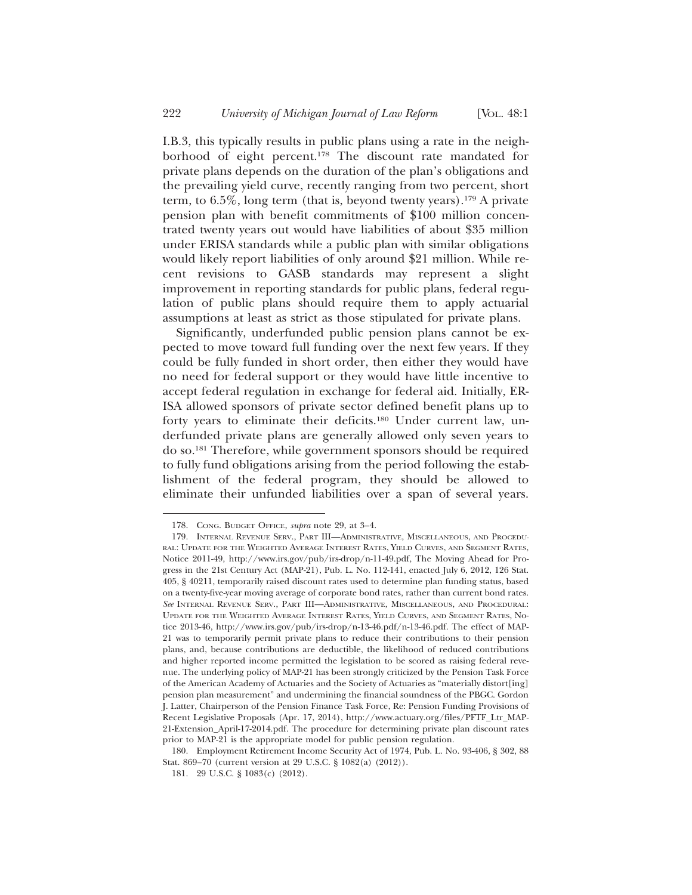I.B.3, this typically results in public plans using a rate in the neighborhood of eight percent.178 The discount rate mandated for private plans depends on the duration of the plan's obligations and the prevailing yield curve, recently ranging from two percent, short term, to  $6.5\%$ , long term (that is, beyond twenty years).<sup>179</sup> A private pension plan with benefit commitments of \$100 million concentrated twenty years out would have liabilities of about \$35 million under ERISA standards while a public plan with similar obligations would likely report liabilities of only around \$21 million. While recent revisions to GASB standards may represent a slight improvement in reporting standards for public plans, federal regulation of public plans should require them to apply actuarial assumptions at least as strict as those stipulated for private plans.

Significantly, underfunded public pension plans cannot be expected to move toward full funding over the next few years. If they could be fully funded in short order, then either they would have no need for federal support or they would have little incentive to accept federal regulation in exchange for federal aid. Initially, ER-ISA allowed sponsors of private sector defined benefit plans up to forty years to eliminate their deficits.180 Under current law, underfunded private plans are generally allowed only seven years to do so.181 Therefore, while government sponsors should be required to fully fund obligations arising from the period following the establishment of the federal program, they should be allowed to eliminate their unfunded liabilities over a span of several years.

<sup>178.</sup> CONG. BUDGET OFFICE, *supra* note 29, at 3–4.

<sup>179.</sup> INTERNAL REVENUE SERV., PART III—ADMINISTRATIVE, MISCELLANEOUS, AND PROCEDU-RAL: UPDATE FOR THE WEIGHTED AVERAGE INTEREST RATES, YIELD CURVES, AND SEGMENT RATES, Notice 2011-49, http://www.irs.gov/pub/irs-drop/n-11-49.pdf, The Moving Ahead for Progress in the 21st Century Act (MAP-21), Pub. L. No. 112-141, enacted July 6, 2012, 126 Stat. 405, § 40211, temporarily raised discount rates used to determine plan funding status, based on a twenty-five-year moving average of corporate bond rates, rather than current bond rates. *See* INTERNAL REVENUE SERV., PART III—ADMINISTRATIVE, MISCELLANEOUS, AND PROCEDURAL: UPDATE FOR THE WEIGHTED AVERAGE INTEREST RATES, YIELD CURVES, AND SEGMENT RATES, Notice 2013-46, http://www.irs.gov/pub/irs-drop/n-13-46.pdf/n-13-46.pdf. The effect of MAP-21 was to temporarily permit private plans to reduce their contributions to their pension plans, and, because contributions are deductible, the likelihood of reduced contributions and higher reported income permitted the legislation to be scored as raising federal revenue. The underlying policy of MAP-21 has been strongly criticized by the Pension Task Force of the American Academy of Actuaries and the Society of Actuaries as "materially distort[ing] pension plan measurement" and undermining the financial soundness of the PBGC. Gordon J. Latter, Chairperson of the Pension Finance Task Force, Re: Pension Funding Provisions of Recent Legislative Proposals (Apr. 17, 2014), http://www.actuary.org/files/PFTF\_Ltr\_MAP-21-Extension\_April-17-2014.pdf. The procedure for determining private plan discount rates prior to MAP-21 is the appropriate model for public pension regulation.

<sup>180.</sup> Employment Retirement Income Security Act of 1974, Pub. L. No. 93-406, § 302, 88 Stat. 869–70 (current version at 29 U.S.C. § 1082(a) (2012)).

<sup>181. 29</sup> U.S.C. § 1083(c) (2012).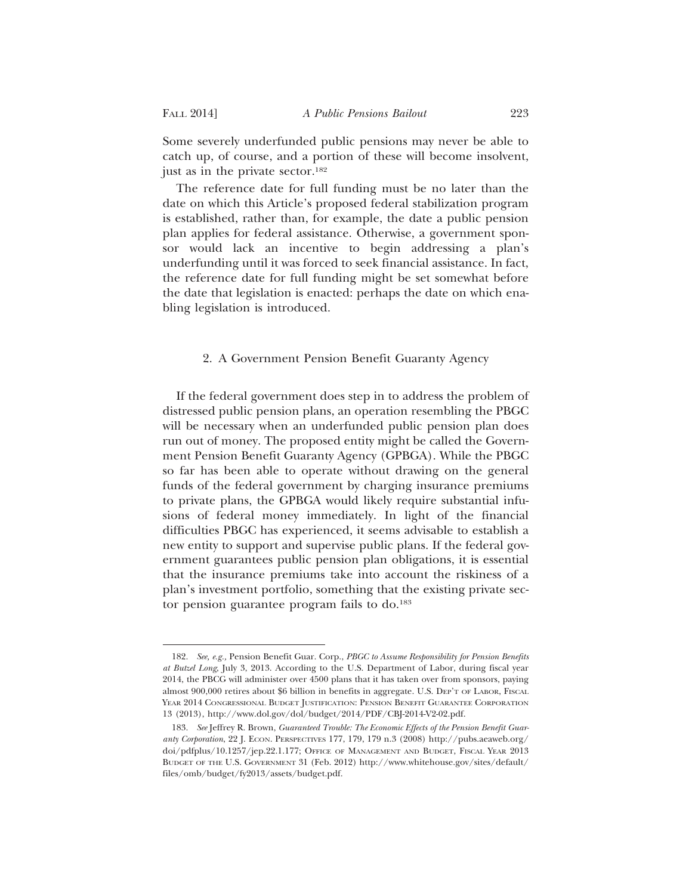Some severely underfunded public pensions may never be able to catch up, of course, and a portion of these will become insolvent, just as in the private sector.<sup>182</sup>

The reference date for full funding must be no later than the date on which this Article's proposed federal stabilization program is established, rather than, for example, the date a public pension plan applies for federal assistance. Otherwise, a government sponsor would lack an incentive to begin addressing a plan's underfunding until it was forced to seek financial assistance. In fact, the reference date for full funding might be set somewhat before the date that legislation is enacted: perhaps the date on which enabling legislation is introduced.

#### 2. A Government Pension Benefit Guaranty Agency

If the federal government does step in to address the problem of distressed public pension plans, an operation resembling the PBGC will be necessary when an underfunded public pension plan does run out of money. The proposed entity might be called the Government Pension Benefit Guaranty Agency (GPBGA). While the PBGC so far has been able to operate without drawing on the general funds of the federal government by charging insurance premiums to private plans, the GPBGA would likely require substantial infusions of federal money immediately. In light of the financial difficulties PBGC has experienced, it seems advisable to establish a new entity to support and supervise public plans. If the federal government guarantees public pension plan obligations, it is essential that the insurance premiums take into account the riskiness of a plan's investment portfolio, something that the existing private sector pension guarantee program fails to do.<sup>183</sup>

<sup>182.</sup> *See, e.g.,* Pension Benefit Guar. Corp., *PBGC to Assume Responsibility for Pension Benefits at Butzel Long*, July 3, 2013. According to the U.S. Department of Labor, during fiscal year 2014, the PBCG will administer over 4500 plans that it has taken over from sponsors, paying almost 900,000 retires about \$6 billion in benefits in aggregate. U.S. DEP'T OF LABOR, FISCAL YEAR 2014 CONGRESSIONAL BUDGET JUSTIFICATION: PENSION BENEFIT GUARANTEE CORPORATION 13 (2013), http://www.dol.gov/dol/budget/2014/PDF/CBJ-2014-V2-02.pdf.

<sup>183.</sup> *See* Jeffrey R. Brown, *Guaranteed Trouble: The Economic Effects of the Pension Benefit Guaranty Corporation*, 22 J. ECON. PERSPECTIVES 177, 179, 179 n.3 (2008) http://pubs.aeaweb.org/ doi/pdfplus/10.1257/jep.22.1.177; OFFICE OF MANAGEMENT AND BUDGET, FISCAL YEAR 2013 BUDGET OF THE U.S. GOVERNMENT 31 (Feb. 2012) http://www.whitehouse.gov/sites/default/ files/omb/budget/fy2013/assets/budget.pdf.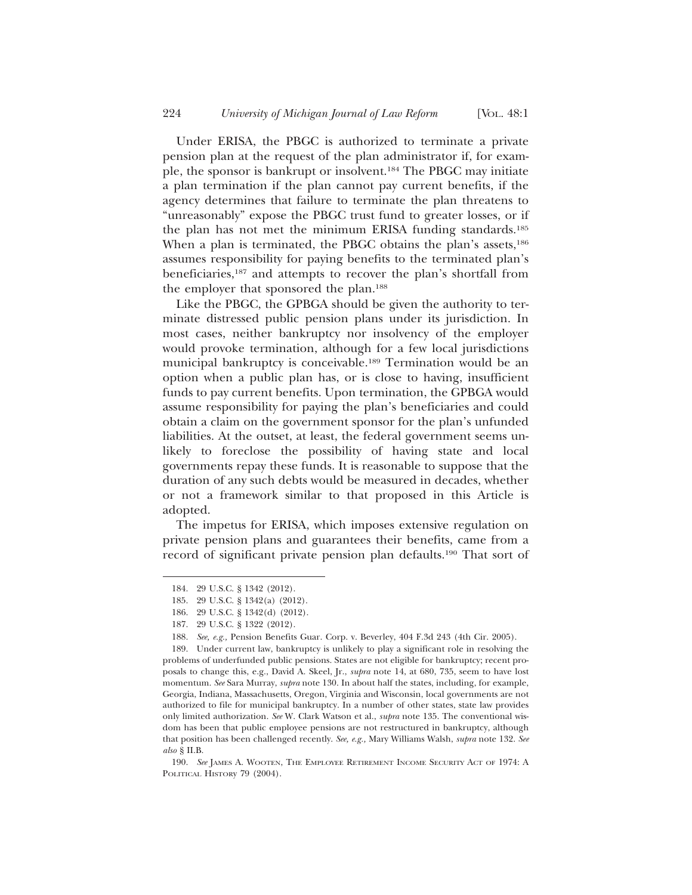Under ERISA, the PBGC is authorized to terminate a private pension plan at the request of the plan administrator if, for example, the sponsor is bankrupt or insolvent.184 The PBGC may initiate a plan termination if the plan cannot pay current benefits, if the agency determines that failure to terminate the plan threatens to "unreasonably" expose the PBGC trust fund to greater losses, or if the plan has not met the minimum ERISA funding standards.185 When a plan is terminated, the PBGC obtains the plan's assets,<sup>186</sup> assumes responsibility for paying benefits to the terminated plan's beneficiaries,187 and attempts to recover the plan's shortfall from the employer that sponsored the plan.188

Like the PBGC, the GPBGA should be given the authority to terminate distressed public pension plans under its jurisdiction. In most cases, neither bankruptcy nor insolvency of the employer would provoke termination, although for a few local jurisdictions municipal bankruptcy is conceivable.189 Termination would be an option when a public plan has, or is close to having, insufficient funds to pay current benefits. Upon termination, the GPBGA would assume responsibility for paying the plan's beneficiaries and could obtain a claim on the government sponsor for the plan's unfunded liabilities. At the outset, at least, the federal government seems unlikely to foreclose the possibility of having state and local governments repay these funds. It is reasonable to suppose that the duration of any such debts would be measured in decades, whether or not a framework similar to that proposed in this Article is adopted.

The impetus for ERISA, which imposes extensive regulation on private pension plans and guarantees their benefits, came from a record of significant private pension plan defaults.190 That sort of

190. *See* JAMES A. WOOTEN, THE EMPLOYEE RETIREMENT INCOME SECURITY ACT OF 1974: A POLITICAL HISTORY 79 (2004).

<sup>184. 29</sup> U.S.C. § 1342 (2012).

<sup>185. 29</sup> U.S.C. § 1342(a) (2012).

<sup>186. 29</sup> U.S.C. § 1342(d) (2012).

<sup>187. 29</sup> U.S.C. § 1322 (2012).

<sup>188.</sup> *See, e.g.,* Pension Benefits Guar. Corp. v. Beverley, 404 F.3d 243 (4th Cir. 2005).

<sup>189.</sup> Under current law, bankruptcy is unlikely to play a significant role in resolving the problems of underfunded public pensions. States are not eligible for bankruptcy; recent proposals to change this, e.g., David A. Skeel, Jr., *supra* note 14, at 680, 735, seem to have lost momentum. *See* Sara Murray, *supra* note 130. In about half the states, including, for example, Georgia, Indiana, Massachusetts, Oregon, Virginia and Wisconsin, local governments are not authorized to file for municipal bankruptcy. In a number of other states, state law provides only limited authorization. *See* W. Clark Watson et al., *supra* note 135. The conventional wisdom has been that public employee pensions are not restructured in bankruptcy, although that position has been challenged recently. *See, e.g.,* Mary Williams Walsh, *supra* note 132. *See also* § II.B.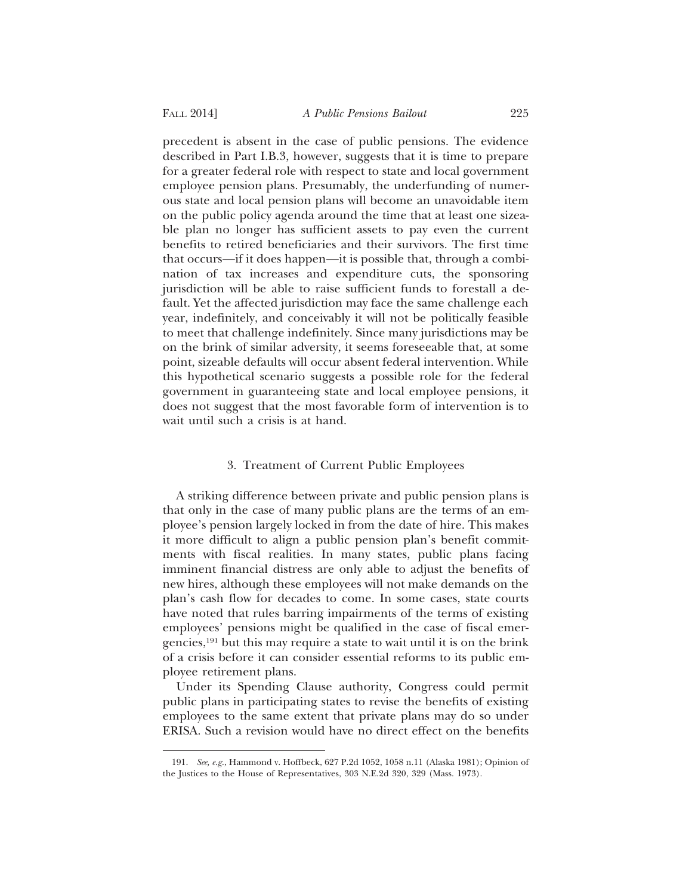precedent is absent in the case of public pensions. The evidence described in Part I.B.3, however, suggests that it is time to prepare for a greater federal role with respect to state and local government employee pension plans. Presumably, the underfunding of numerous state and local pension plans will become an unavoidable item on the public policy agenda around the time that at least one sizeable plan no longer has sufficient assets to pay even the current benefits to retired beneficiaries and their survivors. The first time that occurs—if it does happen—it is possible that, through a combination of tax increases and expenditure cuts, the sponsoring jurisdiction will be able to raise sufficient funds to forestall a default. Yet the affected jurisdiction may face the same challenge each year, indefinitely, and conceivably it will not be politically feasible to meet that challenge indefinitely. Since many jurisdictions may be on the brink of similar adversity, it seems foreseeable that, at some point, sizeable defaults will occur absent federal intervention. While this hypothetical scenario suggests a possible role for the federal government in guaranteeing state and local employee pensions, it does not suggest that the most favorable form of intervention is to wait until such a crisis is at hand.

#### 3. Treatment of Current Public Employees

A striking difference between private and public pension plans is that only in the case of many public plans are the terms of an employee's pension largely locked in from the date of hire. This makes it more difficult to align a public pension plan's benefit commitments with fiscal realities. In many states, public plans facing imminent financial distress are only able to adjust the benefits of new hires, although these employees will not make demands on the plan's cash flow for decades to come. In some cases, state courts have noted that rules barring impairments of the terms of existing employees' pensions might be qualified in the case of fiscal emergencies,191 but this may require a state to wait until it is on the brink of a crisis before it can consider essential reforms to its public employee retirement plans.

Under its Spending Clause authority, Congress could permit public plans in participating states to revise the benefits of existing employees to the same extent that private plans may do so under ERISA. Such a revision would have no direct effect on the benefits

<sup>191.</sup> *See, e.g.*, Hammond v. Hoffbeck, 627 P.2d 1052, 1058 n.11 (Alaska 1981); Opinion of the Justices to the House of Representatives, 303 N.E.2d 320, 329 (Mass. 1973).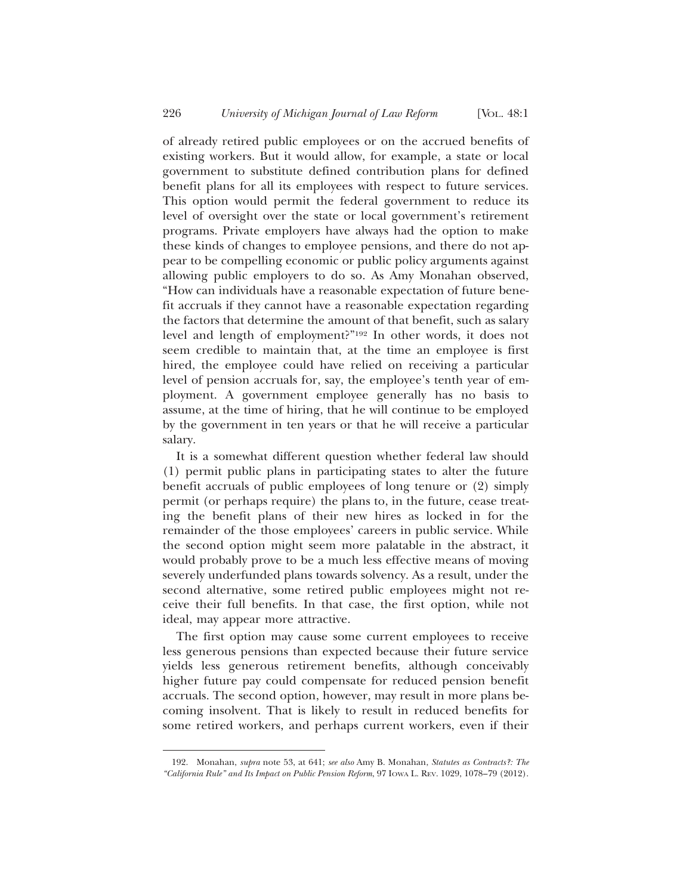of already retired public employees or on the accrued benefits of existing workers. But it would allow, for example, a state or local government to substitute defined contribution plans for defined benefit plans for all its employees with respect to future services. This option would permit the federal government to reduce its level of oversight over the state or local government's retirement programs. Private employers have always had the option to make these kinds of changes to employee pensions, and there do not appear to be compelling economic or public policy arguments against allowing public employers to do so. As Amy Monahan observed, "How can individuals have a reasonable expectation of future benefit accruals if they cannot have a reasonable expectation regarding the factors that determine the amount of that benefit, such as salary level and length of employment?"192 In other words, it does not seem credible to maintain that, at the time an employee is first hired, the employee could have relied on receiving a particular level of pension accruals for, say, the employee's tenth year of employment. A government employee generally has no basis to assume, at the time of hiring, that he will continue to be employed by the government in ten years or that he will receive a particular salary.

It is a somewhat different question whether federal law should (1) permit public plans in participating states to alter the future benefit accruals of public employees of long tenure or (2) simply permit (or perhaps require) the plans to, in the future, cease treating the benefit plans of their new hires as locked in for the remainder of the those employees' careers in public service. While the second option might seem more palatable in the abstract, it would probably prove to be a much less effective means of moving severely underfunded plans towards solvency. As a result, under the second alternative, some retired public employees might not receive their full benefits. In that case, the first option, while not ideal, may appear more attractive.

The first option may cause some current employees to receive less generous pensions than expected because their future service yields less generous retirement benefits, although conceivably higher future pay could compensate for reduced pension benefit accruals. The second option, however, may result in more plans becoming insolvent. That is likely to result in reduced benefits for some retired workers, and perhaps current workers, even if their

<sup>192.</sup> Monahan, *supra* note 53, at 641; *see also* Amy B. Monahan, *Statutes as Contracts?: The "California Rule" and Its Impact on Public Pension Reform*, 97 IOWA L. REV. 1029, 1078–79 (2012).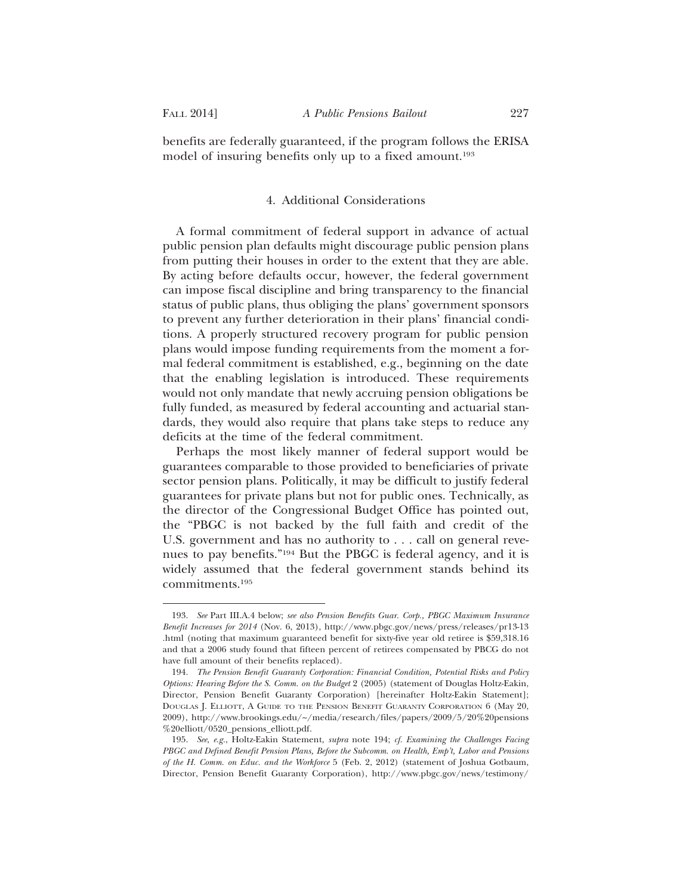benefits are federally guaranteed, if the program follows the ERISA model of insuring benefits only up to a fixed amount.193

### 4. Additional Considerations

A formal commitment of federal support in advance of actual public pension plan defaults might discourage public pension plans from putting their houses in order to the extent that they are able. By acting before defaults occur, however, the federal government can impose fiscal discipline and bring transparency to the financial status of public plans, thus obliging the plans' government sponsors to prevent any further deterioration in their plans' financial conditions. A properly structured recovery program for public pension plans would impose funding requirements from the moment a formal federal commitment is established, e.g., beginning on the date that the enabling legislation is introduced. These requirements would not only mandate that newly accruing pension obligations be fully funded, as measured by federal accounting and actuarial standards, they would also require that plans take steps to reduce any deficits at the time of the federal commitment.

Perhaps the most likely manner of federal support would be guarantees comparable to those provided to beneficiaries of private sector pension plans. Politically, it may be difficult to justify federal guarantees for private plans but not for public ones. Technically, as the director of the Congressional Budget Office has pointed out, the "PBGC is not backed by the full faith and credit of the U.S. government and has no authority to . . . call on general revenues to pay benefits."194 But the PBGC is federal agency, and it is widely assumed that the federal government stands behind its commitments.195

<sup>193.</sup> *See* Part III.A.4 below; *see also Pension Benefits Guar. Corp., PBGC Maximum Insurance Benefit Increases for 2014* (Nov. 6, 2013), http://www.pbgc.gov/news/press/releases/pr13-13 .html (noting that maximum guaranteed benefit for sixty-five year old retiree is \$59,318.16 and that a 2006 study found that fifteen percent of retirees compensated by PBCG do not have full amount of their benefits replaced).

<sup>194.</sup> *The Pension Benefit Guaranty Corporation: Financial Condition, Potential Risks and Policy Options: Hearing Before the S. Comm. on the Budget* 2 (2005) (statement of Douglas Holtz-Eakin, Director, Pension Benefit Guaranty Corporation) [hereinafter Holtz-Eakin Statement]; DOUGLAS J. ELLIOTT, A GUIDE TO THE PENSION BENEFIT GUARANTY CORPORATION 6 (May 20, 2009), http://www.brookings.edu/~/media/research/files/papers/2009/5/20%20pensions %20elliott/0520\_pensions\_elliott.pdf.

<sup>195.</sup> *See*, *e.g.*, Holtz-Eakin Statement, *supra* note 194; *cf. Examining the Challenges Facing PBGC and Defined Benefit Pension Plans, Before the Subcomm. on Health, Emp't, Labor and Pensions of the H. Comm. on Educ. and the Workforce* 5 (Feb. 2, 2012) (statement of Joshua Gotbaum, Director, Pension Benefit Guaranty Corporation), http://www.pbgc.gov/news/testimony/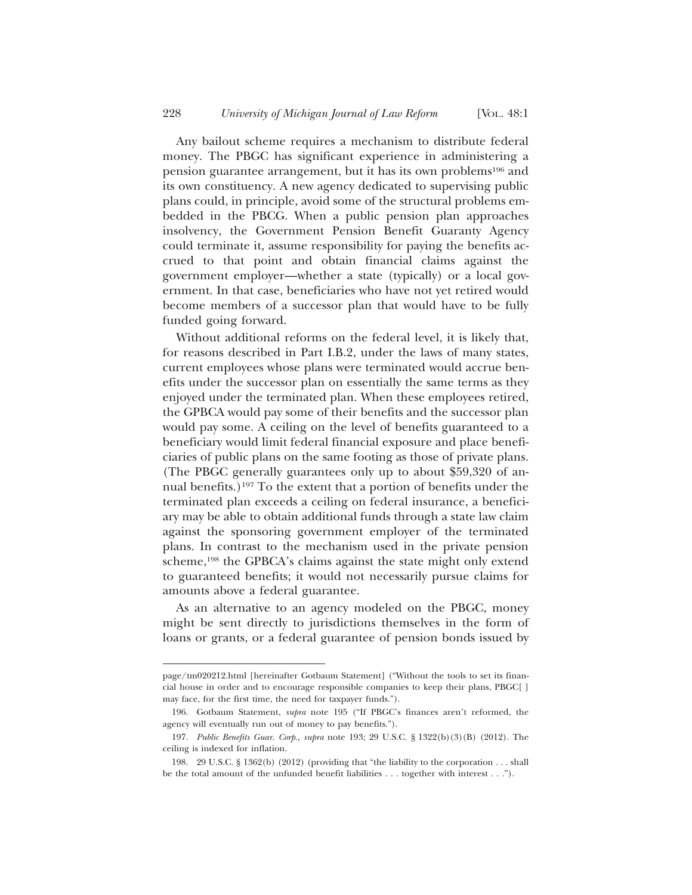Any bailout scheme requires a mechanism to distribute federal money. The PBGC has significant experience in administering a pension guarantee arrangement, but it has its own problems196 and its own constituency. A new agency dedicated to supervising public plans could, in principle, avoid some of the structural problems embedded in the PBCG. When a public pension plan approaches insolvency, the Government Pension Benefit Guaranty Agency could terminate it, assume responsibility for paying the benefits accrued to that point and obtain financial claims against the government employer—whether a state (typically) or a local government. In that case, beneficiaries who have not yet retired would become members of a successor plan that would have to be fully funded going forward.

Without additional reforms on the federal level, it is likely that, for reasons described in Part I.B.2, under the laws of many states, current employees whose plans were terminated would accrue benefits under the successor plan on essentially the same terms as they enjoyed under the terminated plan. When these employees retired, the GPBCA would pay some of their benefits and the successor plan would pay some. A ceiling on the level of benefits guaranteed to a beneficiary would limit federal financial exposure and place beneficiaries of public plans on the same footing as those of private plans. (The PBGC generally guarantees only up to about \$59,320 of annual benefits.)197 To the extent that a portion of benefits under the terminated plan exceeds a ceiling on federal insurance, a beneficiary may be able to obtain additional funds through a state law claim against the sponsoring government employer of the terminated plans. In contrast to the mechanism used in the private pension scheme,198 the GPBCA's claims against the state might only extend to guaranteed benefits; it would not necessarily pursue claims for amounts above a federal guarantee.

As an alternative to an agency modeled on the PBGC, money might be sent directly to jurisdictions themselves in the form of loans or grants, or a federal guarantee of pension bonds issued by

page/tm020212.html [hereinafter Gotbaum Statement] ("Without the tools to set its financial house in order and to encourage responsible companies to keep their plans, PBGC[ ] may face, for the first time, the need for taxpayer funds.").

<sup>196.</sup> Gotbaum Statement, *supra* note 195 ("If PBGC's finances aren't reformed, the agency will eventually run out of money to pay benefits.").

<sup>197.</sup> *Public Benefits Guar. Corp*., *supra* note 193; 29 U.S.C. § 1322(b)(3)(B) (2012). The ceiling is indexed for inflation.

<sup>198. 29</sup> U.S.C. § 1362(b) (2012) (providing that "the liability to the corporation . . . shall be the total amount of the unfunded benefit liabilities . . . together with interest . . .").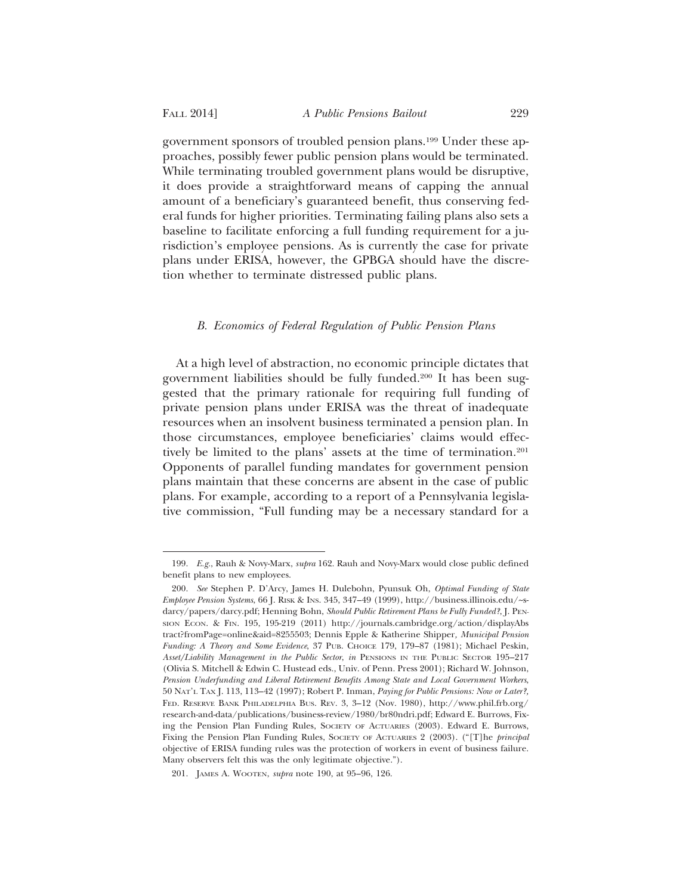government sponsors of troubled pension plans.199 Under these approaches, possibly fewer public pension plans would be terminated. While terminating troubled government plans would be disruptive, it does provide a straightforward means of capping the annual amount of a beneficiary's guaranteed benefit, thus conserving federal funds for higher priorities. Terminating failing plans also sets a baseline to facilitate enforcing a full funding requirement for a jurisdiction's employee pensions. As is currently the case for private plans under ERISA, however, the GPBGA should have the discretion whether to terminate distressed public plans.

#### *B. Economics of Federal Regulation of Public Pension Plans*

At a high level of abstraction, no economic principle dictates that government liabilities should be fully funded.200 It has been suggested that the primary rationale for requiring full funding of private pension plans under ERISA was the threat of inadequate resources when an insolvent business terminated a pension plan. In those circumstances, employee beneficiaries' claims would effectively be limited to the plans' assets at the time of termination.201 Opponents of parallel funding mandates for government pension plans maintain that these concerns are absent in the case of public plans. For example, according to a report of a Pennsylvania legislative commission, "Full funding may be a necessary standard for a

<sup>199.</sup> *E.g.*, Rauh & Novy-Marx, *supra* 162. Rauh and Novy-Marx would close public defined benefit plans to new employees.

<sup>200.</sup> *See* Stephen P. D'Arcy, James H. Dulebohn, Pyunsuk Oh, *Optimal Funding of State Employee Pension Systems*, 66 J. RISK & INS. 345, 347–49 (1999), http://business.illinois.edu/~sdarcy/papers/darcy.pdf; Henning Bohn, *Should Public Retirement Plans be Fully Funded?*, J. PEN-SION ECON. & FIN. 195, 195-219 (2011) http://journals.cambridge.org/action/displayAbs tract?fromPage=online&aid=8255503; Dennis Epple & Katherine Shipper*, Municipal Pension Funding: A Theory and Some Evidence*, 37 PUB. CHOICE 179, 179–87 (1981); Michael Peskin, *Asset/Liability Management in the Public Sector*, *in* PENSIONS IN THE PUBLIC SECTOR 195–217 (Olivia S. Mitchell & Edwin C. Hustead eds., Univ. of Penn. Press 2001); Richard W. Johnson, *Pension Underfunding and Liberal Retirement Benefits Among State and Local Government Workers*, 50 NAT'L TAX J. 113, 113–42 (1997); Robert P. Inman, *Paying for Public Pensions: Now or Later?,* FED. RESERVE BANK PHILADELPHIA BUS. REV. 3, 3–12 (Nov. 1980), http://www.phil.frb.org/ research-and-data/publications/business-review/1980/br80ndri.pdf; Edward E. Burrows, Fixing the Pension Plan Funding Rules, SOCIETY OF ACTUARIES (2003). Edward E. Burrows, Fixing the Pension Plan Funding Rules, SOCIETY OF ACTUARIES 2 (2003). ("[T]he *principal* objective of ERISA funding rules was the protection of workers in event of business failure. Many observers felt this was the only legitimate objective.").

<sup>201.</sup> JAMES A. WOOTEN, *supra* note 190, at 95–96, 126.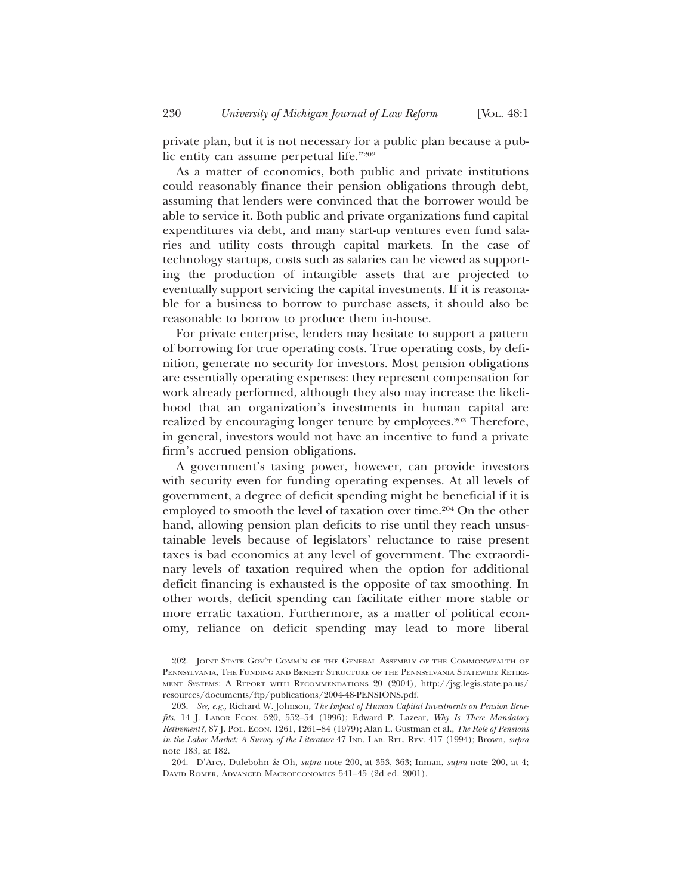private plan, but it is not necessary for a public plan because a public entity can assume perpetual life."202

As a matter of economics, both public and private institutions could reasonably finance their pension obligations through debt, assuming that lenders were convinced that the borrower would be able to service it. Both public and private organizations fund capital expenditures via debt, and many start-up ventures even fund salaries and utility costs through capital markets. In the case of technology startups, costs such as salaries can be viewed as supporting the production of intangible assets that are projected to eventually support servicing the capital investments. If it is reasonable for a business to borrow to purchase assets, it should also be reasonable to borrow to produce them in-house.

For private enterprise, lenders may hesitate to support a pattern of borrowing for true operating costs. True operating costs, by definition, generate no security for investors. Most pension obligations are essentially operating expenses: they represent compensation for work already performed, although they also may increase the likelihood that an organization's investments in human capital are realized by encouraging longer tenure by employees.<sup>203</sup> Therefore, in general, investors would not have an incentive to fund a private firm's accrued pension obligations.

A government's taxing power, however, can provide investors with security even for funding operating expenses. At all levels of government, a degree of deficit spending might be beneficial if it is employed to smooth the level of taxation over time.<sup>204</sup> On the other hand, allowing pension plan deficits to rise until they reach unsustainable levels because of legislators' reluctance to raise present taxes is bad economics at any level of government. The extraordinary levels of taxation required when the option for additional deficit financing is exhausted is the opposite of tax smoothing. In other words, deficit spending can facilitate either more stable or more erratic taxation. Furthermore, as a matter of political economy, reliance on deficit spending may lead to more liberal

<sup>202.</sup> JOINT STATE GOV'T COMM'N OF THE GENERAL ASSEMBLY OF THE COMMONWEALTH OF PENNSYLVANIA, THE FUNDING AND BENEFIT STRUCTURE OF THE PENNSYLVANIA STATEWIDE RETIRE-MENT SYSTEMS: A REPORT WITH RECOMMENDATIONS 20 (2004), http://jsg.legis.state.pa.us/ resources/documents/ftp/publications/2004-48-PENSIONS.pdf.

<sup>203.</sup> *See, e.g.,* Richard W. Johnson, *The Impact of Human Capital Investments on Pension Benefits*, 14 J. LABOR ECON. 520, 552–54 (1996); Edward P. Lazear, *Why Is There Mandatory Retirement?,* 87 J. POL. ECON. 1261, 1261–84 (1979); Alan L. Gustman et al., *The Role of Pensions in the Labor Market: A Survey of the Literature* 47 IND. LAB. REL. REV. 417 (1994); Brown, *supra* note 183, at 182.

<sup>204.</sup> D'Arcy, Dulebohn & Oh, *supra* note 200, at 353, 363; Inman, *supra* note 200, at 4; DAVID ROMER, ADVANCED MACROECONOMICS 541–45 (2d ed. 2001).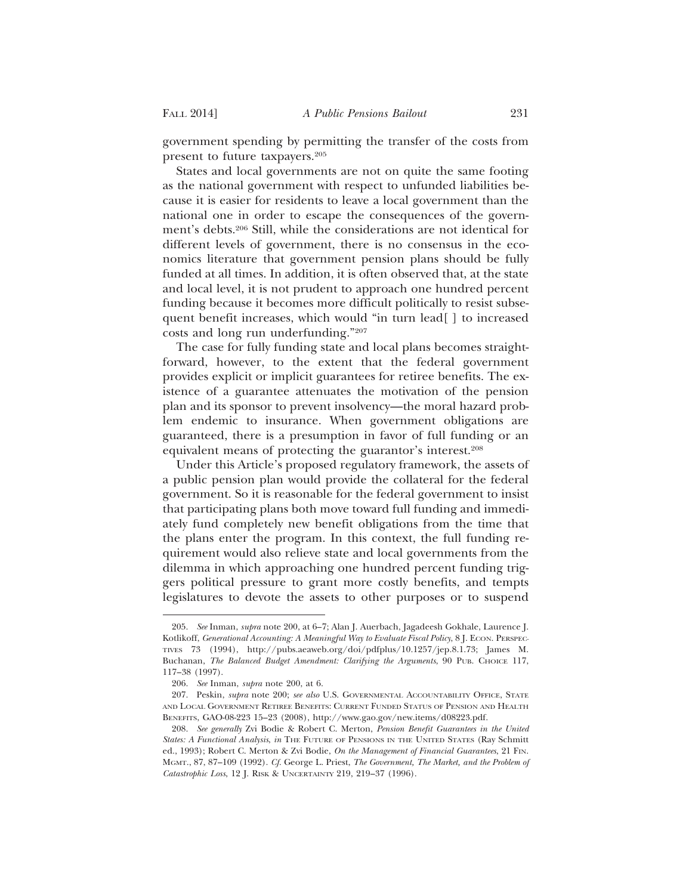government spending by permitting the transfer of the costs from present to future taxpayers.205

States and local governments are not on quite the same footing as the national government with respect to unfunded liabilities because it is easier for residents to leave a local government than the national one in order to escape the consequences of the government's debts.206 Still, while the considerations are not identical for different levels of government, there is no consensus in the economics literature that government pension plans should be fully funded at all times. In addition, it is often observed that, at the state and local level, it is not prudent to approach one hundred percent funding because it becomes more difficult politically to resist subsequent benefit increases, which would "in turn lead[ ] to increased costs and long run underfunding."207

The case for fully funding state and local plans becomes straightforward, however, to the extent that the federal government provides explicit or implicit guarantees for retiree benefits. The existence of a guarantee attenuates the motivation of the pension plan and its sponsor to prevent insolvency—the moral hazard problem endemic to insurance. When government obligations are guaranteed, there is a presumption in favor of full funding or an equivalent means of protecting the guarantor's interest.<sup>208</sup>

Under this Article's proposed regulatory framework, the assets of a public pension plan would provide the collateral for the federal government. So it is reasonable for the federal government to insist that participating plans both move toward full funding and immediately fund completely new benefit obligations from the time that the plans enter the program. In this context, the full funding requirement would also relieve state and local governments from the dilemma in which approaching one hundred percent funding triggers political pressure to grant more costly benefits, and tempts legislatures to devote the assets to other purposes or to suspend

<sup>205.</sup> *See* Inman, *supra* note 200, at 6–7; Alan J. Auerbach, Jagadeesh Gokhale, Laurence J. Kotlikoff, *Generational Accounting: A Meaningful Way to Evaluate Fiscal Policy*, 8 J. ECON. PERSPEC-TIVES 73 (1994), http://pubs.aeaweb.org/doi/pdfplus/10.1257/jep.8.1.73; James M. Buchanan, *The Balanced Budget Amendment: Clarifying the Arguments*, 90 PUB. CHOICE 117, 117–38 (1997).

<sup>206.</sup> *See* Inman, *supra* note 200, at 6.

<sup>207.</sup> Peskin, *supra* note 200; *see also* U.S. GOVERNMENTAL ACCOUNTABILITY OFFICE, STATE AND LOCAL GOVERNMENT RETIREE BENEFITS: CURRENT FUNDED STATUS OF PENSION AND HEALTH BENEFITS, GAO-08-223 15–23 (2008), http://www.gao.gov/new.items/d08223.pdf.

<sup>208.</sup> *See generally* Zvi Bodie & Robert C. Merton, *Pension Benefit Guarantees in the United States: A Functional Analysis*, *in* THE FUTURE OF PENSIONS IN THE UNITED STATES (Ray Schmitt ed., 1993); Robert C. Merton & Zvi Bodie, *On the Management of Financial Guarantees*, 21 FIN. MGMT., 87, 87–109 (1992). *Cf.* George L. Priest, *The Government, The Market, and the Problem of Catastrophic Loss*, 12 J. RISK & UNCERTAINTY 219, 219–37 (1996).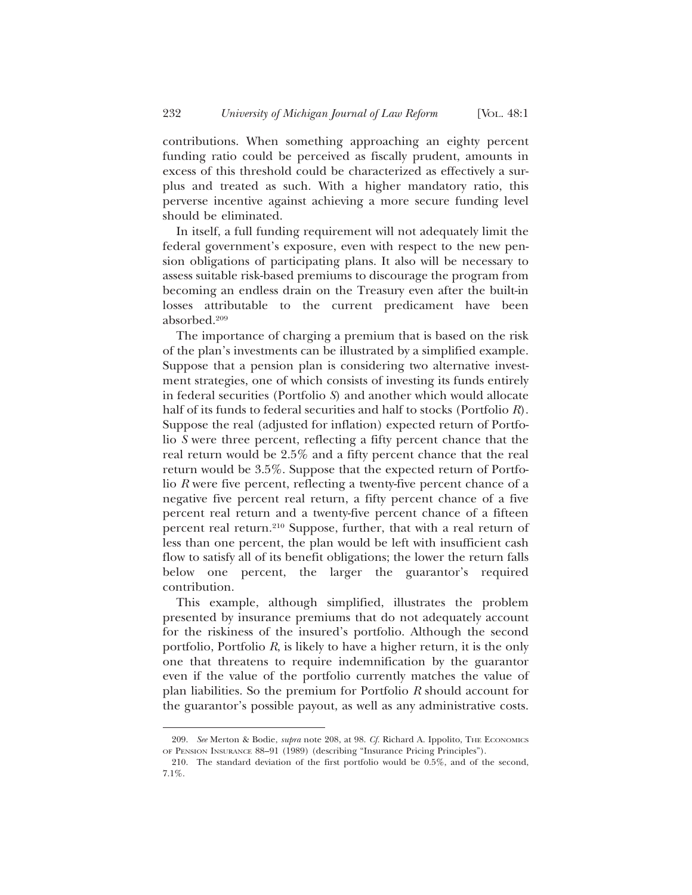contributions. When something approaching an eighty percent funding ratio could be perceived as fiscally prudent, amounts in excess of this threshold could be characterized as effectively a surplus and treated as such. With a higher mandatory ratio, this perverse incentive against achieving a more secure funding level should be eliminated.

In itself, a full funding requirement will not adequately limit the federal government's exposure, even with respect to the new pension obligations of participating plans. It also will be necessary to assess suitable risk-based premiums to discourage the program from becoming an endless drain on the Treasury even after the built-in losses attributable to the current predicament have been absorbed.209

The importance of charging a premium that is based on the risk of the plan's investments can be illustrated by a simplified example. Suppose that a pension plan is considering two alternative investment strategies, one of which consists of investing its funds entirely in federal securities (Portfolio *S*) and another which would allocate half of its funds to federal securities and half to stocks (Portfolio *R*). Suppose the real (adjusted for inflation) expected return of Portfolio *S* were three percent, reflecting a fifty percent chance that the real return would be 2.5% and a fifty percent chance that the real return would be 3.5%. Suppose that the expected return of Portfolio *R* were five percent, reflecting a twenty-five percent chance of a negative five percent real return, a fifty percent chance of a five percent real return and a twenty-five percent chance of a fifteen percent real return.210 Suppose, further, that with a real return of less than one percent, the plan would be left with insufficient cash flow to satisfy all of its benefit obligations; the lower the return falls below one percent, the larger the guarantor's required contribution.

This example, although simplified, illustrates the problem presented by insurance premiums that do not adequately account for the riskiness of the insured's portfolio. Although the second portfolio, Portfolio *R*, is likely to have a higher return, it is the only one that threatens to require indemnification by the guarantor even if the value of the portfolio currently matches the value of plan liabilities. So the premium for Portfolio *R* should account for the guarantor's possible payout, as well as any administrative costs.

<sup>209.</sup> See Merton & Bodie, *supra* note 208, at 98. *Cf.* Richard A. Ippolito, THE ECONOMICS OF PENSION INSURANCE 88–91 (1989) (describing "Insurance Pricing Principles").

<sup>210.</sup> The standard deviation of the first portfolio would be 0.5%, and of the second, 7.1%.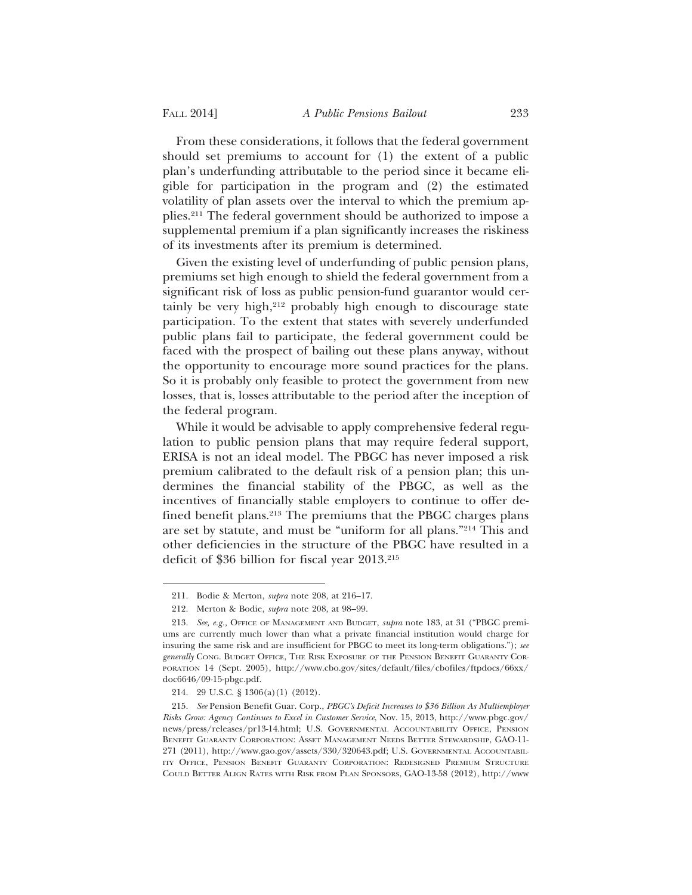From these considerations, it follows that the federal government should set premiums to account for (1) the extent of a public plan's underfunding attributable to the period since it became eligible for participation in the program and (2) the estimated volatility of plan assets over the interval to which the premium applies.211 The federal government should be authorized to impose a supplemental premium if a plan significantly increases the riskiness of its investments after its premium is determined.

Given the existing level of underfunding of public pension plans, premiums set high enough to shield the federal government from a significant risk of loss as public pension-fund guarantor would certainly be very high, $2^{12}$  probably high enough to discourage state participation. To the extent that states with severely underfunded public plans fail to participate, the federal government could be faced with the prospect of bailing out these plans anyway, without the opportunity to encourage more sound practices for the plans. So it is probably only feasible to protect the government from new losses, that is, losses attributable to the period after the inception of the federal program.

While it would be advisable to apply comprehensive federal regulation to public pension plans that may require federal support, ERISA is not an ideal model. The PBGC has never imposed a risk premium calibrated to the default risk of a pension plan; this undermines the financial stability of the PBGC, as well as the incentives of financially stable employers to continue to offer defined benefit plans.213 The premiums that the PBGC charges plans are set by statute, and must be "uniform for all plans."214 This and other deficiencies in the structure of the PBGC have resulted in a deficit of \$36 billion for fiscal year 2013.215

<sup>211.</sup> Bodie & Merton, *supra* note 208, at 216–17.

<sup>212.</sup> Merton & Bodie, *supra* note 208, at 98–99.

<sup>213.</sup> *See, e.g.,* OFFICE OF MANAGEMENT AND BUDGET, *supra* note 183, at 31 ("PBGC premiums are currently much lower than what a private financial institution would charge for insuring the same risk and are insufficient for PBGC to meet its long-term obligations."); *see generally* CONG. BUDGET OFFICE, THE RISK EXPOSURE OF THE PENSION BENEFIT GUARANTY COR-PORATION 14 (Sept. 2005), http://www.cbo.gov/sites/default/files/cbofiles/ftpdocs/66xx/ doc6646/09-15-pbgc.pdf.

<sup>214. 29</sup> U.S.C. § 1306(a)(1) (2012).

<sup>215.</sup> *See* Pension Benefit Guar. Corp., *PBGC's Deficit Increases to \$36 Billion As Multiemployer Risks Grow: Agency Continues to Excel in Customer Service*, Nov. 15, 2013, http://www.pbgc.gov/ news/press/releases/pr13-14.html; U.S. GOVERNMENTAL ACCOUNTABILITY OFFICE, PENSION BENEFIT GUARANTY CORPORATION: ASSET MANAGEMENT NEEDS BETTER STEWARDSHIP, GAO-11- 271 (2011), http://www.gao.gov/assets/330/320643.pdf; U.S. GOVERNMENTAL ACCOUNTABIL-ITY OFFICE, PENSION BENEFIT GUARANTY CORPORATION: REDESIGNED PREMIUM STRUCTURE COULD BETTER ALIGN RATES WITH RISK FROM PLAN SPONSORS, GAO-13-58 (2012), http://www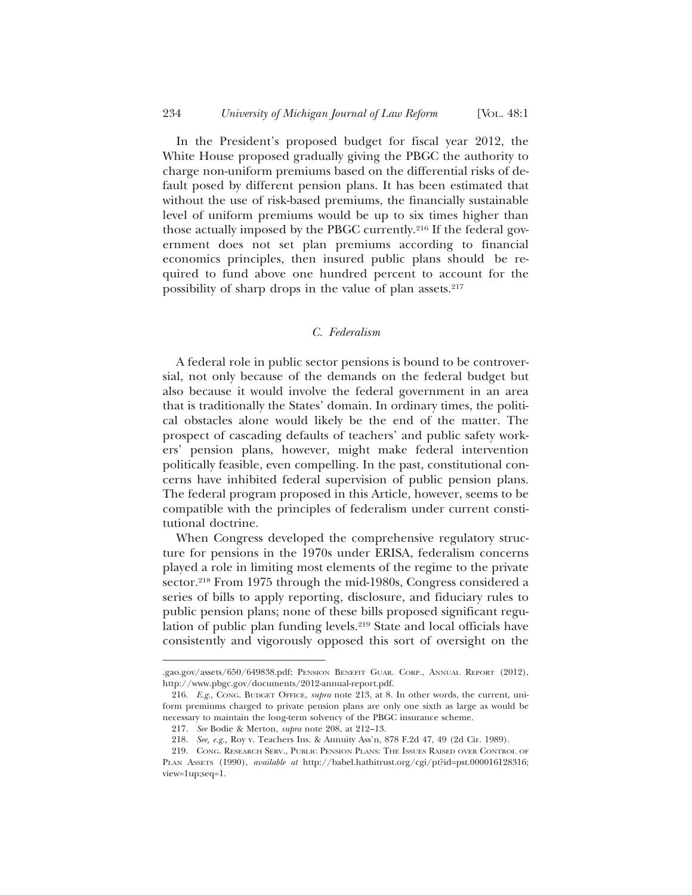In the President's proposed budget for fiscal year 2012, the White House proposed gradually giving the PBGC the authority to charge non-uniform premiums based on the differential risks of default posed by different pension plans. It has been estimated that without the use of risk-based premiums, the financially sustainable level of uniform premiums would be up to six times higher than those actually imposed by the PBGC currently.216 If the federal government does not set plan premiums according to financial economics principles, then insured public plans should be required to fund above one hundred percent to account for the possibility of sharp drops in the value of plan assets.217

### *C. Federalism*

A federal role in public sector pensions is bound to be controversial, not only because of the demands on the federal budget but also because it would involve the federal government in an area that is traditionally the States' domain. In ordinary times, the political obstacles alone would likely be the end of the matter. The prospect of cascading defaults of teachers' and public safety workers' pension plans, however, might make federal intervention politically feasible, even compelling. In the past, constitutional concerns have inhibited federal supervision of public pension plans. The federal program proposed in this Article, however, seems to be compatible with the principles of federalism under current constitutional doctrine.

When Congress developed the comprehensive regulatory structure for pensions in the 1970s under ERISA, federalism concerns played a role in limiting most elements of the regime to the private sector.<sup>218</sup> From 1975 through the mid-1980s, Congress considered a series of bills to apply reporting, disclosure, and fiduciary rules to public pension plans; none of these bills proposed significant regulation of public plan funding levels.<sup>219</sup> State and local officials have consistently and vigorously opposed this sort of oversight on the

<sup>.</sup>gao.gov/assets/650/649838.pdf; PENSION BENEFIT GUAR. CORP., ANNUAL REPORT (2012), http://www.pbgc.gov/documents/2012-annual-report.pdf.

<sup>216.</sup> *E.g.*, CONG. BUDGET OFFICE, *supra* note 213, at 8. In other words, the current, uniform premiums charged to private pension plans are only one sixth as large as would be necessary to maintain the long-term solvency of the PBGC insurance scheme.

<sup>217.</sup> *See* Bodie & Merton, *supra* note 208, at 212–13.

<sup>218.</sup> *See, e.g.,* Roy v. Teachers Ins. & Annuity Ass'n, 878 F.2d 47, 49 (2d Cir. 1989).

<sup>219.</sup> CONG. RESEARCH SERV., PUBLIC PENSION PLANS: THE ISSUES RAISED OVER CONTROL OF PLAN ASSETS (1990), *available at* http://babel.hathitrust.org/cgi/pt?id=pst.000016128316; view=1up;seq=1.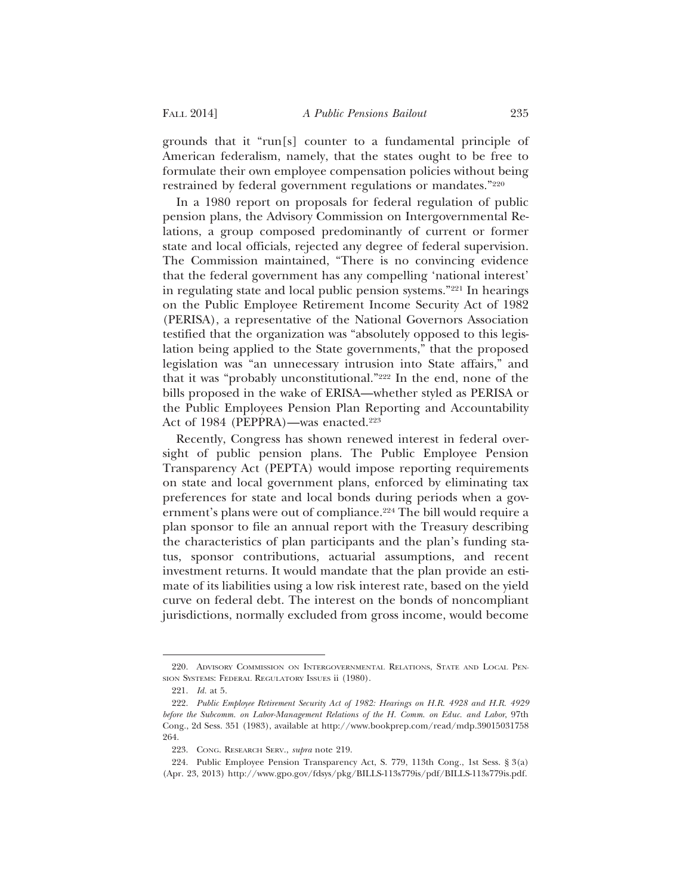grounds that it "run[s] counter to a fundamental principle of American federalism, namely, that the states ought to be free to formulate their own employee compensation policies without being restrained by federal government regulations or mandates."220

In a 1980 report on proposals for federal regulation of public pension plans, the Advisory Commission on Intergovernmental Relations, a group composed predominantly of current or former state and local officials, rejected any degree of federal supervision. The Commission maintained, "There is no convincing evidence that the federal government has any compelling 'national interest' in regulating state and local public pension systems."221 In hearings on the Public Employee Retirement Income Security Act of 1982 (PERISA), a representative of the National Governors Association testified that the organization was "absolutely opposed to this legislation being applied to the State governments," that the proposed legislation was "an unnecessary intrusion into State affairs," and that it was "probably unconstitutional."222 In the end, none of the bills proposed in the wake of ERISA—whether styled as PERISA or the Public Employees Pension Plan Reporting and Accountability Act of 1984 (PEPPRA)—was enacted.<sup>223</sup>

Recently, Congress has shown renewed interest in federal oversight of public pension plans. The Public Employee Pension Transparency Act (PEPTA) would impose reporting requirements on state and local government plans, enforced by eliminating tax preferences for state and local bonds during periods when a government's plans were out of compliance.<sup>224</sup> The bill would require a plan sponsor to file an annual report with the Treasury describing the characteristics of plan participants and the plan's funding status, sponsor contributions, actuarial assumptions, and recent investment returns. It would mandate that the plan provide an estimate of its liabilities using a low risk interest rate, based on the yield curve on federal debt. The interest on the bonds of noncompliant jurisdictions, normally excluded from gross income, would become

<sup>220.</sup> ADVISORY COMMISSION ON INTERGOVERNMENTAL RELATIONS, STATE AND LOCAL PEN-SION SYSTEMS: FEDERAL REGULATORY ISSUES ii (1980).

<sup>221.</sup> *Id.* at 5.

<sup>222.</sup> *Public Employee Retirement Security Act of 1982: Hearings on H.R. 4928 and H.R. 4929 before the Subcomm. on Labor-Management Relations of the H. Comm. on Educ. and Labor*, 97th Cong., 2d Sess. 351 (1983), available at http://www.bookprep.com/read/mdp.39015031758 264.

<sup>223.</sup> CONG. RESEARCH SERV., *supra* note 219.

<sup>224.</sup> Public Employee Pension Transparency Act, S. 779, 113th Cong., 1st Sess. § 3(a) (Apr. 23, 2013) http://www.gpo.gov/fdsys/pkg/BILLS-113s779is/pdf/BILLS-113s779is.pdf.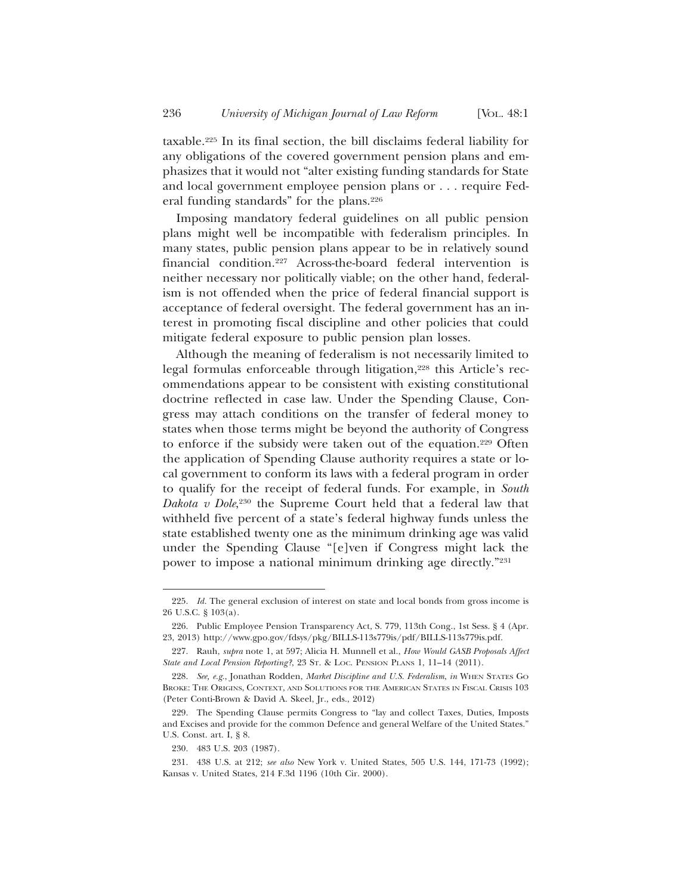taxable.225 In its final section, the bill disclaims federal liability for any obligations of the covered government pension plans and emphasizes that it would not "alter existing funding standards for State and local government employee pension plans or . . . require Federal funding standards" for the plans.<sup>226</sup>

Imposing mandatory federal guidelines on all public pension plans might well be incompatible with federalism principles. In many states, public pension plans appear to be in relatively sound financial condition.227 Across-the-board federal intervention is neither necessary nor politically viable; on the other hand, federalism is not offended when the price of federal financial support is acceptance of federal oversight. The federal government has an interest in promoting fiscal discipline and other policies that could mitigate federal exposure to public pension plan losses.

Although the meaning of federalism is not necessarily limited to legal formulas enforceable through litigation,<sup>228</sup> this Article's recommendations appear to be consistent with existing constitutional doctrine reflected in case law. Under the Spending Clause, Congress may attach conditions on the transfer of federal money to states when those terms might be beyond the authority of Congress to enforce if the subsidy were taken out of the equation.229 Often the application of Spending Clause authority requires a state or local government to conform its laws with a federal program in order to qualify for the receipt of federal funds. For example, in *South Dakota v Dole*, 230 the Supreme Court held that a federal law that withheld five percent of a state's federal highway funds unless the state established twenty one as the minimum drinking age was valid under the Spending Clause "[e]ven if Congress might lack the power to impose a national minimum drinking age directly."231

<sup>225.</sup> *Id.* The general exclusion of interest on state and local bonds from gross income is 26 U.S.C. § 103(a).

<sup>226.</sup> Public Employee Pension Transparency Act, S. 779, 113th Cong., 1st Sess. § 4 (Apr. 23, 2013) http://www.gpo.gov/fdsys/pkg/BILLS-113s779is/pdf/BILLS-113s779is.pdf.

<sup>227.</sup> Rauh, *supra* note 1, at 597; Alicia H. Munnell et al., *How Would GASB Proposals Affect State and Local Pension Reporting?*, 23 ST. & LOC. PENSION PLANS 1, 11–14 (2011).

<sup>228.</sup> *See, e.g.*, Jonathan Rodden, *Market Discipline and U.S. Federalism*, *in* WHEN STATES GO BROKE: THE ORIGINS, CONTEXT, AND SOLUTIONS FOR THE AMERICAN STATES IN FISCAL CRISIS 103 (Peter Conti-Brown & David A. Skeel, Jr., eds., 2012)

<sup>229.</sup> The Spending Clause permits Congress to "lay and collect Taxes, Duties, Imposts and Excises and provide for the common Defence and general Welfare of the United States." U.S. Const. art. I, § 8.

<sup>230. 483</sup> U.S. 203 (1987).

<sup>231. 438</sup> U.S. at 212; *see also* New York v. United States, 505 U.S. 144, 171-73 (1992); Kansas v. United States, 214 F.3d 1196 (10th Cir. 2000).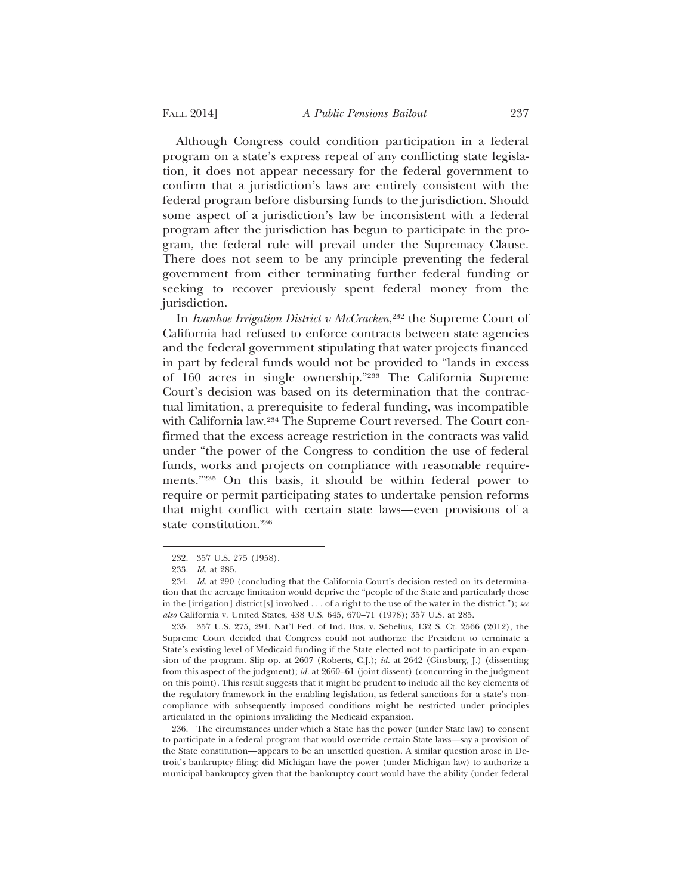Although Congress could condition participation in a federal program on a state's express repeal of any conflicting state legislation, it does not appear necessary for the federal government to confirm that a jurisdiction's laws are entirely consistent with the federal program before disbursing funds to the jurisdiction. Should some aspect of a jurisdiction's law be inconsistent with a federal program after the jurisdiction has begun to participate in the program, the federal rule will prevail under the Supremacy Clause. There does not seem to be any principle preventing the federal government from either terminating further federal funding or seeking to recover previously spent federal money from the jurisdiction.

In *Ivanhoe Irrigation District v McCracken*, 232 the Supreme Court of California had refused to enforce contracts between state agencies and the federal government stipulating that water projects financed in part by federal funds would not be provided to "lands in excess of 160 acres in single ownership."233 The California Supreme Court's decision was based on its determination that the contractual limitation, a prerequisite to federal funding, was incompatible with California law.234 The Supreme Court reversed. The Court confirmed that the excess acreage restriction in the contracts was valid under "the power of the Congress to condition the use of federal funds, works and projects on compliance with reasonable requirements."235 On this basis, it should be within federal power to require or permit participating states to undertake pension reforms that might conflict with certain state laws—even provisions of a state constitution.236

<sup>232. 357</sup> U.S. 275 (1958).

<sup>233.</sup> *Id.* at 285.

<sup>234.</sup> *Id.* at 290 (concluding that the California Court's decision rested on its determination that the acreage limitation would deprive the "people of the State and particularly those in the [irrigation] district[s] involved . . . of a right to the use of the water in the district."); *see also* California v. United States, 438 U.S. 645, 670–71 (1978); 357 U.S. at 285.

<sup>235. 357</sup> U.S. 275, 291. Nat'l Fed. of Ind. Bus. v. Sebelius, 132 S. Ct. 2566 (2012), the Supreme Court decided that Congress could not authorize the President to terminate a State's existing level of Medicaid funding if the State elected not to participate in an expansion of the program. Slip op. at 2607 (Roberts, C.J.); *id.* at 2642 (Ginsburg, J.) (dissenting from this aspect of the judgment); *id.* at 2660–61 (joint dissent) (concurring in the judgment on this point). This result suggests that it might be prudent to include all the key elements of the regulatory framework in the enabling legislation, as federal sanctions for a state's noncompliance with subsequently imposed conditions might be restricted under principles articulated in the opinions invaliding the Medicaid expansion.

<sup>236.</sup> The circumstances under which a State has the power (under State law) to consent to participate in a federal program that would override certain State laws—say a provision of the State constitution—appears to be an unsettled question. A similar question arose in Detroit's bankruptcy filing: did Michigan have the power (under Michigan law) to authorize a municipal bankruptcy given that the bankruptcy court would have the ability (under federal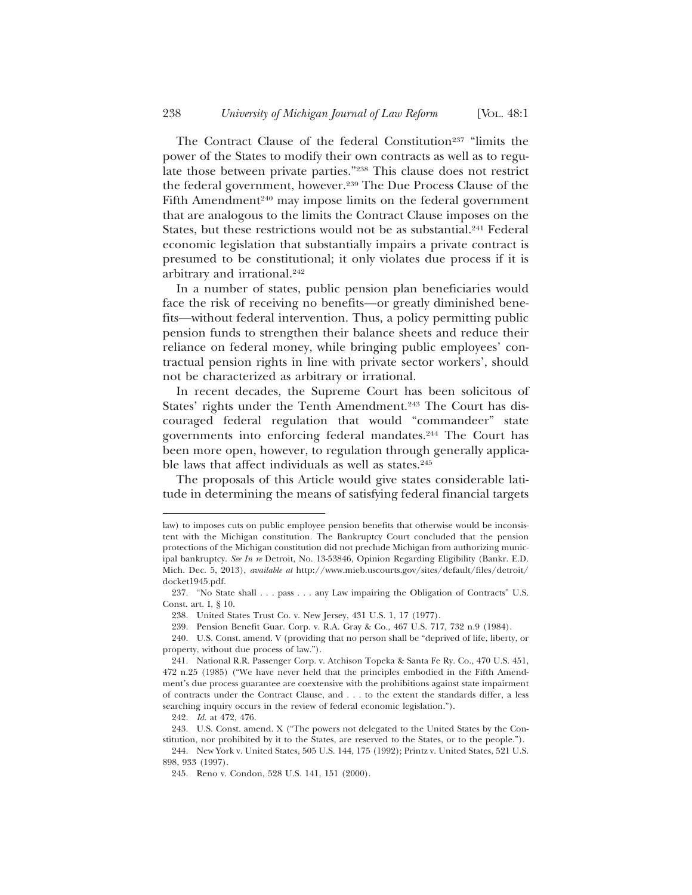The Contract Clause of the federal Constitution<sup>237</sup> "limits the power of the States to modify their own contracts as well as to regulate those between private parties."238 This clause does not restrict the federal government, however.<sup>239</sup> The Due Process Clause of the Fifth Amendment<sup>240</sup> may impose limits on the federal government that are analogous to the limits the Contract Clause imposes on the States, but these restrictions would not be as substantial.<sup>241</sup> Federal economic legislation that substantially impairs a private contract is presumed to be constitutional; it only violates due process if it is arbitrary and irrational.242

In a number of states, public pension plan beneficiaries would face the risk of receiving no benefits—or greatly diminished benefits—without federal intervention. Thus, a policy permitting public pension funds to strengthen their balance sheets and reduce their reliance on federal money, while bringing public employees' contractual pension rights in line with private sector workers', should not be characterized as arbitrary or irrational.

In recent decades, the Supreme Court has been solicitous of States' rights under the Tenth Amendment.<sup>243</sup> The Court has discouraged federal regulation that would "commandeer" state governments into enforcing federal mandates.244 The Court has been more open, however, to regulation through generally applicable laws that affect individuals as well as states.<sup>245</sup>

The proposals of this Article would give states considerable latitude in determining the means of satisfying federal financial targets

law) to imposes cuts on public employee pension benefits that otherwise would be inconsistent with the Michigan constitution. The Bankruptcy Court concluded that the pension protections of the Michigan constitution did not preclude Michigan from authorizing municipal bankruptcy. *See In re* Detroit, No. 13-53846, Opinion Regarding Eligibility (Bankr. E.D. Mich. Dec. 5, 2013), *available at* http://www.mieb.uscourts.gov/sites/default/files/detroit/ docket1945.pdf.

<sup>237. &</sup>quot;No State shall . . . pass . . . any Law impairing the Obligation of Contracts" U.S. Const. art. I, § 10.

<sup>238.</sup> United States Trust Co. v. New Jersey, 431 U.S. 1, 17 (1977).

<sup>239.</sup> Pension Benefit Guar. Corp. v. R.A. Gray & Co., 467 U.S. 717, 732 n.9 (1984).

<sup>240.</sup> U.S. Const. amend. V (providing that no person shall be "deprived of life, liberty, or property, without due process of law.").

<sup>241.</sup> National R.R. Passenger Corp. v. Atchison Topeka & Santa Fe Ry. Co., 470 U.S. 451, 472 n.25 (1985) ("We have never held that the principles embodied in the Fifth Amendment's due process guarantee are coextensive with the prohibitions against state impairment of contracts under the Contract Clause, and . . . to the extent the standards differ, a less searching inquiry occurs in the review of federal economic legislation.").

<sup>242.</sup> *Id.* at 472, 476.

<sup>243.</sup> U.S. Const. amend. X ("The powers not delegated to the United States by the Constitution, nor prohibited by it to the States, are reserved to the States, or to the people.").

<sup>244.</sup> New York v. United States, 505 U.S. 144, 175 (1992); Printz v. United States, 521 U.S. 898, 933 (1997).

<sup>245.</sup> Reno v. Condon, 528 U.S. 141, 151 (2000).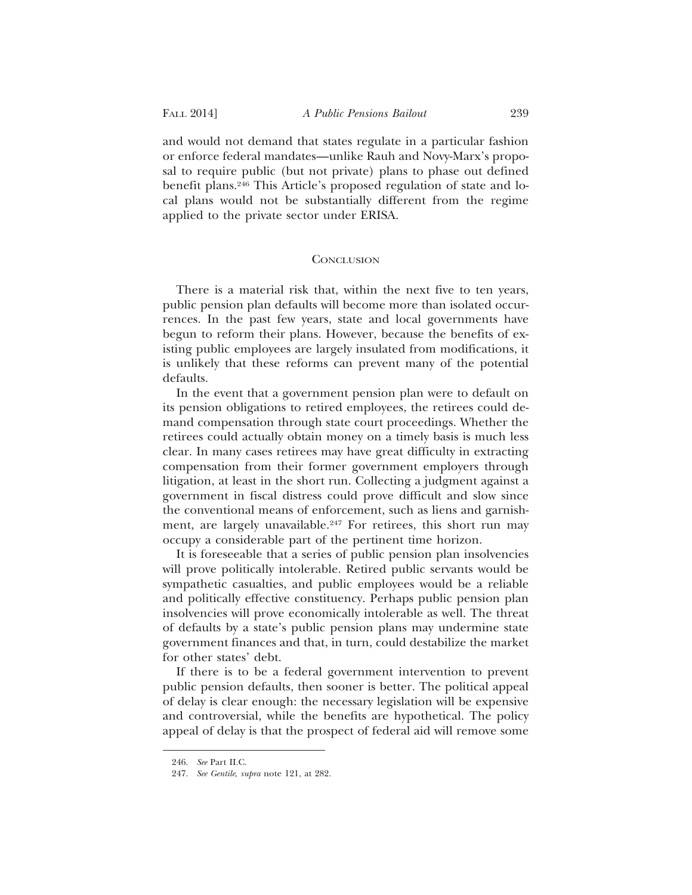and would not demand that states regulate in a particular fashion or enforce federal mandates—unlike Rauh and Novy-Marx's proposal to require public (but not private) plans to phase out defined benefit plans.246 This Article's proposed regulation of state and local plans would not be substantially different from the regime applied to the private sector under ERISA.

### **CONCLUSION**

There is a material risk that, within the next five to ten years, public pension plan defaults will become more than isolated occurrences. In the past few years, state and local governments have begun to reform their plans. However, because the benefits of existing public employees are largely insulated from modifications, it is unlikely that these reforms can prevent many of the potential defaults.

In the event that a government pension plan were to default on its pension obligations to retired employees, the retirees could demand compensation through state court proceedings. Whether the retirees could actually obtain money on a timely basis is much less clear. In many cases retirees may have great difficulty in extracting compensation from their former government employers through litigation, at least in the short run. Collecting a judgment against a government in fiscal distress could prove difficult and slow since the conventional means of enforcement, such as liens and garnishment, are largely unavailable.<sup>247</sup> For retirees, this short run may occupy a considerable part of the pertinent time horizon.

It is foreseeable that a series of public pension plan insolvencies will prove politically intolerable. Retired public servants would be sympathetic casualties, and public employees would be a reliable and politically effective constituency. Perhaps public pension plan insolvencies will prove economically intolerable as well. The threat of defaults by a state's public pension plans may undermine state government finances and that, in turn, could destabilize the market for other states' debt.

If there is to be a federal government intervention to prevent public pension defaults, then sooner is better. The political appeal of delay is clear enough: the necessary legislation will be expensive and controversial, while the benefits are hypothetical. The policy appeal of delay is that the prospect of federal aid will remove some

<sup>246.</sup> *See* Part II.C.

<sup>247.</sup> *See Gentile*, *supra* note 121, at 282.